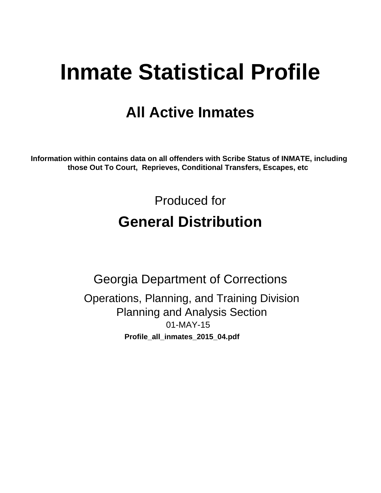# **Inmate Statistical Profile**

# **All Active Inmates**

Information within contains data on all offenders with Scribe Status of INMATE, including those Out To Court, Reprieves, Conditional Transfers, Escapes, etc

> Produced for **General Distribution**

**Georgia Department of Corrections** Operations, Planning, and Training Division **Planning and Analysis Section**  $01-MAY-15$ Profile\_all\_inmates\_2015\_04.pdf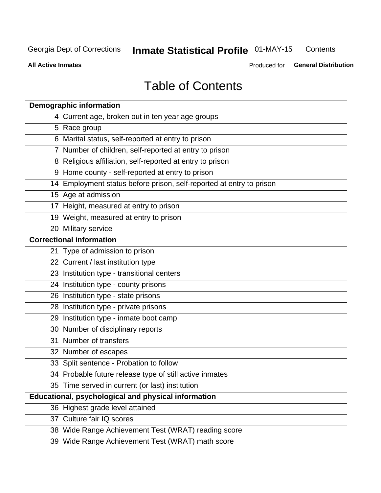#### **Inmate Statistical Profile 01-MAY-15** Contents

**All Active Inmates** 

Produced for General Distribution

# **Table of Contents**

| <b>Demographic information</b>                                       |
|----------------------------------------------------------------------|
| 4 Current age, broken out in ten year age groups                     |
| 5 Race group                                                         |
| 6 Marital status, self-reported at entry to prison                   |
| 7 Number of children, self-reported at entry to prison               |
| 8 Religious affiliation, self-reported at entry to prison            |
| 9 Home county - self-reported at entry to prison                     |
| 14 Employment status before prison, self-reported at entry to prison |
| 15 Age at admission                                                  |
| 17 Height, measured at entry to prison                               |
| 19 Weight, measured at entry to prison                               |
| 20 Military service                                                  |
| <b>Correctional information</b>                                      |
| 21 Type of admission to prison                                       |
| 22 Current / last institution type                                   |
| 23 Institution type - transitional centers                           |
| 24 Institution type - county prisons                                 |
| 26 Institution type - state prisons                                  |
| 28 Institution type - private prisons                                |
| 29 Institution type - inmate boot camp                               |
| 30 Number of disciplinary reports                                    |
| 31 Number of transfers                                               |
| 32 Number of escapes                                                 |
| 33 Split sentence - Probation to follow                              |
| 34 Probable future release type of still active inmates              |
| 35 Time served in current (or last) institution                      |
| Educational, psychological and physical information                  |
| 36 Highest grade level attained                                      |
| 37 Culture fair IQ scores                                            |
| 38 Wide Range Achievement Test (WRAT) reading score                  |
| 39 Wide Range Achievement Test (WRAT) math score                     |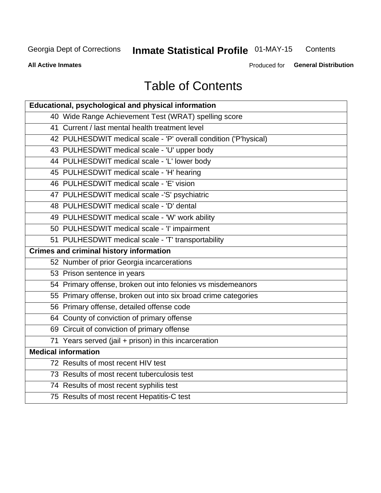#### **Inmate Statistical Profile 01-MAY-15** Contents

**All Active Inmates** 

Produced for General Distribution

# **Table of Contents**

| <b>Educational, psychological and physical information</b>       |
|------------------------------------------------------------------|
| 40 Wide Range Achievement Test (WRAT) spelling score             |
| 41 Current / last mental health treatment level                  |
| 42 PULHESDWIT medical scale - 'P' overall condition ('P'hysical) |
| 43 PULHESDWIT medical scale - 'U' upper body                     |
| 44 PULHESDWIT medical scale - 'L' lower body                     |
| 45 PULHESDWIT medical scale - 'H' hearing                        |
| 46 PULHESDWIT medical scale - 'E' vision                         |
| 47 PULHESDWIT medical scale -'S' psychiatric                     |
| 48 PULHESDWIT medical scale - 'D' dental                         |
| 49 PULHESDWIT medical scale - 'W' work ability                   |
| 50 PULHESDWIT medical scale - 'I' impairment                     |
| 51 PULHESDWIT medical scale - 'T' transportability               |
| <b>Crimes and criminal history information</b>                   |
| 52 Number of prior Georgia incarcerations                        |
| 53 Prison sentence in years                                      |
| 54 Primary offense, broken out into felonies vs misdemeanors     |
| 55 Primary offense, broken out into six broad crime categories   |
| 56 Primary offense, detailed offense code                        |
| 64 County of conviction of primary offense                       |
| 69 Circuit of conviction of primary offense                      |
| 71 Years served (jail + prison) in this incarceration            |
| <b>Medical information</b>                                       |
| 72 Results of most recent HIV test                               |
| 73 Results of most recent tuberculosis test                      |
| 74 Results of most recent syphilis test                          |
| 75 Results of most recent Hepatitis-C test                       |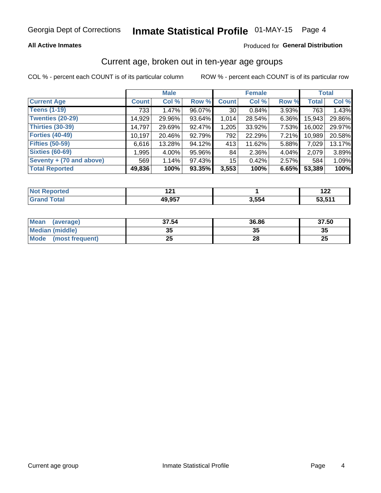### **All Active Inmates**

### Produced for General Distribution

### Current age, broken out in ten-year age groups

COL % - percent each COUNT is of its particular column

|                          | <b>Male</b>  |        |        | <b>Female</b>   |          |       | <b>Total</b> |        |
|--------------------------|--------------|--------|--------|-----------------|----------|-------|--------------|--------|
| <b>Current Age</b>       | <b>Count</b> | Col %  | Row %  | <b>Count</b>    | Col %    | Row % | <b>Total</b> | Col %  |
| <b>Teens (1-19)</b>      | 733          | 1.47%  | 96.07% | 30 <sup>1</sup> | 0.84%    | 3.93% | 763          | 1.43%  |
| <b>Twenties (20-29)</b>  | 14,929       | 29.96% | 93.64% | 1,014           | 28.54%   | 6.36% | 15,943       | 29.86% |
| Thirties (30-39)         | 14,797       | 29.69% | 92.47% | 1,205           | 33.92%   | 7.53% | 16,002       | 29.97% |
| <b>Forties (40-49)</b>   | 10,197       | 20.46% | 92.79% | 792             | 22.29%   | 7.21% | 10,989       | 20.58% |
| <b>Fifties (50-59)</b>   | 6,616        | 13.28% | 94.12% | 413             | 11.62%   | 5.88% | 7,029        | 13.17% |
| <b>Sixties (60-69)</b>   | 1,995        | 4.00%  | 95.96% | 84              | $2.36\%$ | 4.04% | 2,079        | 3.89%  |
| Seventy + (70 and above) | 569          | 1.14%  | 97.43% | 15 <sup>2</sup> | 0.42%    | 2.57% | 584          | 1.09%  |
| <b>Total Reported</b>    | 49,836       | 100%   | 93.35% | 3,553           | 100%     | 6.65% | 53,389       | 100%   |

| <b>Not Repo</b> | ໍາລ    |       | .      |
|-----------------|--------|-------|--------|
| <b>ported</b>   | . .    |       | 144    |
| Total           | 49,957 | 3,554 | 53.51' |

| <b>Mean</b><br>(average)       | 37.54    | 36.86 | 37.50    |
|--------------------------------|----------|-------|----------|
| Median (middle)                | つん<br>vu | JJ    | 35       |
| <b>Mode</b><br>(most frequent) | つら<br>ZJ | 28    | つじ<br>ZJ |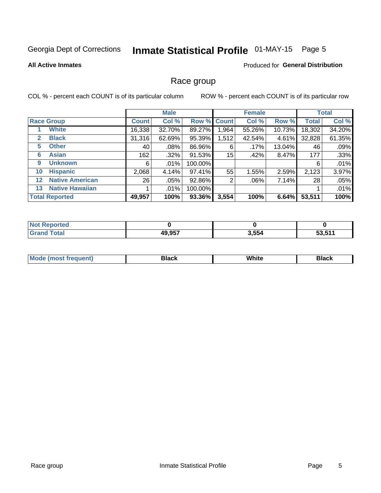# Inmate Statistical Profile 01-MAY-15 Page 5

#### **All Active Inmates**

### **Produced for General Distribution**

### Race group

COL % - percent each COUNT is of its particular column

|         |                        | <b>Male</b>  |         |         | <b>Female</b> |        |        | <b>Total</b> |        |
|---------|------------------------|--------------|---------|---------|---------------|--------|--------|--------------|--------|
|         | <b>Race Group</b>      | <b>Count</b> | Col %   |         | Row % Count   | Col %  | Row %  | <b>Total</b> | Col %  |
|         | <b>White</b>           | 16,338       | 32.70%  | 89.27%  | 1,964         | 55.26% | 10.73% | 18,302       | 34.20% |
| 2       | <b>Black</b>           | 31,316       | 62.69%  | 95.39%  | 1,512         | 42.54% | 4.61%  | 32,828       | 61.35% |
| 5       | <b>Other</b>           | 40           | .08%    | 86.96%  | 6             | .17%   | 13.04% | 46           | .09%   |
| 6       | <b>Asian</b>           | 162          | $.32\%$ | 91.53%  | 15            | .42%   | 8.47%  | 177          | .33%   |
| 9       | <b>Unknown</b>         | 6            | $.01\%$ | 100.00% |               |        |        | 6            | .01%   |
| 10      | <b>Hispanic</b>        | 2,068        | 4.14%   | 97.41%  | 55            | 1.55%  | 2.59%  | 2,123        | 3.97%  |
| $12 \,$ | <b>Native American</b> | 26           | $.05\%$ | 92.86%  | 2             | .06%   | 7.14%  | 28           | .05%   |
| 13      | <b>Native Hawaiian</b> |              | $.01\%$ | 100.00% |               |        |        |              | .01%   |
|         | <b>Total Reported</b>  | 49,957       | 100%    | 93.36%  | 3,554         | 100%   | 6.64%  | 53,511       | 100%   |

| horted<br><b>N</b> |        |       |                    |
|--------------------|--------|-------|--------------------|
| <b>c</b> otal      | 49,957 | 3,554 | E? 644<br>ວວ.ວ ເ ເ |

| <b>Mode</b><br>uent)<br>most treo | 3lack | White | Black |
|-----------------------------------|-------|-------|-------|
|                                   |       |       |       |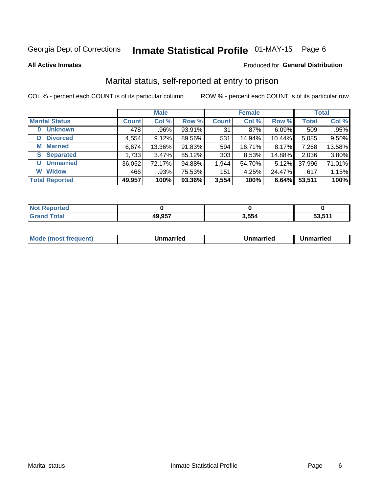# Inmate Statistical Profile 01-MAY-15 Page 6

**All Active Inmates** 

#### Produced for General Distribution

### Marital status, self-reported at entry to prison

COL % - percent each COUNT is of its particular column

|                            | <b>Male</b>  |        |        |              | <b>Female</b> | <b>Total</b> |              |        |
|----------------------------|--------------|--------|--------|--------------|---------------|--------------|--------------|--------|
| <b>Marital Status</b>      | <b>Count</b> | Col %  | Row %  | <b>Count</b> | Col %         | Row %        | <b>Total</b> | Col %  |
| <b>Unknown</b><br>$\bf{0}$ | 478          | .96%   | 93.91% | 31           | .87%          | 6.09%        | 509          | .95%   |
| <b>Divorced</b><br>D       | 4,554        | 9.12%  | 89.56% | 531          | 14.94%        | 10.44%       | 5,085        | 9.50%  |
| <b>Married</b><br>М        | 6,674        | 13.36% | 91.83% | 594          | 16.71%        | 8.17%        | 7,268        | 13.58% |
| <b>Separated</b><br>S.     | 1,733        | 3.47%  | 85.12% | 303          | 8.53%         | 14.88%       | 2,036        | 3.80%  |
| <b>Unmarried</b><br>U      | 36,052       | 72.17% | 94.88% | 1,944        | 54.70%        | 5.12%        | 37,996       | 71.01% |
| <b>Widow</b><br>W          | 466          | .93%   | 75.53% | 151          | 4.25%         | 24.47%       | 617          | 1.15%  |
| <b>Total Reported</b>      | 49,957       | 100%   | 93.36% | 3,554        | 100%          | 6.64%        | 53,511       | 100%   |

| Teo<br>NO |              |        |        |
|-----------|--------------|--------|--------|
|           | 10.057<br>45 | 2 F.R. | 53 511 |

|--|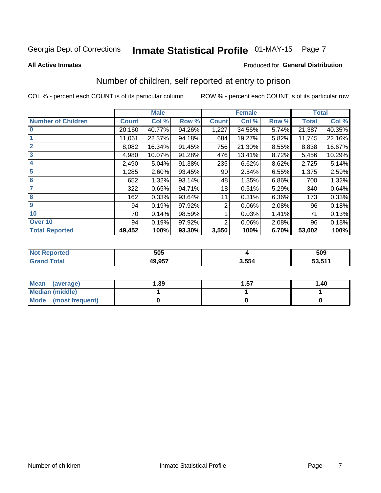# Inmate Statistical Profile 01-MAY-15 Page 7

#### **All Active Inmates**

### **Produced for General Distribution**

## Number of children, self reported at entry to prison

COL % - percent each COUNT is of its particular column

|                           | <b>Male</b>  |        |        |              | <b>Female</b> |       | <b>Total</b> |        |
|---------------------------|--------------|--------|--------|--------------|---------------|-------|--------------|--------|
| <b>Number of Children</b> | <b>Count</b> | Col %  | Row %  | <b>Count</b> | Col %         | Row % | <b>Total</b> | Col %  |
| $\bf{0}$                  | 20,160       | 40.77% | 94.26% | 1,227        | 34.56%        | 5.74% | 21,387       | 40.35% |
|                           | 11,061       | 22.37% | 94.18% | 684          | 19.27%        | 5.82% | 11,745       | 22.16% |
| $\overline{2}$            | 8,082        | 16.34% | 91.45% | 756          | 21.30%        | 8.55% | 8,838        | 16.67% |
| $\mathbf{3}$              | 4,980        | 10.07% | 91.28% | 476          | 13.41%        | 8.72% | 5,456        | 10.29% |
| 4                         | 2,490        | 5.04%  | 91.38% | 235          | 6.62%         | 8.62% | 2,725        | 5.14%  |
| $\overline{5}$            | 1,285        | 2.60%  | 93.45% | 90           | 2.54%         | 6.55% | 1,375        | 2.59%  |
| 6                         | 652          | 1.32%  | 93.14% | 48           | 1.35%         | 6.86% | 700          | 1.32%  |
| 7                         | 322          | 0.65%  | 94.71% | 18           | 0.51%         | 5.29% | 340          | 0.64%  |
| 8                         | 162          | 0.33%  | 93.64% | 11           | 0.31%         | 6.36% | 173          | 0.33%  |
| 9                         | 94           | 0.19%  | 97.92% | 2            | 0.06%         | 2.08% | 96           | 0.18%  |
| 10                        | 70           | 0.14%  | 98.59% |              | 0.03%         | 1.41% | 71           | 0.13%  |
| Over 10                   | 94           | 0.19%  | 97.92% | 2            | 0.06%         | 2.08% | 96           | 0.18%  |
| <b>Total Reported</b>     | 49,452       | 100%   | 93.30% | 3,550        | 100%          | 6.70% | 53,002       | 100%   |

|      | 505    |      | 509                        |
|------|--------|------|----------------------------|
| υιαι | 10 Q57 | .554 | E44<br>-^<br><b>JJJJII</b> |

| Mean<br>(average)       | 1.39 | 1.57 | 1.40 |
|-------------------------|------|------|------|
| <b>Median (middle)</b>  |      |      |      |
| Mode<br>(most frequent) |      |      |      |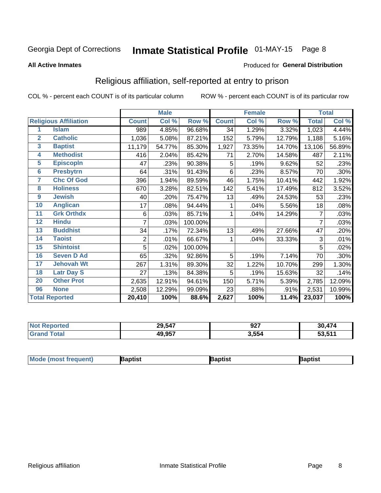# Inmate Statistical Profile 01-MAY-15 Page 8

#### **All Active Inmates**

### Produced for General Distribution

### Religious affiliation, self-reported at entry to prison

COL % - percent each COUNT is of its particular column

|                 |                              |              | <b>Male</b> |         |              | <b>Female</b> |        |              | <b>Total</b> |
|-----------------|------------------------------|--------------|-------------|---------|--------------|---------------|--------|--------------|--------------|
|                 | <b>Religious Affiliation</b> | <b>Count</b> | Col %       | Row %   | <b>Count</b> | Col %         | Row %  | <b>Total</b> | Col %        |
| 1               | <b>Islam</b>                 | 989          | 4.85%       | 96.68%  | 34           | 1.29%         | 3.32%  | 1,023        | 4.44%        |
| $\overline{2}$  | <b>Catholic</b>              | 1,036        | 5.08%       | 87.21%  | 152          | 5.79%         | 12.79% | 1,188        | 5.16%        |
| $\mathbf{3}$    | <b>Baptist</b>               | 11,179       | 54.77%      | 85.30%  | 1,927        | 73.35%        | 14.70% | 13,106       | 56.89%       |
| 4               | <b>Methodist</b>             | 416          | 2.04%       | 85.42%  | 71           | 2.70%         | 14.58% | 487          | 2.11%        |
| $\overline{5}$  | <b>EpiscopIn</b>             | 47           | .23%        | 90.38%  | 5            | .19%          | 9.62%  | 52           | .23%         |
| $6\phantom{a}$  | <b>Presbytrn</b>             | 64           | .31%        | 91.43%  | 6            | .23%          | 8.57%  | 70           | .30%         |
| 7               | <b>Chc Of God</b>            | 396          | 1.94%       | 89.59%  | 46           | 1.75%         | 10.41% | 442          | 1.92%        |
| 8               | <b>Holiness</b>              | 670          | 3.28%       | 82.51%  | 142          | 5.41%         | 17.49% | 812          | 3.52%        |
| 9               | <b>Jewish</b>                | 40           | .20%        | 75.47%  | 13           | .49%          | 24.53% | 53           | .23%         |
| 10              | <b>Anglican</b>              | 17           | .08%        | 94.44%  |              | .04%          | 5.56%  | 18           | .08%         |
| 11              | <b>Grk Orthdx</b>            | 6            | .03%        | 85.71%  | 1            | .04%          | 14.29% | 7            | .03%         |
| 12              | <b>Hindu</b>                 | 7            | .03%        | 100.00% |              |               |        | 7            | .03%         |
| 13              | <b>Buddhist</b>              | 34           | .17%        | 72.34%  | 13           | .49%          | 27.66% | 47           | .20%         |
| 14              | <b>Taoist</b>                | 2            | .01%        | 66.67%  | 1            | .04%          | 33.33% | 3            | .01%         |
| 15              | <b>Shintoist</b>             | 5            | .02%        | 100.00% |              |               |        | 5            | .02%         |
| 16              | <b>Seven D Ad</b>            | 65           | .32%        | 92.86%  | 5            | .19%          | 7.14%  | 70           | .30%         |
| $\overline{17}$ | <b>Jehovah Wt</b>            | 267          | 1.31%       | 89.30%  | 32           | 1.22%         | 10.70% | 299          | 1.30%        |
| 18              | <b>Latr Day S</b>            | 27           | .13%        | 84.38%  | 5            | .19%          | 15.63% | 32           | .14%         |
| 20              | <b>Other Prot</b>            | 2,635        | 12.91%      | 94.61%  | 150          | 5.71%         | 5.39%  | 2,785        | 12.09%       |
| 96              | <b>None</b>                  | 2,508        | 12.29%      | 99.09%  | 23           | .88%          | .91%   | 2,531        | 10.99%       |
|                 | <b>Total Reported</b>        | 20,410       | 100%        | 88.6%   | 2,627        | 100%          | 11.4%  | 23,037       | 100%         |

| 29,547 | 97<br>JZI | 474<br>30     |
|--------|-----------|---------------|
| 49,957 | 3,554     | E9 E44<br>- - |

| <b>Mode</b><br>aptist<br>3aptist<br>Baptist<br>a imast.<br>Treduent) |
|----------------------------------------------------------------------|
|----------------------------------------------------------------------|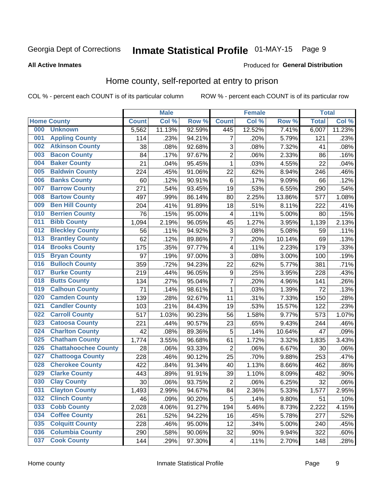# Inmate Statistical Profile 01-MAY-15 Page 9

#### **All Active Inmates**

### Produced for General Distribution

### Home county, self-reported at entry to prison

COL % - percent each COUNT is of its particular column

|     |                             |              | <b>Male</b> |                  |                         | <b>Female</b> |        | <b>Total</b> |        |
|-----|-----------------------------|--------------|-------------|------------------|-------------------------|---------------|--------|--------------|--------|
|     | <b>Home County</b>          | <b>Count</b> | Col %       | Row <sup>%</sup> | <b>Count</b>            | Col %         | Row %  | <b>Total</b> | Col %  |
| 000 | <b>Unknown</b>              | 5,562        | 11.13%      | 92.59%           | 445                     | 12.52%        | 7.41%  | 6,007        | 11.23% |
| 001 | <b>Appling County</b>       | 114          | .23%        | 94.21%           | 7                       | .20%          | 5.79%  | 121          | .23%   |
| 002 | <b>Atkinson County</b>      | 38           | .08%        | 92.68%           | 3                       | .08%          | 7.32%  | 41           | .08%   |
| 003 | <b>Bacon County</b>         | 84           | .17%        | 97.67%           | $\overline{2}$          | .06%          | 2.33%  | 86           | .16%   |
| 004 | <b>Baker County</b>         | 21           | .04%        | 95.45%           | $\mathbf{1}$            | .03%          | 4.55%  | 22           | .04%   |
| 005 | <b>Baldwin County</b>       | 224          | .45%        | 91.06%           | 22                      | .62%          | 8.94%  | 246          | .46%   |
| 006 | <b>Banks County</b>         | 60           | .12%        | 90.91%           | $\,6$                   | .17%          | 9.09%  | 66           | .12%   |
| 007 | <b>Barrow County</b>        | 271          | .54%        | 93.45%           | 19                      | .53%          | 6.55%  | 290          | .54%   |
| 008 | <b>Bartow County</b>        | 497          | .99%        | 86.14%           | 80                      | 2.25%         | 13.86% | 577          | 1.08%  |
| 009 | <b>Ben Hill County</b>      | 204          | .41%        | 91.89%           | 18                      | .51%          | 8.11%  | 222          | .41%   |
| 010 | <b>Berrien County</b>       | 76           | .15%        | 95.00%           | 4                       | .11%          | 5.00%  | 80           | .15%   |
| 011 | <b>Bibb County</b>          | 1,094        | 2.19%       | 96.05%           | 45                      | 1.27%         | 3.95%  | 1,139        | 2.13%  |
| 012 | <b>Bleckley County</b>      | 56           | .11%        | 94.92%           | 3                       | .08%          | 5.08%  | 59           | .11%   |
| 013 | <b>Brantley County</b>      | 62           | .12%        | 89.86%           | 7                       | .20%          | 10.14% | 69           | .13%   |
| 014 | <b>Brooks County</b>        | 175          | .35%        | 97.77%           | $\overline{4}$          | .11%          | 2.23%  | 179          | .33%   |
| 015 | <b>Bryan County</b>         | 97           | .19%        | 97.00%           | 3                       | .08%          | 3.00%  | 100          | .19%   |
| 016 | <b>Bulloch County</b>       | 359          | .72%        | 94.23%           | 22                      | .62%          | 5.77%  | 381          | .71%   |
| 017 | <b>Burke County</b>         | 219          | .44%        | 96.05%           | $\boldsymbol{9}$        | .25%          | 3.95%  | 228          | .43%   |
| 018 | <b>Butts County</b>         | 134          | .27%        | 95.04%           | $\overline{7}$          | .20%          | 4.96%  | 141          | .26%   |
| 019 | <b>Calhoun County</b>       | 71           | .14%        | 98.61%           | 1                       | .03%          | 1.39%  | 72           | .13%   |
| 020 | <b>Camden County</b>        | 139          | .28%        | 92.67%           | 11                      | .31%          | 7.33%  | 150          | .28%   |
| 021 | <b>Candler County</b>       | 103          | .21%        | 84.43%           | 19                      | .53%          | 15.57% | 122          | .23%   |
| 022 | <b>Carroll County</b>       | 517          | 1.03%       | 90.23%           | 56                      | 1.58%         | 9.77%  | 573          | 1.07%  |
| 023 | <b>Catoosa County</b>       | 221          | .44%        | 90.57%           | 23                      | .65%          | 9.43%  | 244          | .46%   |
| 024 | <b>Charlton County</b>      | 42           | .08%        | 89.36%           | 5                       | .14%          | 10.64% | 47           | .09%   |
| 025 | <b>Chatham County</b>       | 1,774        | 3.55%       | 96.68%           | 61                      | 1.72%         | 3.32%  | 1,835        | 3.43%  |
| 026 | <b>Chattahoochee County</b> | 28           | .06%        | 93.33%           | $\overline{c}$          | .06%          | 6.67%  | 30           | .06%   |
| 027 | <b>Chattooga County</b>     | 228          | .46%        | 90.12%           | 25                      | .70%          | 9.88%  | 253          | .47%   |
| 028 | <b>Cherokee County</b>      | 422          | .84%        | 91.34%           | 40                      | 1.13%         | 8.66%  | 462          | .86%   |
| 029 | <b>Clarke County</b>        | 443          | .89%        | 91.91%           | 39                      | 1.10%         | 8.09%  | 482          | .90%   |
| 030 | <b>Clay County</b>          | 30           | .06%        | 93.75%           | $\overline{2}$          | .06%          | 6.25%  | 32           | .06%   |
| 031 | <b>Clayton County</b>       | 1,493        | 2.99%       | 94.67%           | 84                      | 2.36%         | 5.33%  | 1,577        | 2.95%  |
| 032 | <b>Clinch County</b>        | 46           | .09%        | 90.20%           | 5                       | .14%          | 9.80%  | 51           | .10%   |
| 033 | <b>Cobb County</b>          | 2,028        | 4.06%       | 91.27%           | 194                     | 5.46%         | 8.73%  | 2,222        | 4.15%  |
| 034 | <b>Coffee County</b>        | 261          | .52%        | 94.22%           | 16                      | .45%          | 5.78%  | 277          | .52%   |
| 035 | <b>Colquitt County</b>      | 228          | .46%        | 95.00%           | 12                      | .34%          | 5.00%  | 240          | .45%   |
| 036 | <b>Columbia County</b>      | 290          | .58%        | 90.06%           | 32                      | .90%          | 9.94%  | 322          | .60%   |
| 037 | <b>Cook County</b>          | 144          | .29%        | 97.30%           | $\overline{\mathbf{4}}$ | .11%          | 2.70%  | 148          | .28%   |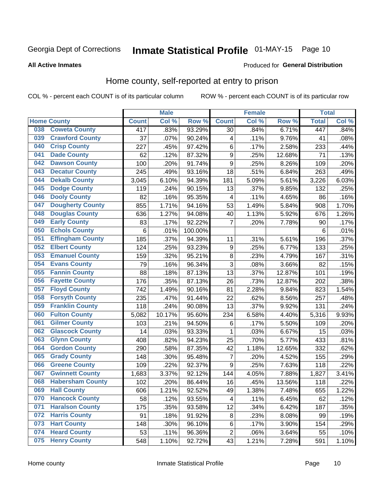# Inmate Statistical Profile 01-MAY-15 Page 10

#### **All Active Inmates**

#### Produced for General Distribution

### Home county, self-reported at entry to prison

COL % - percent each COUNT is of its particular column

|     |                         |              | <b>Male</b> |         |                  | <b>Female</b> |        | <b>Total</b> |       |
|-----|-------------------------|--------------|-------------|---------|------------------|---------------|--------|--------------|-------|
|     | <b>Home County</b>      | <b>Count</b> | Col %       | Row %   | <b>Count</b>     | Col %         | Row %  | <b>Total</b> | Col % |
| 038 | <b>Coweta County</b>    | 417          | .83%        | 93.29%  | 30               | .84%          | 6.71%  | 447          | .84%  |
| 039 | <b>Crawford County</b>  | 37           | .07%        | 90.24%  | 4                | .11%          | 9.76%  | 41           | .08%  |
| 040 | <b>Crisp County</b>     | 227          | .45%        | 97.42%  | $\,6$            | .17%          | 2.58%  | 233          | .44%  |
| 041 | <b>Dade County</b>      | 62           | .12%        | 87.32%  | $\boldsymbol{9}$ | .25%          | 12.68% | 71           | .13%  |
| 042 | <b>Dawson County</b>    | 100          | .20%        | 91.74%  | $\boldsymbol{9}$ | .25%          | 8.26%  | 109          | .20%  |
| 043 | <b>Decatur County</b>   | 245          | .49%        | 93.16%  | 18               | .51%          | 6.84%  | 263          | .49%  |
| 044 | <b>Dekalb County</b>    | 3,045        | 6.10%       | 94.39%  | 181              | 5.09%         | 5.61%  | 3,226        | 6.03% |
| 045 | <b>Dodge County</b>     | 119          | .24%        | 90.15%  | 13               | .37%          | 9.85%  | 132          | .25%  |
| 046 | <b>Dooly County</b>     | 82           | .16%        | 95.35%  | 4                | .11%          | 4.65%  | 86           | .16%  |
| 047 | <b>Dougherty County</b> | 855          | 1.71%       | 94.16%  | 53               | 1.49%         | 5.84%  | 908          | 1.70% |
| 048 | <b>Douglas County</b>   | 636          | 1.27%       | 94.08%  | 40               | 1.13%         | 5.92%  | 676          | 1.26% |
| 049 | <b>Early County</b>     | 83           | .17%        | 92.22%  | $\overline{7}$   | .20%          | 7.78%  | 90           | .17%  |
| 050 | <b>Echols County</b>    | 6            | .01%        | 100.00% |                  |               |        | 6            | .01%  |
| 051 | <b>Effingham County</b> | 185          | .37%        | 94.39%  | 11               | .31%          | 5.61%  | 196          | .37%  |
| 052 | <b>Elbert County</b>    | 124          | .25%        | 93.23%  | 9                | .25%          | 6.77%  | 133          | .25%  |
| 053 | <b>Emanuel County</b>   | 159          | .32%        | 95.21%  | 8                | .23%          | 4.79%  | 167          | .31%  |
| 054 | <b>Evans County</b>     | 79           | .16%        | 96.34%  | 3                | .08%          | 3.66%  | 82           | .15%  |
| 055 | <b>Fannin County</b>    | 88           | .18%        | 87.13%  | 13               | .37%          | 12.87% | 101          | .19%  |
| 056 | <b>Fayette County</b>   | 176          | .35%        | 87.13%  | 26               | .73%          | 12.87% | 202          | .38%  |
| 057 | <b>Floyd County</b>     | 742          | 1.49%       | 90.16%  | 81               | 2.28%         | 9.84%  | 823          | 1.54% |
| 058 | <b>Forsyth County</b>   | 235          | .47%        | 91.44%  | 22               | .62%          | 8.56%  | 257          | .48%  |
| 059 | <b>Franklin County</b>  | 118          | .24%        | 90.08%  | 13               | .37%          | 9.92%  | 131          | .24%  |
| 060 | <b>Fulton County</b>    | 5,082        | 10.17%      | 95.60%  | 234              | 6.58%         | 4.40%  | 5,316        | 9.93% |
| 061 | <b>Gilmer County</b>    | 103          | .21%        | 94.50%  | $\,6$            | .17%          | 5.50%  | 109          | .20%  |
| 062 | <b>Glascock County</b>  | 14           | .03%        | 93.33%  | 1                | .03%          | 6.67%  | 15           | .03%  |
| 063 | <b>Glynn County</b>     | 408          | .82%        | 94.23%  | 25               | .70%          | 5.77%  | 433          | .81%  |
| 064 | <b>Gordon County</b>    | 290          | .58%        | 87.35%  | 42               | 1.18%         | 12.65% | 332          | .62%  |
| 065 | <b>Grady County</b>     | 148          | .30%        | 95.48%  | $\overline{7}$   | .20%          | 4.52%  | 155          | .29%  |
| 066 | <b>Greene County</b>    | 109          | .22%        | 92.37%  | 9                | .25%          | 7.63%  | 118          | .22%  |
| 067 | <b>Gwinnett County</b>  | 1,683        | 3.37%       | 92.12%  | 144              | 4.05%         | 7.88%  | 1,827        | 3.41% |
| 068 | <b>Habersham County</b> | 102          | .20%        | 86.44%  | 16               | .45%          | 13.56% | 118          | .22%  |
| 069 | <b>Hall County</b>      | 606          | 1.21%       | 92.52%  | 49               | 1.38%         | 7.48%  | 655          | 1.22% |
| 070 | <b>Hancock County</b>   | 58           | .12%        | 93.55%  | 4                | .11%          | 6.45%  | 62           | .12%  |
| 071 | <b>Haralson County</b>  | 175          | .35%        | 93.58%  | 12               | .34%          | 6.42%  | 187          | .35%  |
| 072 | <b>Harris County</b>    | 91           | .18%        | 91.92%  | 8                | .23%          | 8.08%  | 99           | .19%  |
| 073 | <b>Hart County</b>      | 148          | .30%        | 96.10%  | $\,6$            | .17%          | 3.90%  | 154          | .29%  |
| 074 | <b>Heard County</b>     | 53           | .11%        | 96.36%  | $\overline{c}$   | .06%          | 3.64%  | 55           | .10%  |
| 075 | <b>Henry County</b>     | 548          | 1.10%       | 92.72%  | 43               | 1.21%         | 7.28%  | 591          | 1.10% |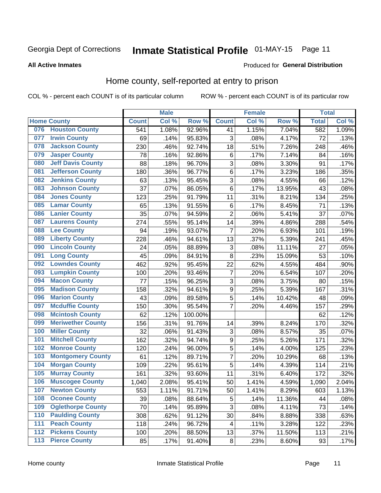# Inmate Statistical Profile 01-MAY-15 Page 11

#### **All Active Inmates**

### **Produced for General Distribution**

### Home county, self-reported at entry to prison

COL % - percent each COUNT is of its particular column

|                  |                          |                   | <b>Male</b> |         |                  | <b>Female</b> |        | <b>Total</b> |       |
|------------------|--------------------------|-------------------|-------------|---------|------------------|---------------|--------|--------------|-------|
|                  | <b>Home County</b>       | <b>Count</b>      | Col %       | Row %   | <b>Count</b>     | Col %         | Row %  | <b>Total</b> | Col % |
| 076              | <b>Houston County</b>    | $\overline{5}$ 41 | 1.08%       | 92.96%  | 41               | 1.15%         | 7.04%  | 582          | 1.09% |
| 077              | <b>Irwin County</b>      | 69                | .14%        | 95.83%  | 3                | .08%          | 4.17%  | 72           | .13%  |
| 078              | <b>Jackson County</b>    | 230               | .46%        | 92.74%  | 18               | .51%          | 7.26%  | 248          | .46%  |
| 079              | <b>Jasper County</b>     | 78                | .16%        | 92.86%  | 6                | .17%          | 7.14%  | 84           | .16%  |
| 080              | <b>Jeff Davis County</b> | 88                | .18%        | 96.70%  | 3                | .08%          | 3.30%  | 91           | .17%  |
| 081              | <b>Jefferson County</b>  | 180               | .36%        | 96.77%  | $\,6$            | .17%          | 3.23%  | 186          | .35%  |
| 082              | <b>Jenkins County</b>    | 63                | .13%        | 95.45%  | $\overline{3}$   | .08%          | 4.55%  | 66           | .12%  |
| 083              | <b>Johnson County</b>    | 37                | .07%        | 86.05%  | 6                | .17%          | 13.95% | 43           | .08%  |
| 084              | <b>Jones County</b>      | 123               | .25%        | 91.79%  | 11               | .31%          | 8.21%  | 134          | .25%  |
| 085              | <b>Lamar County</b>      | 65                | .13%        | 91.55%  | $\,6$            | .17%          | 8.45%  | 71           | .13%  |
| 086              | <b>Lanier County</b>     | 35                | .07%        | 94.59%  | $\overline{2}$   | .06%          | 5.41%  | 37           | .07%  |
| 087              | <b>Laurens County</b>    | 274               | .55%        | 95.14%  | 14               | .39%          | 4.86%  | 288          | .54%  |
| 088              | <b>Lee County</b>        | 94                | .19%        | 93.07%  | $\overline{7}$   | .20%          | 6.93%  | 101          | .19%  |
| 089              | <b>Liberty County</b>    | 228               | .46%        | 94.61%  | 13               | .37%          | 5.39%  | 241          | .45%  |
| 090              | <b>Lincoln County</b>    | 24                | .05%        | 88.89%  | 3                | .08%          | 11.11% | 27           | .05%  |
| 091              | <b>Long County</b>       | 45                | .09%        | 84.91%  | 8                | .23%          | 15.09% | 53           | .10%  |
| 092              | <b>Lowndes County</b>    | 462               | .92%        | 95.45%  | 22               | .62%          | 4.55%  | 484          | .90%  |
| 093              | <b>Lumpkin County</b>    | 100               | .20%        | 93.46%  | $\overline{7}$   | .20%          | 6.54%  | 107          | .20%  |
| 094              | <b>Macon County</b>      | 77                | .15%        | 96.25%  | $\overline{3}$   | .08%          | 3.75%  | 80           | .15%  |
| 095              | <b>Madison County</b>    | 158               | .32%        | 94.61%  | $\boldsymbol{9}$ | .25%          | 5.39%  | 167          | .31%  |
| 096              | <b>Marion County</b>     | 43                | .09%        | 89.58%  | 5                | .14%          | 10.42% | 48           | .09%  |
| 097              | <b>Mcduffie County</b>   | 150               | .30%        | 95.54%  | $\overline{7}$   | .20%          | 4.46%  | 157          | .29%  |
| 098              | <b>Mcintosh County</b>   | 62                | .12%        | 100.00% |                  |               |        | 62           | .12%  |
| 099              | <b>Meriwether County</b> | 156               | .31%        | 91.76%  | 14               | .39%          | 8.24%  | 170          | .32%  |
| 100              | <b>Miller County</b>     | 32                | .06%        | 91.43%  | 3                | .08%          | 8.57%  | 35           | .07%  |
| 101              | <b>Mitchell County</b>   | 162               | .32%        | 94.74%  | $\boldsymbol{9}$ | .25%          | 5.26%  | 171          | .32%  |
| 102              | <b>Monroe County</b>     | 120               | .24%        | 96.00%  | 5                | .14%          | 4.00%  | 125          | .23%  |
| 103              | <b>Montgomery County</b> | 61                | .12%        | 89.71%  | $\overline{7}$   | .20%          | 10.29% | 68           | .13%  |
| 104              | <b>Morgan County</b>     | 109               | .22%        | 95.61%  | 5                | .14%          | 4.39%  | 114          | .21%  |
| 105              | <b>Murray County</b>     | 161               | .32%        | 93.60%  | 11               | .31%          | 6.40%  | 172          | .32%  |
| 106              | <b>Muscogee County</b>   | 1,040             | 2.08%       | 95.41%  | 50               | 1.41%         | 4.59%  | 1,090        | 2.04% |
| 107              | <b>Newton County</b>     | 553               | 1.11%       | 91.71%  | 50               | 1.41%         | 8.29%  | 603          | 1.13% |
| 108              | <b>Oconee County</b>     | 39                | .08%        | 88.64%  | 5                | .14%          | 11.36% | 44           | .08%  |
| 109              | <b>Oglethorpe County</b> | 70                | .14%        | 95.89%  | $\overline{3}$   | .08%          | 4.11%  | 73           | .14%  |
| 110              | <b>Paulding County</b>   | 308               | .62%        | 91.12%  | 30               | .84%          | 8.88%  | 338          | .63%  |
| 111              | <b>Peach County</b>      | 118               | .24%        | 96.72%  | 4                | .11%          | 3.28%  | 122          | .23%  |
| $\overline{112}$ | <b>Pickens County</b>    | 100               | .20%        | 88.50%  | 13               | .37%          | 11.50% | 113          | .21%  |
| 113              | <b>Pierce County</b>     | 85                | .17%        | 91.40%  | $\bf 8$          | .23%          | 8.60%  | 93           | .17%  |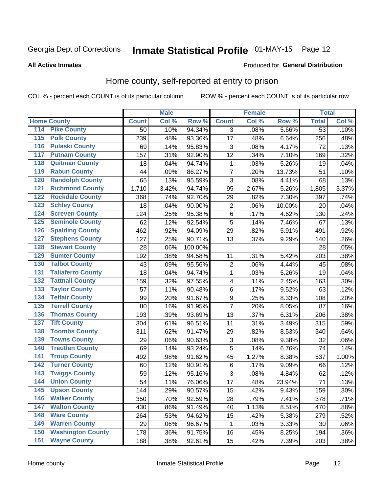# Inmate Statistical Profile 01-MAY-15 Page 12

#### **All Active Inmates**

#### Produced for General Distribution

### Home county, self-reported at entry to prison

COL % - percent each COUNT is of its particular column

|                                 |              | <b>Male</b> |                  |                  | <b>Female</b> |        | <b>Total</b>    |       |
|---------------------------------|--------------|-------------|------------------|------------------|---------------|--------|-----------------|-------|
| <b>Home County</b>              | <b>Count</b> | Col %       | Row <sup>%</sup> | <b>Count</b>     | Col %         | Row %  | <b>Total</b>    | Col % |
| 114<br><b>Pike County</b>       | 50           | .10%        | 94.34%           | 3                | .08%          | 5.66%  | $\overline{53}$ | .10%  |
| <b>Polk County</b><br>115       | 239          | .48%        | 93.36%           | 17               | .48%          | 6.64%  | 256             | .48%  |
| <b>Pulaski County</b><br>116    | 69           | .14%        | 95.83%           | 3                | .08%          | 4.17%  | 72              | .13%  |
| <b>Putnam County</b><br>117     | 157          | .31%        | 92.90%           | 12               | .34%          | 7.10%  | 169             | .32%  |
| 118<br><b>Quitman County</b>    | 18           | .04%        | 94.74%           | 1                | .03%          | 5.26%  | 19              | .04%  |
| <b>Rabun County</b><br>119      | 44           | .09%        | 86.27%           | $\overline{7}$   | .20%          | 13.73% | 51              | .10%  |
| <b>Randolph County</b><br>120   | 65           | .13%        | 95.59%           | 3                | .08%          | 4.41%  | 68              | .13%  |
| <b>Richmond County</b><br>121   | 1,710        | 3.42%       | 94.74%           | 95               | 2.67%         | 5.26%  | 1,805           | 3.37% |
| <b>Rockdale County</b><br>122   | 368          | .74%        | 92.70%           | 29               | .82%          | 7.30%  | 397             | .74%  |
| <b>Schley County</b><br>123     | 18           | .04%        | 90.00%           | $\overline{2}$   | .06%          | 10.00% | 20              | .04%  |
| <b>Screven County</b><br>124    | 124          | .25%        | 95.38%           | $\overline{6}$   | .17%          | 4.62%  | 130             | .24%  |
| <b>Seminole County</b><br>125   | 62           | .12%        | 92.54%           | 5                | .14%          | 7.46%  | 67              | .13%  |
| <b>Spalding County</b><br>126   | 462          | .92%        | 94.09%           | 29               | .82%          | 5.91%  | 491             | .92%  |
| <b>Stephens County</b><br>127   | 127          | .25%        | 90.71%           | 13               | .37%          | 9.29%  | 140             | .26%  |
| <b>Stewart County</b><br>128    | 28           | .06%        | 100.00%          |                  |               |        | 28              | .05%  |
| <b>Sumter County</b><br>129     | 192          | .38%        | 94.58%           | 11               | .31%          | 5.42%  | 203             | .38%  |
| <b>Talbot County</b><br>130     | 43           | .09%        | 95.56%           | 2                | .06%          | 4.44%  | 45              | .08%  |
| <b>Taliaferro County</b><br>131 | 18           | .04%        | 94.74%           | 1                | .03%          | 5.26%  | 19              | .04%  |
| <b>Tattnall County</b><br>132   | 159          | .32%        | 97.55%           | $\overline{4}$   | .11%          | 2.45%  | 163             | .30%  |
| <b>Taylor County</b><br>133     | 57           | .11%        | 90.48%           | $\,6$            | .17%          | 9.52%  | 63              | .12%  |
| <b>Telfair County</b><br>134    | 99           | .20%        | 91.67%           | $\boldsymbol{9}$ | .25%          | 8.33%  | 108             | .20%  |
| <b>Terrell County</b><br>135    | 80           | .16%        | 91.95%           | $\overline{7}$   | .20%          | 8.05%  | 87              | .16%  |
| <b>Thomas County</b><br>136     | 193          | .39%        | 93.69%           | 13               | .37%          | 6.31%  | 206             | .38%  |
| <b>Tift County</b><br>137       | 304          | .61%        | 96.51%           | 11               | .31%          | 3.49%  | 315             | .59%  |
| <b>Toombs County</b><br>138     | 311          | .62%        | 91.47%           | 29               | .82%          | 8.53%  | 340             | .64%  |
| <b>Towns County</b><br>139      | 29           | .06%        | 90.63%           | 3                | .08%          | 9.38%  | 32              | .06%  |
| <b>Treutlen County</b><br>140   | 69           | .14%        | 93.24%           | $\overline{5}$   | .14%          | 6.76%  | 74              | .14%  |
| <b>Troup County</b><br>141      | 492          | .98%        | 91.62%           | 45               | 1.27%         | 8.38%  | 537             | 1.00% |
| <b>Turner County</b><br>142     | 60           | .12%        | 90.91%           | 6                | .17%          | 9.09%  | 66              | .12%  |
| <b>Twiggs County</b><br>143     | 59           | .12%        | 95.16%           | 3                | .08%          | 4.84%  | 62              | .12%  |
| <b>Union County</b><br>144      | 54           | .11%        | 76.06%           | 17               | .48%          | 23.94% | 71              | .13%  |
| 145<br><b>Upson County</b>      | 144          | .29%        | 90.57%           | 15               | .42%          | 9.43%  | 159             | .30%  |
| <b>Walker County</b><br>146     | 350          | .70%        | 92.59%           | 28               | .79%          | 7.41%  | 378             | .71%  |
| <b>Walton County</b><br>147     | 430          | .86%        | 91.49%           | 40               | 1.13%         | 8.51%  | 470             | .88%  |
| <b>Ware County</b><br>148       | 264          | .53%        | 94.62%           | 15               | .42%          | 5.38%  | 279             | .52%  |
| <b>Warren County</b><br>149     | 29           | .06%        | 96.67%           | 1                | .03%          | 3.33%  | 30              | .06%  |
| <b>Washington County</b><br>150 | 178          | .36%        | 91.75%           | 16               | .45%          | 8.25%  | 194             | .36%  |
| <b>Wayne County</b><br>151      | 188          | .38%        | 92.61%           | 15               | .42%          | 7.39%  | 203             | .38%  |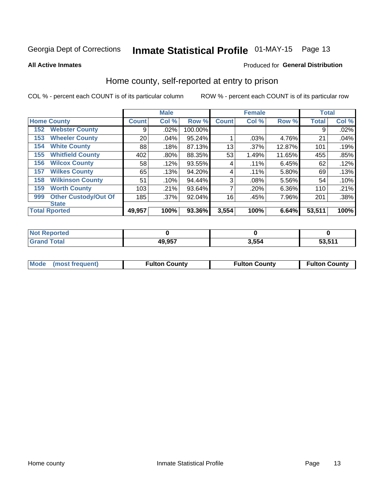# Inmate Statistical Profile 01-MAY-15 Page 13

**All Active Inmates** 

#### Produced for General Distribution

### Home county, self-reported at entry to prison

COL % - percent each COUNT is of its particular column

|     |                             |              | <b>Male</b> |         |              | <b>Female</b> |          | <b>Total</b> |       |
|-----|-----------------------------|--------------|-------------|---------|--------------|---------------|----------|--------------|-------|
|     | <b>Home County</b>          | <b>Count</b> | Col %       | Row %   | <b>Count</b> | Col %         | Row %    | <b>Total</b> | Col % |
| 152 | <b>Webster County</b>       | 9            | .02%        | 100.00% |              |               |          | 9            | .02%  |
| 153 | <b>Wheeler County</b>       | 20           | .04%        | 95.24%  |              | .03%          | 4.76%    | 21           | .04%  |
| 154 | <b>White County</b>         | 88           | .18%        | 87.13%  | 13           | .37%          | 12.87%   | 101          | .19%  |
| 155 | <b>Whitfield County</b>     | 402          | .80%        | 88.35%  | 53           | 1.49%         | 11.65%   | 455          | .85%  |
| 156 | <b>Wilcox County</b>        | 58           | .12%        | 93.55%  | 4            | .11%          | 6.45%    | 62           | .12%  |
| 157 | <b>Wilkes County</b>        | 65           | .13%        | 94.20%  | 4            | .11%          | 5.80%    | 69           | .13%  |
| 158 | <b>Wilkinson County</b>     | 51           | .10%        | 94.44%  | 3            | .08%          | 5.56%    | 54           | .10%  |
| 159 | <b>Worth County</b>         | 103          | .21%        | 93.64%  | 7            | .20%          | $6.36\%$ | 110          | .21%  |
| 999 | <b>Other Custody/Out Of</b> | 185          | .37%        | 92.04%  | 16           | .45%          | 7.96%    | 201          | .38%  |
|     | <b>State</b>                |              |             |         |              |               |          |              |       |
|     | <b>Total Rported</b>        | 49,957       | 100%        | 93.36%  | 3,554        | 100%          | 6.64%    | 53,511       | 100%  |

| reo |        |                     |                 |
|-----|--------|---------------------|-----------------|
|     | 49 957 | $^{\circ}$ . F.F. 4 | ES EAA<br><br>. |

|  | Mode (most frequent) | <b>Fulton County</b> | <b>Fulton County</b> | <b>Fulton County</b> |
|--|----------------------|----------------------|----------------------|----------------------|
|--|----------------------|----------------------|----------------------|----------------------|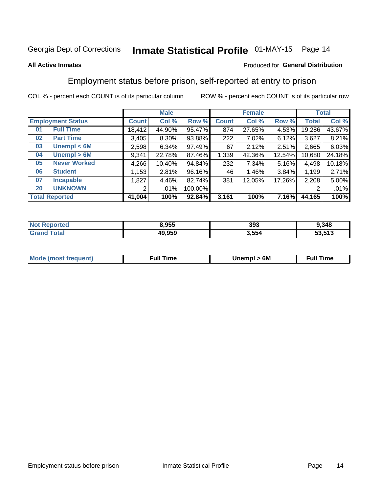# Inmate Statistical Profile 01-MAY-15 Page 14

#### **All Active Inmates**

### Produced for General Distribution

### Employment status before prison, self-reported at entry to prison

COL % - percent each COUNT is of its particular column

|                                    |              | <b>Male</b> |         |              | <b>Female</b> |        |        | <b>Total</b> |
|------------------------------------|--------------|-------------|---------|--------------|---------------|--------|--------|--------------|
| <b>Employment Status</b>           | <b>Count</b> | Col %       | Row %   | <b>Count</b> | Col %         | Row %  | Total  | Col %        |
| <b>Full Time</b><br>0 <sub>1</sub> | 18,412       | 44.90%      | 95.47%  | 874          | 27.65%        | 4.53%  | 19,286 | 43.67%       |
| <b>Part Time</b><br>02             | 3,405        | 8.30%       | 93.88%  | 222          | 7.02%         | 6.12%  | 3,627  | 8.21%        |
| Unempl $<$ 6M<br>03                | 2,598        | 6.34%       | 97.49%  | 67           | 2.12%         | 2.51%  | 2,665  | 6.03%        |
| Unempl > 6M<br>04                  | 9,341        | 22.78%      | 87.46%  | 1,339        | 42.36%        | 12.54% | 10,680 | 24.18%       |
| <b>Never Worked</b><br>05          | 4,266        | 10.40%      | 94.84%  | 232          | 7.34%         | 5.16%  | 4,498  | 10.18%       |
| <b>Student</b><br>06               | 1,153        | 2.81%       | 96.16%  | 46           | 1.46%         | 3.84%  | 1,199  | 2.71%        |
| <b>Incapable</b><br>07             | 1,827        | 4.46%       | 82.74%  | 381          | 12.05%        | 17.26% | 2,208  | 5.00%        |
| <b>UNKNOWN</b><br>20               | 2            | .01%        | 100.00% |              |               |        | 2      | .01%         |
| <b>Total Reported</b>              | 41,004       | 100%        | 92.84%  | 3,161        | 100%          | 7.16%  | 44,165 | 100%         |

| <b>Not Reported</b> | 8,955  | 393   | 9,348  |
|---------------------|--------|-------|--------|
| <b>Grand Total</b>  | 49,959 | 3,554 | 53,513 |

| <b>Mode (most frequent)</b> | 6M<br><b>Jnempl</b> | <b>Full Time</b> |
|-----------------------------|---------------------|------------------|
|                             |                     |                  |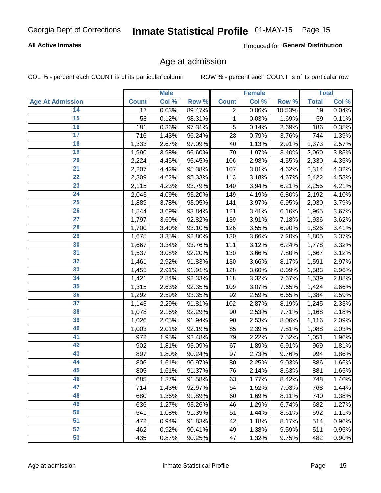### **All Active Inmates**

Produced for General Distribution

### Age at admission

COL % - percent each COUNT is of its particular column

|                         |              | <b>Male</b> |        |              | <b>Female</b> |        |              | <b>Total</b> |
|-------------------------|--------------|-------------|--------|--------------|---------------|--------|--------------|--------------|
| <b>Age At Admission</b> | <b>Count</b> | Col %       | Row %  | <b>Count</b> | Col %         | Row %  | <b>Total</b> | Col %        |
| 14                      | 17           | 0.03%       | 89.47% | 2            | 0.06%         | 10.53% | 19           | 0.04%        |
| $\overline{15}$         | 58           | 0.12%       | 98.31% | $\mathbf{1}$ | 0.03%         | 1.69%  | 59           | 0.11%        |
| 16                      | 181          | 0.36%       | 97.31% | 5            | 0.14%         | 2.69%  | 186          | 0.35%        |
| $\overline{17}$         | 716          | 1.43%       | 96.24% | 28           | 0.79%         | 3.76%  | 744          | 1.39%        |
| $\overline{18}$         | 1,333        | 2.67%       | 97.09% | 40           | 1.13%         | 2.91%  | 1,373        | 2.57%        |
| 19                      | 1,990        | 3.98%       | 96.60% | 70           | 1.97%         | 3.40%  | 2,060        | 3.85%        |
| $\overline{20}$         | 2,224        | 4.45%       | 95.45% | 106          | 2.98%         | 4.55%  | 2,330        | 4.35%        |
| $\overline{21}$         | 2,207        | 4.42%       | 95.38% | 107          | 3.01%         | 4.62%  | 2,314        | 4.32%        |
| $\overline{22}$         | 2,309        | 4.62%       | 95.33% | 113          | 3.18%         | 4.67%  | 2,422        | 4.53%        |
| 23                      | 2,115        | 4.23%       | 93.79% | 140          | 3.94%         | 6.21%  | 2,255        | 4.21%        |
| $\overline{24}$         | 2,043        | 4.09%       | 93.20% | 149          | 4.19%         | 6.80%  | 2,192        | 4.10%        |
| 25                      | 1,889        | 3.78%       | 93.05% | 141          | 3.97%         | 6.95%  | 2,030        | 3.79%        |
| $\overline{26}$         | 1,844        | 3.69%       | 93.84% | 121          | 3.41%         | 6.16%  | 1,965        | 3.67%        |
| $\overline{27}$         | 1,797        | 3.60%       | 92.82% | 139          | 3.91%         | 7.18%  | 1,936        | 3.62%        |
| 28                      | 1,700        | 3.40%       | 93.10% | 126          | 3.55%         | 6.90%  | 1,826        | 3.41%        |
| 29                      | 1,675        | 3.35%       | 92.80% | 130          | 3.66%         | 7.20%  | 1,805        | 3.37%        |
| 30                      | 1,667        | 3.34%       | 93.76% | 111          | 3.12%         | 6.24%  | 1,778        | 3.32%        |
| $\overline{31}$         | 1,537        | 3.08%       | 92.20% | 130          | 3.66%         | 7.80%  | 1,667        | 3.12%        |
| 32                      | 1,461        | 2.92%       | 91.83% | 130          | 3.66%         | 8.17%  | 1,591        | 2.97%        |
| 33                      | 1,455        | 2.91%       | 91.91% | 128          | 3.60%         | 8.09%  | 1,583        | 2.96%        |
| 34                      | 1,421        | 2.84%       | 92.33% | 118          | 3.32%         | 7.67%  | 1,539        | 2.88%        |
| 35                      | 1,315        | 2.63%       | 92.35% | 109          | 3.07%         | 7.65%  | 1,424        | 2.66%        |
| 36                      | 1,292        | 2.59%       | 93.35% | 92           | 2.59%         | 6.65%  | 1,384        | 2.59%        |
| $\overline{37}$         | 1,143        | 2.29%       | 91.81% | 102          | 2.87%         | 8.19%  | 1,245        | 2.33%        |
| 38                      | 1,078        | 2.16%       | 92.29% | 90           | 2.53%         | 7.71%  | 1,168        | 2.18%        |
| 39                      | 1,026        | 2.05%       | 91.94% | 90           | 2.53%         | 8.06%  | 1,116        | 2.09%        |
| 40                      | 1,003        | 2.01%       | 92.19% | 85           | 2.39%         | 7.81%  | 1,088        | 2.03%        |
| 41                      | 972          | 1.95%       | 92.48% | 79           | 2.22%         | 7.52%  | 1,051        | 1.96%        |
| 42                      | 902          | 1.81%       | 93.09% | 67           | 1.89%         | 6.91%  | 969          | 1.81%        |
| 43                      | 897          | 1.80%       | 90.24% | 97           | 2.73%         | 9.76%  | 994          | 1.86%        |
| 44                      | 806          | 1.61%       | 90.97% | 80           | 2.25%         | 9.03%  | 886          | 1.66%        |
| 45                      | 805          | 1.61%       | 91.37% | 76           | 2.14%         | 8.63%  | 881          | 1.65%        |
| 46                      | 685          | 1.37%       | 91.58% | 63           | 1.77%         | 8.42%  | 748          | 1.40%        |
| 47                      | 714          | 1.43%       | 92.97% | 54           | 1.52%         | 7.03%  | 768          | 1.44%        |
| 48                      | 680          | 1.36%       | 91.89% | 60           | 1.69%         | 8.11%  | 740          | 1.38%        |
| 49                      | 636          | 1.27%       | 93.26% | 46           | 1.29%         | 6.74%  | 682          | 1.27%        |
| 50                      | 541          | 1.08%       | 91.39% | 51           | 1.44%         | 8.61%  | 592          | 1.11%        |
| 51                      | 472          | 0.94%       | 91.83% | 42           | 1.18%         | 8.17%  | 514          | 0.96%        |
| 52                      | 462          | 0.92%       | 90.41% | 49           | 1.38%         | 9.59%  | 511          | 0.95%        |
| 53                      | 435          | 0.87%       | 90.25% | 47           | 1.32%         | 9.75%  | 482          | 0.90%        |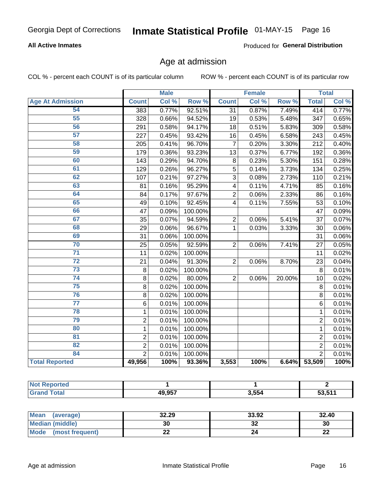### **All Active Inmates**

Produced for General Distribution

## Age at admission

COL % - percent each COUNT is of its particular column

|                         |                | <b>Male</b> |         |                 | <b>Female</b> |                  |                 | <b>Total</b> |
|-------------------------|----------------|-------------|---------|-----------------|---------------|------------------|-----------------|--------------|
| <b>Age At Admission</b> | <b>Count</b>   | Col %       | Row %   | <b>Count</b>    | Col %         | Row <sup>%</sup> | <b>Total</b>    | Col %        |
| 54                      | 383            | 0.77%       | 92.51%  | $\overline{31}$ | 0.87%         | 7.49%            | 414             | 0.77%        |
| 55                      | 328            | 0.66%       | 94.52%  | 19              | 0.53%         | 5.48%            | 347             | 0.65%        |
| 56                      | 291            | 0.58%       | 94.17%  | 18              | 0.51%         | 5.83%            | 309             | 0.58%        |
| 57                      | 227            | 0.45%       | 93.42%  | 16              | 0.45%         | 6.58%            | 243             | 0.45%        |
| 58                      | 205            | 0.41%       | 96.70%  | $\overline{7}$  | 0.20%         | 3.30%            | 212             | 0.40%        |
| 59                      | 179            | 0.36%       | 93.23%  | 13              | 0.37%         | 6.77%            | 192             | 0.36%        |
| 60                      | 143            | 0.29%       | 94.70%  | 8               | 0.23%         | 5.30%            | 151             | 0.28%        |
| 61                      | 129            | 0.26%       | 96.27%  | 5               | 0.14%         | 3.73%            | 134             | 0.25%        |
| 62                      | 107            | 0.21%       | 97.27%  | $\overline{3}$  | 0.08%         | 2.73%            | 110             | 0.21%        |
| 63                      | 81             | 0.16%       | 95.29%  | $\overline{4}$  | 0.11%         | 4.71%            | 85              | 0.16%        |
| 64                      | 84             | 0.17%       | 97.67%  | $\overline{2}$  | 0.06%         | 2.33%            | 86              | 0.16%        |
| 65                      | 49             | 0.10%       | 92.45%  | 4               | 0.11%         | 7.55%            | 53              | 0.10%        |
| 66                      | 47             | 0.09%       | 100.00% |                 |               |                  | 47              | 0.09%        |
| 67                      | 35             | 0.07%       | 94.59%  | $\overline{2}$  | 0.06%         | 5.41%            | $\overline{37}$ | 0.07%        |
| 68                      | 29             | 0.06%       | 96.67%  | $\mathbf{1}$    | 0.03%         | 3.33%            | 30              | 0.06%        |
| 69                      | 31             | 0.06%       | 100.00% |                 |               |                  | 31              | 0.06%        |
| 70                      | 25             | 0.05%       | 92.59%  | $\overline{2}$  | 0.06%         | 7.41%            | 27              | 0.05%        |
| $\overline{71}$         | 11             | 0.02%       | 100.00% |                 |               |                  | 11              | 0.02%        |
| $\overline{72}$         | 21             | 0.04%       | 91.30%  | $\overline{2}$  | 0.06%         | 8.70%            | 23              | 0.04%        |
| 73                      | $\bf 8$        | 0.02%       | 100.00% |                 |               |                  | 8               | 0.01%        |
| 74                      | $\bf 8$        | 0.02%       | 80.00%  | $\overline{2}$  | 0.06%         | 20.00%           | 10              | 0.02%        |
| 75                      | 8              | 0.02%       | 100.00% |                 |               |                  | 8               | 0.01%        |
| 76                      | $\bf 8$        | 0.02%       | 100.00% |                 |               |                  | 8               | 0.01%        |
| $\overline{77}$         | 6              | 0.01%       | 100.00% |                 |               |                  | 6               | 0.01%        |
| 78                      | 1              | 0.01%       | 100.00% |                 |               |                  | 1               | 0.01%        |
| 79                      | $\overline{c}$ | 0.01%       | 100.00% |                 |               |                  | $\overline{2}$  | 0.01%        |
| 80                      | $\mathbf 1$    | 0.01%       | 100.00% |                 |               |                  | 1               | 0.01%        |
| 81                      | $\overline{2}$ | 0.01%       | 100.00% |                 |               |                  | $\overline{2}$  | 0.01%        |
| $\overline{82}$         | $\overline{c}$ | 0.01%       | 100.00% |                 |               |                  | $\overline{2}$  | 0.01%        |
| 84                      | $\overline{2}$ | 0.01%       | 100.00% |                 |               |                  | $\overline{2}$  | 0.01%        |
| <b>Total Reported</b>   | 49,956         | 100%        | 93.36%  | 3,553           | 100%          | 6.64%            | 53,509          | 100%         |

| Reported<br>NOT. |        |       |                          |
|------------------|--------|-------|--------------------------|
| <b>d Total</b>   | 49,957 | 3,554 | ES EAA<br><b>ວວ.ວ</b> ⊺. |

| <b>Mean</b><br>(average)       | 32.29 | 33.92   | 32.40    |
|--------------------------------|-------|---------|----------|
| Median (middle)                | 30    | ົ<br>ॐ∠ | 30       |
| <b>Mode</b><br>(most frequent) | ∸∸    |         | n,<br>LL |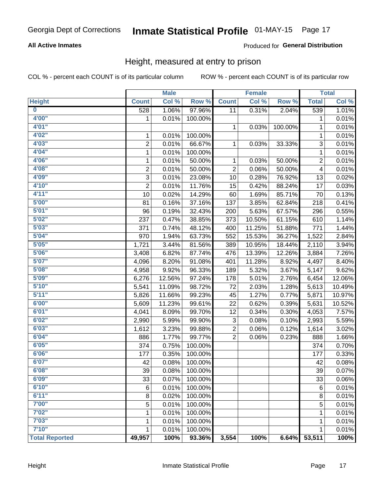### **All Active Inmates**

### Produced for General Distribution

### Height, measured at entry to prison

COL % - percent each COUNT is of its particular column

|                         |                | <b>Male</b> |         |                | <b>Female</b> |         |              | <b>Total</b> |
|-------------------------|----------------|-------------|---------|----------------|---------------|---------|--------------|--------------|
| <b>Height</b>           | <b>Count</b>   | Col %       | Row %   | <b>Count</b>   | Col %         | Row %   | <b>Total</b> | Col %        |
| $\overline{\mathbf{0}}$ | 528            | 1.06%       | 97.96%  | 11             | 0.31%         | 2.04%   | 539          | 1.01%        |
| 4'00"                   | 1              | 0.01%       | 100.00% |                |               |         | 1            | 0.01%        |
| 4'01''                  |                |             |         | 1              | 0.03%         | 100.00% | 1            | 0.01%        |
| 4'02"                   | 1              | 0.01%       | 100.00% |                |               |         | 1            | 0.01%        |
| 4'03''                  | $\overline{2}$ | 0.01%       | 66.67%  | $\mathbf{1}$   | 0.03%         | 33.33%  | $\sqrt{3}$   | 0.01%        |
| 4'04"                   | $\mathbf{1}$   | 0.01%       | 100.00% |                |               |         | 1            | 0.01%        |
| 4'06"                   | 1              | 0.01%       | 50.00%  | 1              | 0.03%         | 50.00%  | 2            | 0.01%        |
| 4'08"                   | $\overline{2}$ | 0.01%       | 50.00%  | $\overline{2}$ | 0.06%         | 50.00%  | 4            | 0.01%        |
| 4'09"                   | 3              | 0.01%       | 23.08%  | 10             | 0.28%         | 76.92%  | 13           | 0.02%        |
| 4'10"                   | $\overline{2}$ | 0.01%       | 11.76%  | 15             | 0.42%         | 88.24%  | 17           | 0.03%        |
| 4'11''                  | 10             | 0.02%       | 14.29%  | 60             | 1.69%         | 85.71%  | 70           | 0.13%        |
| 5'00''                  | 81             | 0.16%       | 37.16%  | 137            | 3.85%         | 62.84%  | 218          | 0.41%        |
| 5'01''                  | 96             | 0.19%       | 32.43%  | 200            | 5.63%         | 67.57%  | 296          | 0.55%        |
| 5'02"                   | 237            | 0.47%       | 38.85%  | 373            | 10.50%        | 61.15%  | 610          | 1.14%        |
| 5'03''                  | 371            | 0.74%       | 48.12%  | 400            | 11.25%        | 51.88%  | 771          | 1.44%        |
| 5'04"                   | 970            | 1.94%       | 63.73%  | 552            | 15.53%        | 36.27%  | 1,522        | 2.84%        |
| 5'05"                   | 1,721          | 3.44%       | 81.56%  | 389            | 10.95%        | 18.44%  | 2,110        | 3.94%        |
| 5'06''                  | 3,408          | 6.82%       | 87.74%  | 476            | 13.39%        | 12.26%  | 3,884        | 7.26%        |
| 5'07"                   | 4,096          | 8.20%       | 91.08%  | 401            | 11.28%        | 8.92%   | 4,497        | 8.40%        |
| 5'08''                  | 4,958          | 9.92%       | 96.33%  | 189            | 5.32%         | 3.67%   | 5,147        | 9.62%        |
| 5'09''                  | 6,276          | 12.56%      | 97.24%  | 178            | 5.01%         | 2.76%   | 6,454        | 12.06%       |
| 5'10''                  | 5,541          | 11.09%      | 98.72%  | 72             | 2.03%         | 1.28%   | 5,613        | 10.49%       |
| 5'11"                   | 5,826          | 11.66%      | 99.23%  | 45             | 1.27%         | 0.77%   | 5,871        | 10.97%       |
| 6'00''                  | 5,609          | 11.23%      | 99.61%  | 22             | 0.62%         | 0.39%   | 5,631        | 10.52%       |
| 6'01''                  | 4,041          | 8.09%       | 99.70%  | 12             | 0.34%         | 0.30%   | 4,053        | 7.57%        |
| 6'02"                   | 2,990          | 5.99%       | 99.90%  | 3              | 0.08%         | 0.10%   | 2,993        | 5.59%        |
| 6'03''                  | 1,612          | 3.23%       | 99.88%  | $\overline{c}$ | 0.06%         | 0.12%   | 1,614        | 3.02%        |
| 6'04"                   | 886            | 1.77%       | 99.77%  | $\overline{2}$ | 0.06%         | 0.23%   | 888          | 1.66%        |
| 6'05"                   | 374            | 0.75%       | 100.00% |                |               |         | 374          | 0.70%        |
| 6'06''                  | 177            | 0.35%       | 100.00% |                |               |         | 177          | 0.33%        |
| 6'07''                  | 42             | 0.08%       | 100.00% |                |               |         | 42           | 0.08%        |
| 6'08"                   | 39             | 0.08%       | 100.00% |                |               |         | 39           | 0.07%        |
| 6'09''                  | 33             | 0.07%       | 100.00% |                |               |         | 33           | 0.06%        |
| 6'10''                  | 6              | 0.01%       | 100.00% |                |               |         | 6            | 0.01%        |
| 6'11''                  | 8              | 0.02%       | 100.00% |                |               |         | 8            | 0.01%        |
| 7'00"                   | 5              | 0.01%       | 100.00% |                |               |         | 5            | 0.01%        |
| 7'02"                   | 1              | 0.01%       | 100.00% |                |               |         | 1            | 0.01%        |
| 7'03''                  | 1              | 0.01%       | 100.00% |                |               |         | 1            | 0.01%        |
| 7'10''                  | 1              | 0.01%       | 100.00% |                |               |         | 1            | 0.01%        |
| <b>Total Reported</b>   | 49,957         | 100%        | 93.36%  | 3,554          | 100%          | 6.64%   | 53,511       | 100%         |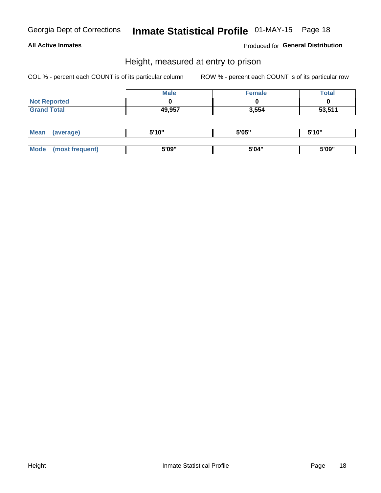### **All Active Inmates**

Produced for General Distribution

### Height, measured at entry to prison

COL % - percent each COUNT is of its particular column

|                     | <b>Male</b> | Female | Total  |
|---------------------|-------------|--------|--------|
| <b>Not Reported</b> |             |        |        |
| <b>Grand Total</b>  | 49,957      | 3,554  | 53,511 |

| <b>Mean</b> | erage) | 5'10" | 5'05" | <b>CIA AIL</b><br>. . |
|-------------|--------|-------|-------|-----------------------|
|             |        |       |       |                       |
| <b>Mode</b> |        | 5'09" | 5'04" | 5'09"                 |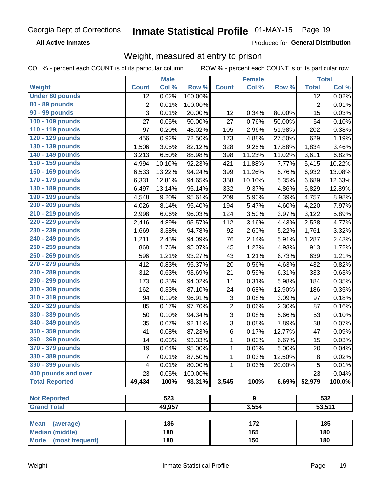**All Active Inmates** 

Produced for General Distribution

### Weight, measured at entry to prison

COL % - percent each COUNT is of its particular column ROW % - percent each COUNT is of its particular row

|                                |                | <b>Male</b> |         |                | <b>Female</b> |        |                | <b>Total</b>        |
|--------------------------------|----------------|-------------|---------|----------------|---------------|--------|----------------|---------------------|
| <b>Weight</b>                  | <b>Count</b>   | Col %       | Row %   | <b>Count</b>   | Col %         | Row %  | <b>Total</b>   | Col %               |
| <b>Under 80 pounds</b>         | 12             | 0.02%       | 100.00% |                |               |        | 12             | 0.02%               |
| 80 - 89 pounds                 | $\mathbf 2$    | 0.01%       | 100.00% |                |               |        | $\overline{2}$ | 0.01%               |
| 90 - 99 pounds                 | 3              | 0.01%       | 20.00%  | 12             | 0.34%         | 80.00% | 15             | 0.03%               |
| 100 - 109 pounds               | 27             | 0.05%       | 50.00%  | 27             | 0.76%         | 50.00% | 54             | 0.10%               |
| 110 - 119 pounds               | 97             | 0.20%       | 48.02%  | 105            | 2.96%         | 51.98% | 202            | 0.38%               |
| 120 - 129 pounds               | 456            | 0.92%       | 72.50%  | 173            | 4.88%         | 27.50% | 629            | 1.19%               |
| 130 - 139 pounds               | 1,506          | 3.05%       | 82.12%  | 328            | 9.25%         | 17.88% | 1,834          | 3.46%               |
| 140 - 149 pounds               | 3,213          | 6.50%       | 88.98%  | 398            | 11.23%        | 11.02% | 3,611          | 6.82%               |
| 150 - 159 pounds               | 4,994          | 10.10%      | 92.23%  | 421            | 11.88%        | 7.77%  | 5,415          | 10.22%              |
| 160 - 169 pounds               | 6,533          | 13.22%      | 94.24%  | 399            | 11.26%        | 5.76%  | 6,932          | 13.08%              |
| 170 - 179 pounds               | 6,331          | 12.81%      | 94.65%  | 358            | 10.10%        | 5.35%  | 6,689          | 12.63%              |
| 180 - 189 pounds               | 6,497          | 13.14%      | 95.14%  | 332            | 9.37%         | 4.86%  | 6,829          | 12.89%              |
| 190 - 199 pounds               | 4,548          | 9.20%       | 95.61%  | 209            | 5.90%         | 4.39%  | 4,757          | 8.98%               |
| 200 - 209 pounds               | 4,026          | 8.14%       | 95.40%  | 194            | 5.47%         | 4.60%  | 4,220          | 7.97%               |
| 210 - 219 pounds               | 2,998          | 6.06%       | 96.03%  | 124            | 3.50%         | 3.97%  | 3,122          | 5.89%               |
| 220 - 229 pounds               | 2,416          | 4.89%       | 95.57%  | 112            | 3.16%         | 4.43%  | 2,528          | 4.77%               |
| 230 - 239 pounds               | 1,669          | 3.38%       | 94.78%  | 92             | 2.60%         | 5.22%  | 1,761          | 3.32%               |
| 240 - 249 pounds               | 1,211          | 2.45%       | 94.09%  | 76             | 2.14%         | 5.91%  | 1,287          | 2.43%               |
| 250 - 259 pounds               | 868            | 1.76%       | 95.07%  | 45             | 1.27%         | 4.93%  | 913            | 1.72%               |
| 260 - 269 pounds               | 596            | 1.21%       | 93.27%  | 43             | 1.21%         | 6.73%  | 639            | 1.21%               |
| 270 - 279 pounds               | 412            | 0.83%       | 95.37%  | 20             | 0.56%         | 4.63%  | 432            | 0.82%               |
| 280 - 289 pounds               | 312            | 0.63%       | 93.69%  | 21             | 0.59%         | 6.31%  | 333            | 0.63%               |
| 290 - 299 pounds               | 173            | 0.35%       | 94.02%  | 11             | 0.31%         | 5.98%  | 184            | 0.35%               |
| 300 - 309 pounds               | 162            | 0.33%       | 87.10%  | 24             | 0.68%         | 12.90% | 186            | 0.35%               |
| 310 - 319 pounds               | 94             | 0.19%       | 96.91%  | 3              | 0.08%         | 3.09%  | 97             | 0.18%               |
| 320 - 329 pounds               | 85             | 0.17%       | 97.70%  | $\overline{2}$ | 0.06%         | 2.30%  | 87             | 0.16%               |
| 330 - 339 pounds               | 50             | 0.10%       | 94.34%  | 3              | 0.08%         | 5.66%  | 53             | $\overline{0.10\%}$ |
| 340 - 349 pounds               | 35             | 0.07%       | 92.11%  | 3              | 0.08%         | 7.89%  | 38             | 0.07%               |
| 350 - 359 pounds               | 41             | 0.08%       | 87.23%  | 6              | 0.17%         | 12.77% | 47             | 0.09%               |
| 360 - 369 pounds               | 14             | 0.03%       | 93.33%  | 1              | 0.03%         | 6.67%  | 15             | 0.03%               |
| 370 - 379 pounds               | 19             | 0.04%       | 95.00%  | 1              | 0.03%         | 5.00%  | 20             | 0.04%               |
| 380 - 389 pounds               | $\overline{7}$ | 0.01%       | 87.50%  | 1              | 0.03%         | 12.50% | 8              | 0.02%               |
| 390 - 399 pounds               | 4              | 0.01%       | 80.00%  | 1              | 0.03%         | 20.00% | 5              | 0.01%               |
| 400 pounds and over            | 23             | 0.05%       | 100.00% |                |               |        | 23             | $\overline{0.04\%}$ |
| <b>Total Reported</b>          | 49,434         | 100%        | 93.31%  | 3,545          | 100%          | 6.69%  | 52,979         | 100.0%              |
|                                |                |             |         |                |               |        |                |                     |
| <b>Not Reported</b>            |                | 523         |         |                | 9             |        |                | 532                 |
| <b>Grand Total</b>             |                | 49,957      |         |                | 3,554         |        |                | 53,511              |
| <b>Mean</b><br>(average)       |                | 186         |         |                | 172           |        |                | 185                 |
| <b>Median (middle)</b>         |                | 180         |         |                | 165           |        |                | 180                 |
| <b>Mode</b><br>(most frequent) |                | 180         |         |                | 150           |        |                | 180                 |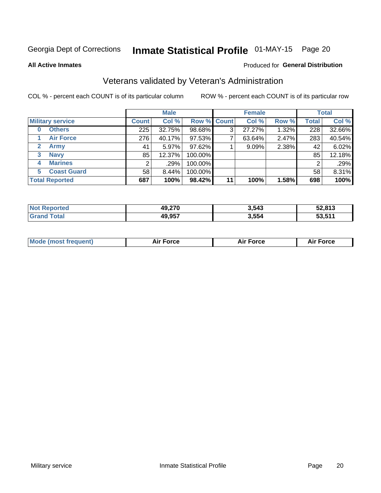# Inmate Statistical Profile 01-MAY-15 Page 20

**All Active Inmates** 

#### Produced for General Distribution

### Veterans validated by Veteran's Administration

COL % - percent each COUNT is of its particular column

|                          | <b>Male</b>  |          |                    | <b>Female</b> |        |       | <b>Total</b> |        |
|--------------------------|--------------|----------|--------------------|---------------|--------|-------|--------------|--------|
| <b>Military service</b>  | <b>Count</b> | Col %    | <b>Row % Count</b> |               | Col %  | Row % | <b>Total</b> | Col %  |
| <b>Others</b><br>0       | 225          | 32.75%   | 98.68%             | 3             | 27.27% | 1.32% | 228          | 32.66% |
| <b>Air Force</b>         | 276          | 40.17%   | 97.53%             |               | 63.64% | 2.47% | 283          | 40.54% |
| <b>Army</b><br>2         | 41           | 5.97%    | 97.62%             |               | 9.09%  | 2.38% | 42           | 6.02%  |
| <b>Navy</b><br>3         | 85           | 12.37%   | 100.00%            |               |        |       | 85           | 12.18% |
| <b>Marines</b><br>4      |              | .29%     | 100.00%            |               |        |       | 2            | .29%   |
| <b>Coast Guard</b><br>5. | 58           | $8.44\%$ | 100.00%            |               |        |       | 58           | 8.31%  |
| <b>Total Reported</b>    | 687          | 100%     | 98.42%             | 11            | 100%   | 1.58% | 698          | 100%   |

| <b>Not</b><br><b>Reported</b> | 49,270 | 3,543 | 52,813             |
|-------------------------------|--------|-------|--------------------|
| <b>Total</b>                  | 49,957 | 3,554 | こ? 511<br>JJ.J I I |

| <b>Mode (most frequent)</b><br>Force<br><b>Force</b><br>orce<br>Aır |
|---------------------------------------------------------------------|
|---------------------------------------------------------------------|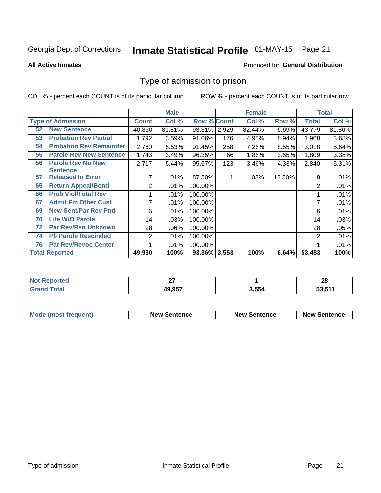# Inmate Statistical Profile 01-MAY-15 Page 21

**All Active Inmates** 

#### Produced for General Distribution

### Type of admission to prison

COL % - percent each COUNT is of its particular column

|    |                                |              | <b>Male</b> |                    |     | <b>Female</b> |        |              | <b>Total</b> |
|----|--------------------------------|--------------|-------------|--------------------|-----|---------------|--------|--------------|--------------|
|    | <b>Type of Admission</b>       | <b>Count</b> | Col %       | <b>Row % Count</b> |     | Col %         | Row %  | <b>Total</b> | Col %        |
| 52 | <b>New Sentence</b>            | 40,850       | 81.81%      | 93.31% 2,929       |     | 82.44%        | 6.69%  | 43,779       | 81.86%       |
| 53 | <b>Probation Rev Partial</b>   | 1,792        | 3.59%       | 91.06%             | 176 | 4.95%         | 8.94%  | 1,968        | 3.68%        |
| 54 | <b>Probation Rev Remainder</b> | 2,760        | 5.53%       | 91.45%             | 258 | 7.26%         | 8.55%  | 3,018        | 5.64%        |
| 55 | <b>Parole Rev New Sentence</b> | 1,743        | 3.49%       | 96.35%             | 66  | 1.86%         | 3.65%  | 1,809        | 3.38%        |
| 56 | <b>Parole Rev No New</b>       | 2,717        | 5.44%       | 95.67%             | 123 | 3.46%         | 4.33%  | 2,840        | 5.31%        |
|    | <b>Sentence</b>                |              |             |                    |     |               |        |              |              |
| 57 | <b>Released In Error</b>       |              | .01%        | 87.50%             |     | .03%          | 12.50% | 8            | .01%         |
| 65 | <b>Return Appeal/Bond</b>      | 2            | .01%        | 100.00%            |     |               |        | 2            | .01%         |
| 66 | <b>Prob Viol/Total Rev</b>     |              | .01%        | 100.00%            |     |               |        |              | .01%         |
| 67 | <b>Admit Fm Other Cust</b>     | 7            | .01%        | 100.00%            |     |               |        | 7            | .01%         |
| 69 | <b>New Sent/Par Rev Pnd</b>    | 6            | .01%        | 100.00%            |     |               |        | 6            | .01%         |
| 70 | <b>Life W/O Parole</b>         | 14           | .03%        | 100.00%            |     |               |        | 14           | .03%         |
| 72 | <b>Par Rev/Rsn Unknown</b>     | 28           | .06%        | 100.00%            |     |               |        | 28           | .05%         |
| 74 | <b>Pb Parole Rescinded</b>     | 2            | .01%        | 100.00%            |     |               |        | 2            | .01%         |
| 76 | <b>Par Rev/Revoc Center</b>    |              | .01%        | 100.00%            |     |               |        |              | .01%         |
|    | <b>Total Reported</b>          | 49,930       | 100%        | 93.36% 3,553       |     | 100%          | 6.64%  | 53,483       | 100%         |

| rreo<br>'NO)            | $\sim$<br>-- |       | ഹ<br>zo |
|-------------------------|--------------|-------|---------|
| $f$ $f \circ f \circ f$ | 49,957       | 554ء, | 53,511  |

| <b>Mode (most frequent)</b> | <b>New Sentence</b> | <b>New Sentence</b> | <b>New Sentence</b> |
|-----------------------------|---------------------|---------------------|---------------------|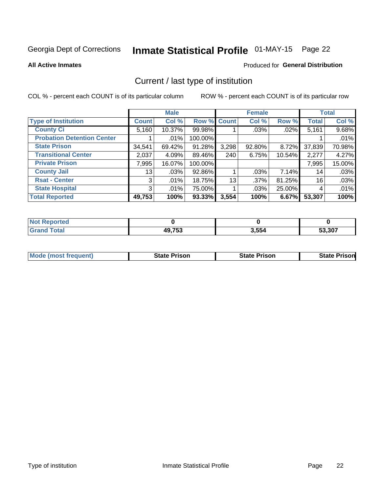# Inmate Statistical Profile 01-MAY-15 Page 22

**All Active Inmates** 

#### Produced for General Distribution

## Current / last type of institution

COL % - percent each COUNT is of its particular column

|                                   |                | <b>Male</b> |             |       | <b>Female</b> |        |              | <b>Total</b> |
|-----------------------------------|----------------|-------------|-------------|-------|---------------|--------|--------------|--------------|
| <b>Type of Institution</b>        | <b>Count</b>   | Col %       | Row % Count |       | Col %         | Row %  | <b>Total</b> | Col %        |
| <b>County Ci</b>                  | 5,160          | 10.37%      | 99.98%      |       | .03%          | .02%   | 5,161        | 9.68%        |
| <b>Probation Detention Center</b> |                | .01%        | 100.00%     |       |               |        |              | .01%         |
| <b>State Prison</b>               | 34,541         | 69.42%      | 91.28%      | 3,298 | 92.80%        | 8.72%  | 37,839       | 70.98%       |
| <b>Transitional Center</b>        | 2,037          | 4.09%       | 89.46%      | 240   | 6.75%         | 10.54% | 2,277        | 4.27%        |
| <b>Private Prison</b>             | 7,995          | 16.07%      | 100.00%     |       |               |        | 7,995        | 15.00%       |
| <b>County Jail</b>                | 13             | .03%        | 92.86%      |       | .03%          | 7.14%  | 14           | .03%         |
| <b>Rsat - Center</b>              | 3 <sup>1</sup> | .01%        | 18.75%      | 13    | .37%          | 81.25% | 16           | .03%         |
| <b>State Hospital</b>             | 3 <sup>1</sup> | .01%        | 75.00%      |       | .03%          | 25.00% | 4            | .01%         |
| <b>Total Reported</b>             | 49,753         | 100%        | $93.33\%$   | 3,554 | 100%          | 6.67%  | 53,307       | 100%         |

| <b>Not</b><br>Reported |        |       |        |
|------------------------|--------|-------|--------|
| Total                  | 49,753 | 3,554 | 53,307 |

| Mode (most frequent) | <b>State Prison</b> | <b>State Prison</b> | <b>State Prisonl</b> |
|----------------------|---------------------|---------------------|----------------------|
|                      |                     |                     |                      |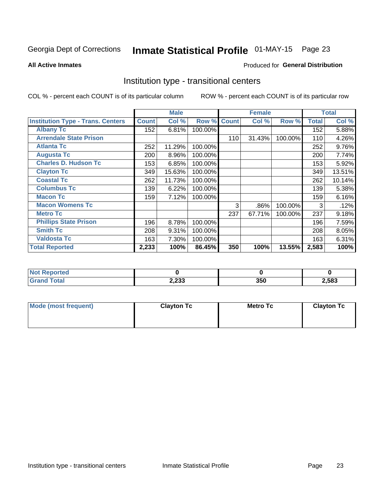# Inmate Statistical Profile 01-MAY-15 Page 23

#### **All Active Inmates**

### Produced for General Distribution

### Institution type - transitional centers

COL % - percent each COUNT is of its particular column

|                                          |              | <b>Male</b> |         |              | <b>Female</b> |         |              | <b>Total</b> |
|------------------------------------------|--------------|-------------|---------|--------------|---------------|---------|--------------|--------------|
| <b>Institution Type - Trans. Centers</b> | <b>Count</b> | Col %       | Row %   | <b>Count</b> | Col %         | Row %   | <b>Total</b> | Col %        |
| <b>Albany Tc</b>                         | 152          | 6.81%       | 100.00% |              |               |         | 152          | 5.88%        |
| <b>Arrendale State Prison</b>            |              |             |         | 110          | 31.43%        | 100.00% | 110          | 4.26%        |
| <b>Atlanta Tc</b>                        | 252          | 11.29%      | 100.00% |              |               |         | 252          | 9.76%        |
| <b>Augusta Tc</b>                        | 200          | 8.96%       | 100.00% |              |               |         | 200          | 7.74%        |
| <b>Charles D. Hudson Tc</b>              | 153          | 6.85%       | 100.00% |              |               |         | 153          | 5.92%        |
| <b>Clayton Tc</b>                        | 349          | 15.63%      | 100.00% |              |               |         | 349          | 13.51%       |
| <b>Coastal Tc</b>                        | 262          | 11.73%      | 100.00% |              |               |         | 262          | 10.14%       |
| <b>Columbus Tc</b>                       | 139          | 6.22%       | 100.00% |              |               |         | 139          | 5.38%        |
| <b>Macon Tc</b>                          | 159          | 7.12%       | 100.00% |              |               |         | 159          | 6.16%        |
| <b>Macon Womens Tc</b>                   |              |             |         | 3            | .86%          | 100.00% | 3            | .12%         |
| <b>Metro Tc</b>                          |              |             |         | 237          | 67.71%        | 100.00% | 237          | 9.18%        |
| <b>Phillips State Prison</b>             | 196          | 8.78%       | 100.00% |              |               |         | 196          | 7.59%        |
| <b>Smith Tc</b>                          | 208          | 9.31%       | 100.00% |              |               |         | 208          | 8.05%        |
| <b>Valdosta Tc</b>                       | 163          | 7.30%       | 100.00% |              |               |         | 163          | 6.31%        |
| <b>Total Reported</b>                    | 2,233        | 100%        | 86.45%  | 350          | 100%          | 13.55%  | 2,583        | 100%         |

| <b>orted</b> |       |     |       |
|--------------|-------|-----|-------|
| <b>ota</b>   | 2,233 | 350 | 2,583 |

| Mode (most frequent) | <b>Clayton Tc</b> | <b>Metro Tc</b> | <b>Clayton Tc</b> |
|----------------------|-------------------|-----------------|-------------------|
|                      |                   |                 |                   |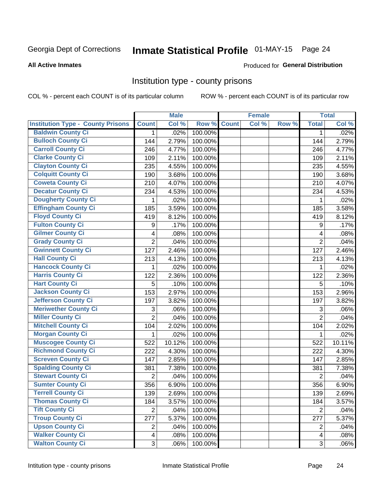# Inmate Statistical Profile 01-MAY-15 Page 24

#### **All Active Inmates**

#### Produced for General Distribution

### Institution type - county prisons

COL % - percent each COUNT is of its particular column

|                                          |                         | <b>Male</b> |         |              | <b>Female</b> |       |                  | <b>Total</b> |
|------------------------------------------|-------------------------|-------------|---------|--------------|---------------|-------|------------------|--------------|
| <b>Institution Type - County Prisons</b> | <b>Count</b>            | Col %       | Row %   | <b>Count</b> | Col %         | Row % | <b>Total</b>     | Col %        |
| <b>Baldwin County Ci</b>                 | $\mathbf{1}$            | .02%        | 100.00% |              |               |       | $\mathbf 1$      | .02%         |
| <b>Bulloch County Ci</b>                 | 144                     | 2.79%       | 100.00% |              |               |       | 144              | 2.79%        |
| <b>Carroll County Ci</b>                 | 246                     | 4.77%       | 100.00% |              |               |       | 246              | 4.77%        |
| <b>Clarke County Ci</b>                  | 109                     | 2.11%       | 100.00% |              |               |       | 109              | 2.11%        |
| <b>Clayton County Ci</b>                 | 235                     | 4.55%       | 100.00% |              |               |       | 235              | 4.55%        |
| <b>Colquitt County Ci</b>                | 190                     | 3.68%       | 100.00% |              |               |       | 190              | 3.68%        |
| <b>Coweta County Ci</b>                  | 210                     | 4.07%       | 100.00% |              |               |       | 210              | 4.07%        |
| <b>Decatur County Ci</b>                 | 234                     | 4.53%       | 100.00% |              |               |       | 234              | 4.53%        |
| <b>Dougherty County Ci</b>               | 1                       | .02%        | 100.00% |              |               |       | 1                | .02%         |
| <b>Effingham County Ci</b>               | 185                     | 3.59%       | 100.00% |              |               |       | 185              | 3.58%        |
| <b>Floyd County Ci</b>                   | 419                     | 8.12%       | 100.00% |              |               |       | 419              | 8.12%        |
| <b>Fulton County Ci</b>                  | 9                       | .17%        | 100.00% |              |               |       | $\boldsymbol{9}$ | .17%         |
| <b>Gilmer County Ci</b>                  | $\overline{\mathbf{4}}$ | .08%        | 100.00% |              |               |       | 4                | .08%         |
| <b>Grady County Ci</b>                   | $\overline{c}$          | .04%        | 100.00% |              |               |       | $\overline{2}$   | .04%         |
| <b>Gwinnett County Ci</b>                | 127                     | 2.46%       | 100.00% |              |               |       | 127              | 2.46%        |
| <b>Hall County Ci</b>                    | 213                     | 4.13%       | 100.00% |              |               |       | 213              | 4.13%        |
| <b>Hancock County Ci</b>                 | 1                       | .02%        | 100.00% |              |               |       | 1                | .02%         |
| <b>Harris County Ci</b>                  | 122                     | 2.36%       | 100.00% |              |               |       | 122              | 2.36%        |
| <b>Hart County Ci</b>                    | 5                       | .10%        | 100.00% |              |               |       | 5                | .10%         |
| <b>Jackson County Ci</b>                 | 153                     | 2.97%       | 100.00% |              |               |       | 153              | 2.96%        |
| <b>Jefferson County Ci</b>               | 197                     | 3.82%       | 100.00% |              |               |       | 197              | 3.82%        |
| <b>Meriwether County Ci</b>              | 3                       | .06%        | 100.00% |              |               |       | 3                | .06%         |
| <b>Miller County Ci</b>                  | $\overline{2}$          | .04%        | 100.00% |              |               |       | $\overline{2}$   | .04%         |
| <b>Mitchell County Ci</b>                | 104                     | 2.02%       | 100.00% |              |               |       | 104              | 2.02%        |
| <b>Morgan County Ci</b>                  | 1                       | .02%        | 100.00% |              |               |       | 1                | .02%         |
| <b>Muscogee County Ci</b>                | 522                     | 10.12%      | 100.00% |              |               |       | 522              | 10.11%       |
| <b>Richmond County Ci</b>                | 222                     | 4.30%       | 100.00% |              |               |       | 222              | 4.30%        |
| <b>Screven County Ci</b>                 | 147                     | 2.85%       | 100.00% |              |               |       | 147              | 2.85%        |
| <b>Spalding County Ci</b>                | 381                     | 7.38%       | 100.00% |              |               |       | 381              | 7.38%        |
| <b>Stewart County Ci</b>                 | $\overline{2}$          | .04%        | 100.00% |              |               |       | $\overline{2}$   | .04%         |
| <b>Sumter County Ci</b>                  | 356                     | 6.90%       | 100.00% |              |               |       | 356              | 6.90%        |
| <b>Terrell County Ci</b>                 | 139                     | 2.69%       | 100.00% |              |               |       | 139              | 2.69%        |
| <b>Thomas County Ci</b>                  | 184                     | 3.57%       | 100.00% |              |               |       | 184              | 3.57%        |
| <b>Tift County Ci</b>                    | $\overline{2}$          | .04%        | 100.00% |              |               |       | $\overline{2}$   | .04%         |
| <b>Troup County Ci</b>                   | 277                     | 5.37%       | 100.00% |              |               |       | 277              | 5.37%        |
| <b>Upson County Ci</b>                   | $\overline{2}$          | .04%        | 100.00% |              |               |       | $\overline{2}$   | .04%         |
| <b>Walker County Ci</b>                  | $\overline{4}$          | .08%        | 100.00% |              |               |       | 4                | .08%         |
| <b>Walton County Ci</b>                  | 3                       | .06%        | 100.00% |              |               |       | $\mathfrak{S}$   | .06%         |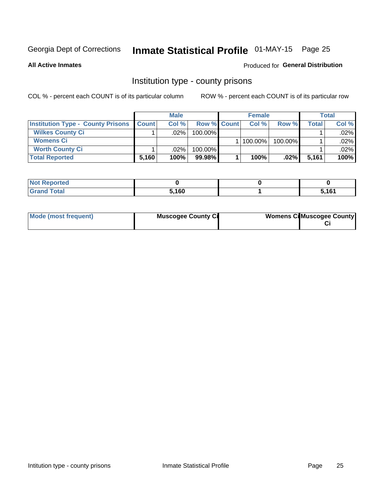# Inmate Statistical Profile 01-MAY-15 Page 25

**All Active Inmates** 

#### Produced for General Distribution

### Institution type - county prisons

COL % - percent each COUNT is of its particular column

|                                          | <b>Male</b>  |         |                    | <b>Female</b> | <b>Total</b> |         |         |
|------------------------------------------|--------------|---------|--------------------|---------------|--------------|---------|---------|
| <b>Institution Type - County Prisons</b> | <b>Count</b> | Col%    | <b>Row % Count</b> | Col%          | Row %        | Total i | Col %   |
| <b>Wilkes County Ci</b>                  |              | .02%    | $100.00\%$         |               |              |         | $.02\%$ |
| <b>Womens Ci</b>                         |              |         |                    | 100.00%       | 100.00%      |         | $.02\%$ |
| <b>Worth County Ci</b>                   |              | $.02\%$ | 100.00%            |               |              |         | $.02\%$ |
| <b>Total Reported</b>                    | 5,160        | 100%    | 99.98%             | 100%          | .02%         | 5,161   | 100%    |

| τeα   |       |         |
|-------|-------|---------|
| _____ | 5,160 | E 4 C 4 |

| Mode (most frequent)<br><b>Muscogee County Ci</b> |  | <b>Womens CilMuscogee County</b> |
|---------------------------------------------------|--|----------------------------------|
|---------------------------------------------------|--|----------------------------------|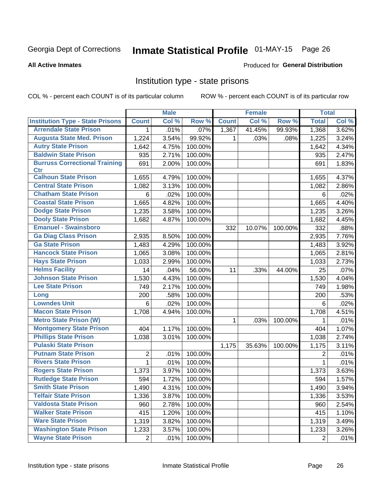# Inmate Statistical Profile 01-MAY-15 Page 26

#### **All Active Inmates**

#### Produced for General Distribution

### Institution type - state prisons

COL % - percent each COUNT is of its particular column

|                                         |                | <b>Male</b> |         |              | <b>Female</b> |         | <b>Total</b>   |       |
|-----------------------------------------|----------------|-------------|---------|--------------|---------------|---------|----------------|-------|
| <b>Institution Type - State Prisons</b> | <b>Count</b>   | Col %       | Row %   | <b>Count</b> | Col %         | Row %   | <b>Total</b>   | Col % |
| <b>Arrendale State Prison</b>           | 1              | .01%        | .07%    | 1,367        | 41.45%        | 99.93%  | 1,368          | 3.62% |
| <b>Augusta State Med. Prison</b>        | 1,224          | 3.54%       | 99.92%  | 1.           | .03%          | .08%    | 1,225          | 3.24% |
| <b>Autry State Prison</b>               | 1,642          | 4.75%       | 100.00% |              |               |         | 1,642          | 4.34% |
| <b>Baldwin State Prison</b>             | 935            | 2.71%       | 100.00% |              |               |         | 935            | 2.47% |
| <b>Burruss Correctional Training</b>    | 691            | 2.00%       | 100.00% |              |               |         | 691            | 1.83% |
| <b>Ctr</b>                              |                |             |         |              |               |         |                |       |
| <b>Calhoun State Prison</b>             | 1,655          | 4.79%       | 100.00% |              |               |         | 1,655          | 4.37% |
| <b>Central State Prison</b>             | 1,082          | 3.13%       | 100.00% |              |               |         | 1,082          | 2.86% |
| <b>Chatham State Prison</b>             | 6              | .02%        | 100.00% |              |               |         | 6              | .02%  |
| <b>Coastal State Prison</b>             | 1,665          | 4.82%       | 100.00% |              |               |         | 1,665          | 4.40% |
| <b>Dodge State Prison</b>               | 1,235          | 3.58%       | 100.00% |              |               |         | 1,235          | 3.26% |
| <b>Dooly State Prison</b>               | 1,682          | 4.87%       | 100.00% |              |               |         | 1,682          | 4.45% |
| <b>Emanuel - Swainsboro</b>             |                |             |         | 332          | 10.07%        | 100.00% | 332            | .88%  |
| <b>Ga Diag Class Prison</b>             | 2,935          | 8.50%       | 100.00% |              |               |         | 2,935          | 7.76% |
| <b>Ga State Prison</b>                  | 1,483          | 4.29%       | 100.00% |              |               |         | 1,483          | 3.92% |
| <b>Hancock State Prison</b>             | 1,065          | 3.08%       | 100.00% |              |               |         | 1,065          | 2.81% |
| <b>Hays State Prison</b>                | 1,033          | 2.99%       | 100.00% |              |               |         | 1,033          | 2.73% |
| <b>Helms Facility</b>                   | 14             | .04%        | 56.00%  | 11           | .33%          | 44.00%  | 25             | .07%  |
| <b>Johnson State Prison</b>             | 1,530          | 4.43%       | 100.00% |              |               |         | 1,530          | 4.04% |
| <b>Lee State Prison</b>                 | 749            | 2.17%       | 100.00% |              |               |         | 749            | 1.98% |
| Long                                    | 200            | .58%        | 100.00% |              |               |         | 200            | .53%  |
| <b>Lowndes Unit</b>                     | 6              | .02%        | 100.00% |              |               |         | 6              | .02%  |
| <b>Macon State Prison</b>               | 1,708          | 4.94%       | 100.00% |              |               |         | 1,708          | 4.51% |
| <b>Metro State Prison (W)</b>           |                |             |         | 1            | .03%          | 100.00% | 1              | .01%  |
| <b>Montgomery State Prison</b>          | 404            | 1.17%       | 100.00% |              |               |         | 404            | 1.07% |
| <b>Phillips State Prison</b>            | 1,038          | 3.01%       | 100.00% |              |               |         | 1,038          | 2.74% |
| <b>Pulaski State Prison</b>             |                |             |         | 1,175        | 35.63%        | 100.00% | 1,175          | 3.11% |
| <b>Putnam State Prison</b>              | 2              | .01%        | 100.00% |              |               |         | 2              | .01%  |
| <b>Rivers State Prison</b>              | 1              | .01%        | 100.00% |              |               |         | 1              | .01%  |
| <b>Rogers State Prison</b>              | 1,373          | 3.97%       | 100.00% |              |               |         | 1,373          | 3.63% |
| <b>Rutledge State Prison</b>            | 594            | 1.72%       | 100.00% |              |               |         | 594            | 1.57% |
| <b>Smith State Prison</b>               | 1,490          | 4.31%       | 100.00% |              |               |         | 1,490          | 3.94% |
| <b>Telfair State Prison</b>             | 1,336          | 3.87%       | 100.00% |              |               |         | 1,336          | 3.53% |
| <b>Valdosta State Prison</b>            | 960            | 2.78%       | 100.00% |              |               |         | 960            | 2.54% |
| <b>Walker State Prison</b>              | 415            | 1.20%       | 100.00% |              |               |         | 415            | 1.10% |
| <b>Ware State Prison</b>                | 1,319          | 3.82%       | 100.00% |              |               |         | 1,319          | 3.49% |
| <b>Washington State Prison</b>          | 1,233          | 3.57%       | 100.00% |              |               |         | 1,233          | 3.26% |
| <b>Wayne State Prison</b>               | $\overline{2}$ | .01%        | 100.00% |              |               |         | $\overline{2}$ | .01%  |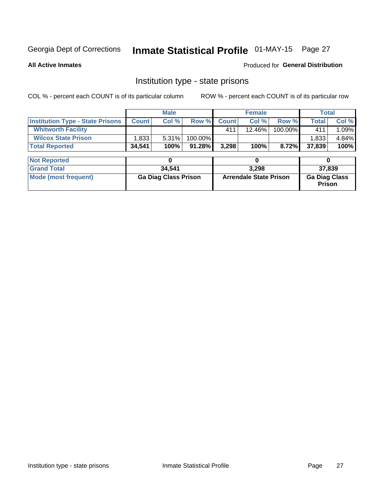# Inmate Statistical Profile 01-MAY-15 Page 27

**All Active Inmates** 

#### Produced for General Distribution

### Institution type - state prisons

COL % - percent each COUNT is of its particular column

|                                         | <b>Male</b>                 |        |                               |              | <b>Female</b> |                                | <b>Total</b> |       |
|-----------------------------------------|-----------------------------|--------|-------------------------------|--------------|---------------|--------------------------------|--------------|-------|
| <b>Institution Type - State Prisons</b> | <b>Count</b>                | Col %  | Row %                         | <b>Count</b> | Col %         | Row %                          | <b>Total</b> | Col % |
| <b>Whitworth Facility</b>               |                             |        |                               | 411          | 12.46%        | 100.00%                        | 411          | 1.09% |
| <b>Wilcox State Prison</b>              | 1,833                       | 5.31%  | 100.00%                       |              |               |                                | 1,833        | 4.84% |
| <b>Total Reported</b>                   | 34,541                      | 100%   | 91.28%                        | 3,298        | 100%          | 8.72%                          | 37,839       | 100%  |
| <b>Not Reported</b>                     |                             | 0      |                               |              | 0             |                                | 0            |       |
| <b>Grand Total</b>                      |                             | 34,541 |                               | 3,298        |               |                                | 37,839       |       |
| <b>Mode (most frequent)</b>             | <b>Ga Diag Class Prison</b> |        | <b>Arrendale State Prison</b> |              |               | <b>Ga Diag Class</b><br>Prison |              |       |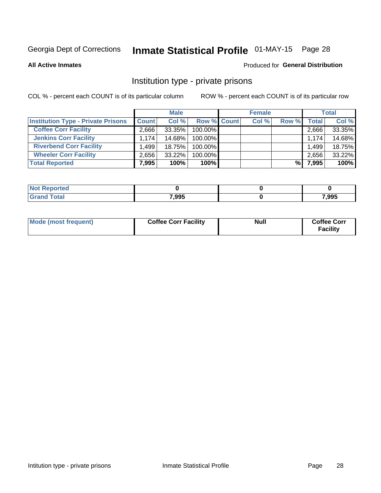# Inmate Statistical Profile 01-MAY-15 Page 28

**All Active Inmates** 

#### Produced for General Distribution

### Institution type - private prisons

COL % - percent each COUNT is of its particular column

|                                           | <b>Male</b>  |        |                    | <b>Female</b> |       |       | <b>Total</b> |        |
|-------------------------------------------|--------------|--------|--------------------|---------------|-------|-------|--------------|--------|
| <b>Institution Type - Private Prisons</b> | <b>Count</b> | Col %  | <b>Row % Count</b> |               | Col % | Row % | Total        | Col %  |
| <b>Coffee Corr Facility</b>               | 2.666        | 33.35% | 100.00%            |               |       |       | 2,666        | 33.35% |
| <b>Jenkins Corr Facility</b>              | 1.174        | 14.68% | $100.00\%$         |               |       |       | 1.174        | 14.68% |
| <b>Riverbend Corr Facility</b>            | .499         | 18.75% | 100.00%            |               |       |       | 1,499        | 18.75% |
| <b>Wheeler Corr Facility</b>              | 2.656        | 33.22% | 100.00%            |               |       |       | 2,656        | 33.22% |
| <b>Total Reported</b>                     | 7,995        | 100%   | 100%               |               |       | %     | 7,995        | 100%   |

| <b>Reported</b><br>∴NO). |       |       |
|--------------------------|-------|-------|
| <b>otal</b>              | 7,995 | 7,995 |

| Mode (most frequent) | <b>Coffee Corr Facility</b> | <b>Null</b> | <b>Coffee Corr</b><br><b>Facility</b> |
|----------------------|-----------------------------|-------------|---------------------------------------|
|----------------------|-----------------------------|-------------|---------------------------------------|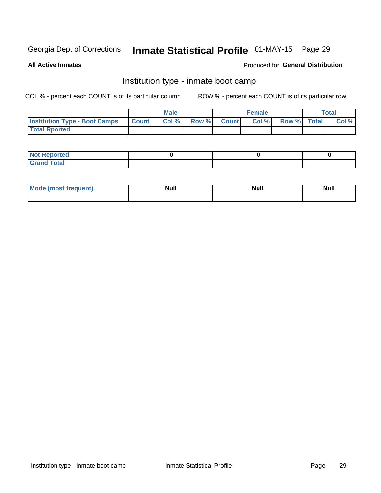# Inmate Statistical Profile 01-MAY-15 Page 29

**All Active Inmates** 

#### Produced for General Distribution

### Institution type - inmate boot camp

COL % - percent each COUNT is of its particular column

|                                      |              | <b>Male</b> |               |              | <b>Female</b> |             | <b>Total</b> |
|--------------------------------------|--------------|-------------|---------------|--------------|---------------|-------------|--------------|
| <b>Institution Type - Boot Camps</b> | <b>Count</b> | Col %       | <b>Row %I</b> | <b>Count</b> | Col %         | Row % Total | Col %        |
| <b>Total Rported</b>                 |              |             |               |              |               |             |              |

| <b>Not Reported</b>            |  |  |
|--------------------------------|--|--|
| <b>Total</b><br>C <sub>r</sub> |  |  |

| Mod<br>uamo | Nul.<br>$- - - - - -$ | <b>Null</b> | . .<br>uu.<br>------ |
|-------------|-----------------------|-------------|----------------------|
|             |                       |             |                      |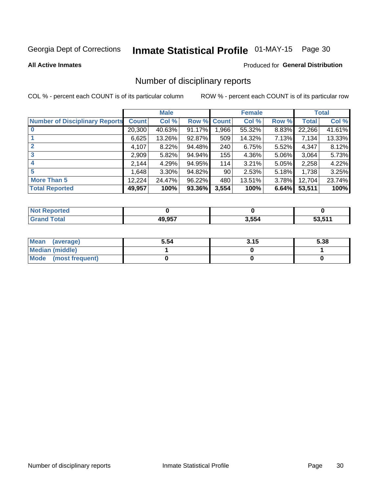# Inmate Statistical Profile 01-MAY-15 Page 30

#### **All Active Inmates**

#### Produced for General Distribution

### Number of disciplinary reports

COL % - percent each COUNT is of its particular column

|                                       |              | <b>Male</b> |        |              | <b>Female</b> |          |              | <b>Total</b> |
|---------------------------------------|--------------|-------------|--------|--------------|---------------|----------|--------------|--------------|
| <b>Number of Disciplinary Reports</b> | <b>Count</b> | Col %       | Row %  | <b>Count</b> | Col %         | Row %    | <b>Total</b> | Col %        |
|                                       | 20,300       | 40.63%      | 91.17% | 966, 1       | 55.32%        | 8.83%    | 22,266       | 41.61%       |
|                                       | 6,625        | 13.26%      | 92.87% | 509          | 14.32%        | 7.13%    | 7,134        | 13.33%       |
| $\mathbf{2}$                          | 4,107        | 8.22%       | 94.48% | 240          | 6.75%         | $5.52\%$ | 4,347        | 8.12%        |
| 3                                     | 2,909        | 5.82%       | 94.94% | 155          | 4.36%         | $5.06\%$ | 3,064        | 5.73%        |
|                                       | 2,144        | 4.29%       | 94.95% | 114          | 3.21%         | $5.05\%$ | 2,258        | 4.22%        |
| 5                                     | 1,648        | $3.30\%$    | 94.82% | 90           | 2.53%         | $5.18\%$ | 1,738        | 3.25%        |
| <b>More Than 5</b>                    | 12,224       | 24.47%      | 96.22% | 480          | 13.51%        | $3.78\%$ | 12,704       | 23.74%       |
| <b>Total Reported</b>                 | 49,957       | 100%        | 93.36% | 3,554        | 100%          | 6.64%    | 53,511       | 100%         |

| วrted<br>NO. |               |       |     |
|--------------|---------------|-------|-----|
| <b>Total</b> | <b>10 057</b> | 3,554 | E44 |

| Mean (average)       | 5.54 | 3.15 | 5.38 |
|----------------------|------|------|------|
| Median (middle)      |      |      |      |
| Mode (most frequent) |      |      |      |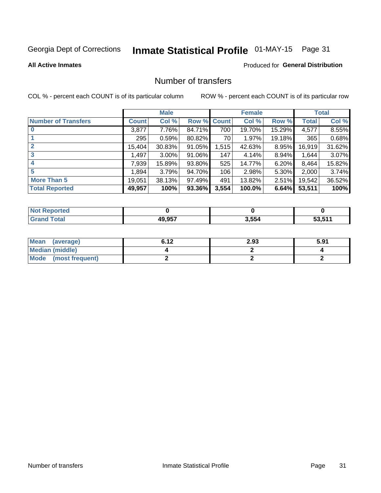# Inmate Statistical Profile 01-MAY-15 Page 31

#### **All Active Inmates**

### **Produced for General Distribution**

### Number of transfers

COL % - percent each COUNT is of its particular column

|                            |              | <b>Male</b> |        |              | <b>Female</b> |          |              | <b>Total</b> |
|----------------------------|--------------|-------------|--------|--------------|---------------|----------|--------------|--------------|
| <b>Number of Transfers</b> | <b>Count</b> | Col %       | Row %  | <b>Count</b> | Col %         | Row %    | <b>Total</b> | Col %        |
|                            | 3,877        | 7.76%       | 84.71% | 700          | 19.70%        | 15.29%   | 4,577        | 8.55%        |
|                            | 295          | 0.59%       | 80.82% | 70           | 1.97%         | 19.18%   | 365          | 0.68%        |
| $\mathbf{2}$               | 15,404       | 30.83%      | 91.05% | 1,515        | 42.63%        | 8.95%    | 16,919       | 31.62%       |
| 3                          | 1,497        | $3.00\%$    | 91.06% | 147          | 4.14%         | $8.94\%$ | 1,644        | 3.07%        |
| 4                          | 7,939        | 15.89%      | 93.80% | 525          | 14.77%        | 6.20%    | 8,464        | 15.82%       |
| 5                          | 1,894        | 3.79%       | 94.70% | 106          | 2.98%         | 5.30%    | 2,000        | 3.74%        |
| <b>More Than 5</b>         | 19,051       | 38.13%      | 97.49% | 491          | 13.82%        | $2.51\%$ | 19,542       | 36.52%       |
| <b>Total Reported</b>      | 49,957       | 100%        | 93.36% | 3,554        | 100.0%        | 6.64%    | 53,511       | 100%         |

| วrted<br>NO. |               |       |     |
|--------------|---------------|-------|-----|
| <b>Total</b> | <b>10 057</b> | 3,554 | E44 |

| Mean (average)         | 6.12 | 2.93 | 5.91 |
|------------------------|------|------|------|
| <b>Median (middle)</b> |      |      |      |
| Mode (most frequent)   |      |      |      |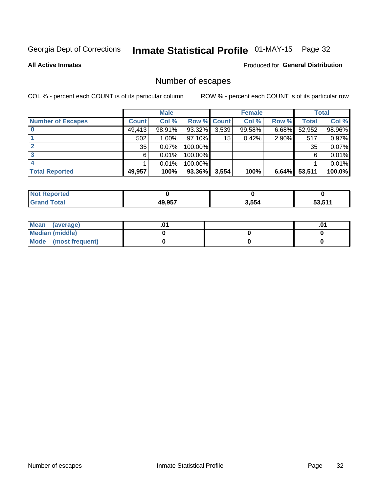# Inmate Statistical Profile 01-MAY-15 Page 32

**All Active Inmates** 

#### Produced for General Distribution

## Number of escapes

COL % - percent each COUNT is of its particular column

|                          |              | <b>Male</b> |             |       | <b>Female</b> |       |        | <b>Total</b> |
|--------------------------|--------------|-------------|-------------|-------|---------------|-------|--------|--------------|
| <b>Number of Escapes</b> | <b>Count</b> | Col %       | Row % Count |       | Col %         | Row % | Total  | Col %        |
|                          | 49,413       | 98.91%      | 93.32%      | 3,539 | 99.58%        | 6.68% | 52,952 | 98.96%       |
|                          | 502          | $1.00\%$    | $97.10\%$   | 15    | 0.42%         | 2.90% | 517    | 0.97%        |
|                          | 35           | 0.07%       | 100.00%     |       |               |       | 35     | 0.07%        |
|                          | 6            | 0.01%       | 100.00%     |       |               |       | 6      | 0.01%        |
|                          |              | 0.01%       | 100.00%     |       |               |       |        | 0.01%        |
| <b>Total Reported</b>    | 49,957       | 100%        | 93.36%      | 3,554 | 100%          | 6.64% | 53,511 | 100.0%       |

| <b>Not Reported</b> |        |       |         |
|---------------------|--------|-------|---------|
| <b>Total</b>        | 49.957 | 3,554 | 53.51'' |

| Mean (average)         |  | .ט |
|------------------------|--|----|
| <b>Median (middle)</b> |  |    |
| Mode (most frequent)   |  |    |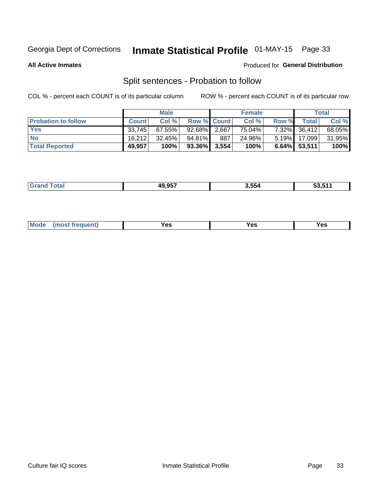# Inmate Statistical Profile 01-MAY-15 Page 33

**All Active Inmates** 

#### Produced for General Distribution

## Split sentences - Probation to follow

COL % - percent each COUNT is of its particular column

|                            | <b>Male</b>  |           |                 | <b>Female</b> |        |          | <b>Total</b> |        |
|----------------------------|--------------|-----------|-----------------|---------------|--------|----------|--------------|--------|
| <b>Probation to follow</b> | <b>Count</b> | Col %     | Row % Count     |               | Col %  | Row %    | Totall       | Col %  |
| <b>Yes</b>                 | 33.745       | $67.55\%$ | 92.68% 2.667    |               | 75.04% |          | 7.32% 36,412 | 68.05% |
| <b>No</b>                  | 16.212       | $32.45\%$ | 94.81%          | 887           | 24.96% |          | 5.19% 17.099 | 31.95% |
| <b>Total Reported</b>      | 49,957       | 100%      | $93.36\%$ 3,554 |               | 100%   | $6.64\%$ | 53,511       | 100%   |

| <b>10 057</b> | .     | -a -44 |
|---------------|-------|--------|
| ---           | 3.554 | 33.J I |
|               |       |        |

| reauent)<br>Yes<br>v^c<br>0٥<br>.<br>. .<br>$\sim$ |  | <b>Mode</b> |  |  |  |
|----------------------------------------------------|--|-------------|--|--|--|
|----------------------------------------------------|--|-------------|--|--|--|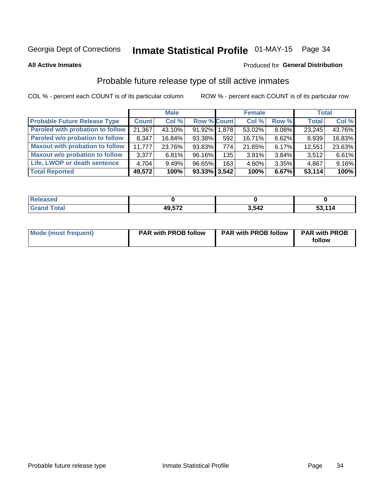# Inmate Statistical Profile 01-MAY-15 Page 34

**All Active Inmates** 

#### Produced for General Distribution

## Probable future release type of still active inmates

COL % - percent each COUNT is of its particular column

|                                         |              | <b>Male</b> |                    |     | <b>Female</b> |       | <b>Total</b> |        |
|-----------------------------------------|--------------|-------------|--------------------|-----|---------------|-------|--------------|--------|
| <b>Probable Future Release Type</b>     | <b>Count</b> | Col %       | <b>Row % Count</b> |     | Col %         | Row % | <b>Total</b> | Col %  |
| <b>Paroled with probation to follow</b> | 21,367       | 43.10%      | 91.92% 1.878       |     | 53.02%        | 8.08% | 23,245       | 43.76% |
| Paroled w/o probation to follow         | 8,347        | 16.84%      | 93.38%             | 592 | 16.71%        | 6.62% | 8,939        | 16.83% |
| <b>Maxout with probation to follow</b>  | 11.777       | 23.76%      | 93.83%             | 774 | 21.85%        | 6.17% | 12,551       | 23.63% |
| <b>Maxout w/o probation to follow</b>   | 3,377        | 6.81%       | 96.16%             | 135 | 3.81%         | 3.84% | 3,512        | 6.61%  |
| Life, LWOP or death sentence            | 4,704        | 9.49%       | 96.65%             | 163 | 4.60%         | 3.35% | 4,867        | 9.16%  |
| <b>Total Reported</b>                   | 49,572       | 100%        | $93.33\%$ 3,542    |     | 100%          | 6.67% | 53,114       | 100%   |

| ased |              |                |                  |
|------|--------------|----------------|------------------|
|      | <b>49572</b> | 3.542<br>, , , | .114<br>--<br>JJ |

| Mode (most frequent) | <b>PAR with PROB follow</b> | <b>PAR with PROB follow</b> | <b>PAR with PROB</b><br>follow |
|----------------------|-----------------------------|-----------------------------|--------------------------------|
|                      |                             |                             |                                |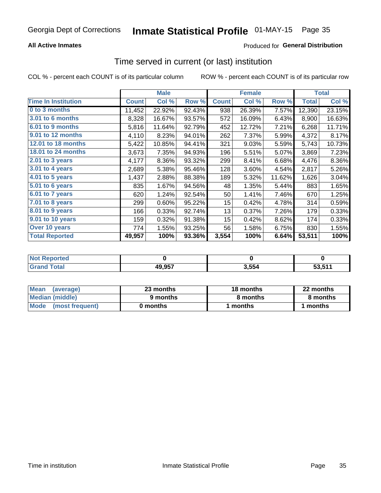### **All Active Inmates**

### **Produced for General Distribution**

### Time served in current (or last) institution

COL % - percent each COUNT is of its particular column

|                            |              | <b>Male</b> |        |                  | <b>Female</b> |        |              | <b>Total</b> |
|----------------------------|--------------|-------------|--------|------------------|---------------|--------|--------------|--------------|
| <b>Time In Institution</b> | <b>Count</b> | Col %       | Row %  | <b>Count</b>     | Col %         | Row %  | <b>Total</b> | Col %        |
| 0 to 3 months              | 11,452       | 22.92%      | 92.43% | 938              | 26.39%        | 7.57%  | 12,390       | 23.15%       |
| <b>3.01 to 6 months</b>    | 8,328        | 16.67%      | 93.57% | 572              | 16.09%        | 6.43%  | 8,900        | 16.63%       |
| 6.01 to 9 months           | 5,816        | 11.64%      | 92.79% | 452              | 12.72%        | 7.21%  | 6,268        | 11.71%       |
| 9.01 to 12 months          | 4,110        | 8.23%       | 94.01% | 262              | 7.37%         | 5.99%  | 4,372        | 8.17%        |
| <b>12.01 to 18 months</b>  | 5,422        | 10.85%      | 94.41% | 321              | 9.03%         | 5.59%  | 5,743        | 10.73%       |
| <b>18.01 to 24 months</b>  | 3,673        | 7.35%       | 94.93% | 196              | 5.51%         | 5.07%  | 3,869        | 7.23%        |
| 2.01 to 3 years            | 4,177        | 8.36%       | 93.32% | 299              | 8.41%         | 6.68%  | 4,476        | 8.36%        |
| $3.01$ to 4 years          | 2,689        | 5.38%       | 95.46% | 128              | 3.60%         | 4.54%  | 2,817        | 5.26%        |
| 4.01 to 5 years            | 1,437        | 2.88%       | 88.38% | 189              | 5.32%         | 11.62% | 1,626        | 3.04%        |
| 5.01 to 6 years            | 835          | 1.67%       | 94.56% | 48               | 1.35%         | 5.44%  | 883          | 1.65%        |
| $6.01$ to 7 years          | 620          | 1.24%       | 92.54% | 50               | 1.41%         | 7.46%  | 670          | 1.25%        |
| 7.01 to 8 years            | 299          | 0.60%       | 95.22% | 15 <sub>15</sub> | 0.42%         | 4.78%  | 314          | 0.59%        |
| $8.01$ to 9 years          | 166          | 0.33%       | 92.74% | 13               | 0.37%         | 7.26%  | 179          | 0.33%        |
| 9.01 to 10 years           | 159          | 0.32%       | 91.38% | 15 <sub>15</sub> | 0.42%         | 8.62%  | 174          | 0.33%        |
| Over 10 years              | 774          | 1.55%       | 93.25% | 56               | 1.58%         | 6.75%  | 830          | 1.55%        |
| <b>Total Reported</b>      | 49,957       | 100%        | 93.36% | 3,554            | 100%          | 6.64%  | 53,511       | 100%         |

| orted<br><b>Not</b> |        |     |               |
|---------------------|--------|-----|---------------|
| . otal              | 49,957 | 554 | <b>E2 E11</b> |

| <b>Mean</b><br>(average) | 23 months | 18 months | 22 months |
|--------------------------|-----------|-----------|-----------|
| Median (middle)          | 9 months  | 8 months  | 8 months  |
| Mode (most frequent)     | 0 months  | months    | l months  |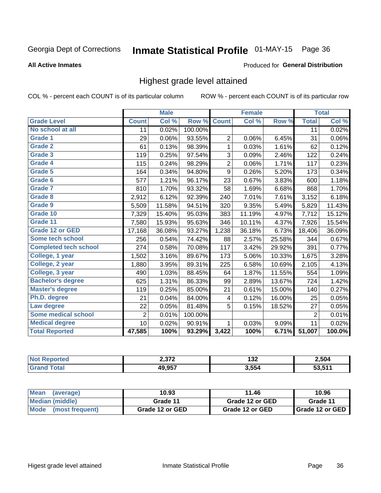# Inmate Statistical Profile 01-MAY-15 Page 36

#### **All Active Inmates**

#### Produced for General Distribution

### Highest grade level attained

COL % - percent each COUNT is of its particular column

|                              |                 | <b>Male</b>                |         |                         | <b>Female</b> |        |                 | <b>Total</b> |
|------------------------------|-----------------|----------------------------|---------|-------------------------|---------------|--------|-----------------|--------------|
| <b>Grade Level</b>           | <b>Count</b>    | $\overline{\text{Col }\%}$ | Row %   | <b>Count</b>            | Col %         | Row %  | <b>Total</b>    | Col %        |
| No school at all             | $\overline{11}$ | 0.02%                      | 100.00% |                         |               |        | $\overline{11}$ | 0.02%        |
| Grade 1                      | 29              | 0.06%                      | 93.55%  | $\overline{c}$          | 0.06%         | 6.45%  | 31              | 0.06%        |
| <b>Grade 2</b>               | 61              | 0.13%                      | 98.39%  | 1                       | 0.03%         | 1.61%  | 62              | 0.12%        |
| <b>Grade 3</b>               | 119             | 0.25%                      | 97.54%  | 3                       | 0.09%         | 2.46%  | 122             | 0.24%        |
| Grade 4                      | 115             | 0.24%                      | 98.29%  | $\overline{\mathbf{c}}$ | 0.06%         | 1.71%  | 117             | 0.23%        |
| Grade 5                      | 164             | 0.34%                      | 94.80%  | $\boldsymbol{9}$        | 0.26%         | 5.20%  | 173             | 0.34%        |
| Grade 6                      | 577             | 1.21%                      | 96.17%  | 23                      | 0.67%         | 3.83%  | 600             | 1.18%        |
| Grade 7                      | 810             | 1.70%                      | 93.32%  | 58                      | 1.69%         | 6.68%  | 868             | 1.70%        |
| Grade 8                      | 2,912           | 6.12%                      | 92.39%  | 240                     | 7.01%         | 7.61%  | 3,152           | 6.18%        |
| Grade 9                      | 5,509           | 11.58%                     | 94.51%  | 320                     | 9.35%         | 5.49%  | 5,829           | 11.43%       |
| Grade 10                     | 7,329           | 15.40%                     | 95.03%  | 383                     | 11.19%        | 4.97%  | 7,712           | 15.12%       |
| Grade 11                     | 7,580           | 15.93%                     | 95.63%  | 346                     | 10.11%        | 4.37%  | 7,926           | 15.54%       |
| <b>Grade 12 or GED</b>       | 17,168          | 36.08%                     | 93.27%  | 1,238                   | 36.18%        | 6.73%  | 18,406          | 36.09%       |
| Some tech school             | 256             | 0.54%                      | 74.42%  | 88                      | 2.57%         | 25.58% | 344             | 0.67%        |
| <b>Completed tech school</b> | 274             | 0.58%                      | 70.08%  | 117                     | 3.42%         | 29.92% | 391             | 0.77%        |
| College, 1 year              | 1,502           | 3.16%                      | 89.67%  | 173                     | 5.06%         | 10.33% | 1,675           | 3.28%        |
| College, 2 year              | 1,880           | 3.95%                      | 89.31%  | 225                     | 6.58%         | 10.69% | 2,105           | 4.13%        |
| College, 3 year              | 490             | 1.03%                      | 88.45%  | 64                      | 1.87%         | 11.55% | 554             | 1.09%        |
| <b>Bachelor's degree</b>     | 625             | 1.31%                      | 86.33%  | 99                      | 2.89%         | 13.67% | 724             | 1.42%        |
| <b>Master's degree</b>       | 119             | 0.25%                      | 85.00%  | 21                      | 0.61%         | 15.00% | 140             | 0.27%        |
| Ph.D. degree                 | 21              | 0.04%                      | 84.00%  | 4                       | 0.12%         | 16.00% | 25              | 0.05%        |
| Law degree                   | 22              | 0.05%                      | 81.48%  | 5                       | 0.15%         | 18.52% | 27              | 0.05%        |
| <b>Some medical school</b>   | $\overline{2}$  | 0.01%                      | 100.00% |                         |               |        | $\overline{2}$  | 0.01%        |
| <b>Medical degree</b>        | 10              | 0.02%                      | 90.91%  | 1                       | 0.03%         | 9.09%  | 11              | 0.02%        |
| <b>Total Reported</b>        | 47,585          | 100%                       | 93.29%  | 3,422                   | 100%          | 6.71%  | 51,007          | 100.0%       |

| רי מ          | 122<br>IJZ.<br>___ | 2,504  |
|---------------|--------------------|--------|
| <b>10 057</b> | 3.554              | ES EAA |

| <b>Mean</b><br>(average)       | 10.93           | 11.46           | 10.96           |
|--------------------------------|-----------------|-----------------|-----------------|
| Median (middle)                | Grade 11        | Grade 12 or GED | Grade 11        |
| <b>Mode</b><br>(most frequent) | Grade 12 or GED | Grade 12 or GED | Grade 12 or GED |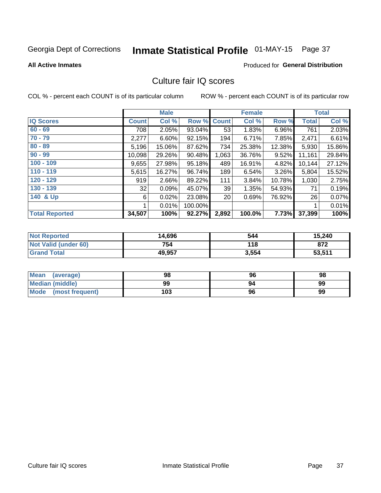# Inmate Statistical Profile 01-MAY-15 Page 37

#### **All Active Inmates**

#### Produced for General Distribution

### Culture fair IQ scores

COL % - percent each COUNT is of its particular column

|                       |              | <b>Male</b> |         |              | <b>Female</b> |        |        | <b>Total</b> |
|-----------------------|--------------|-------------|---------|--------------|---------------|--------|--------|--------------|
| <b>IQ Scores</b>      | <b>Count</b> | Col %       | Row %   | <b>Count</b> | Col %         | Row %  | Total  | Col %        |
| $60 - 69$             | 708          | 2.05%       | 93.04%  | 53           | 1.83%         | 6.96%  | 761    | 2.03%        |
| $70 - 79$             | 2,277        | 6.60%       | 92.15%  | 194          | 6.71%         | 7.85%  | 2,471  | 6.61%        |
| $80 - 89$             | 5,196        | 15.06%      | 87.62%  | 734          | 25.38%        | 12.38% | 5,930  | 15.86%       |
| $90 - 99$             | 10,098       | 29.26%      | 90.48%  | 1,063        | 36.76%        | 9.52%  | 11,161 | 29.84%       |
| $100 - 109$           | 9,655        | 27.98%      | 95.18%  | 489          | 16.91%        | 4.82%  | 10,144 | 27.12%       |
| $110 - 119$           | 5,615        | 16.27%      | 96.74%  | 189          | 6.54%         | 3.26%  | 5,804  | 15.52%       |
| 120 - 129             | 919          | 2.66%       | 89.22%  | 111          | 3.84%         | 10.78% | 1,030  | 2.75%        |
| 130 - 139             | 32           | 0.09%       | 45.07%  | 39           | 1.35%         | 54.93% | 71     | 0.19%        |
| 140 & Up              | 6            | 0.02%       | 23.08%  | 20           | 0.69%         | 76.92% | 26     | 0.07%        |
|                       |              | 0.01%       | 100.00% |              |               |        |        | 0.01%        |
| <b>Total Reported</b> | 34,507       | 100%        | 92.27%  | 2,892        | 100.0%        | 7.73%  | 37,399 | 100%         |

| <b>Not Reported</b>  | 14,696 | 544   | 15,240 |
|----------------------|--------|-------|--------|
| Not Valid (under 60) | 754    | 118   | 872    |
| <b>Grand Total</b>   | 49,957 | 3,554 | 53,511 |

| <b>Mean</b><br>(average) | 98  | 96 | 98 |
|--------------------------|-----|----|----|
| <b>Median (middle)</b>   | 99  |    | 99 |
| Mode (most frequent)     | 103 | 96 | 99 |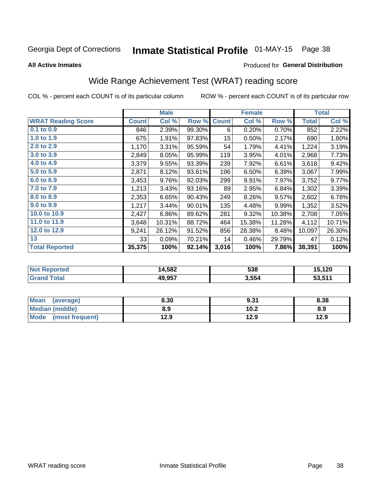# Inmate Statistical Profile 01-MAY-15 Page 38

**All Active Inmates** 

### Produced for General Distribution

### Wide Range Achievement Test (WRAT) reading score

COL % - percent each COUNT is of its particular column

|                           |              | <b>Male</b> |        |                  | <b>Female</b> |        |              | <b>Total</b> |
|---------------------------|--------------|-------------|--------|------------------|---------------|--------|--------------|--------------|
| <b>WRAT Reading Score</b> | <b>Count</b> | Col %       | Row %  | <b>Count</b>     | Col %         | Row %  | <b>Total</b> | Col %        |
| $0.1$ to $0.9$            | 846          | 2.39%       | 99.30% | 6                | 0.20%         | 0.70%  | 852          | 2.22%        |
| 1.0 to 1.9                | 675          | 1.91%       | 97.83% | 15 <sub>15</sub> | 0.50%         | 2.17%  | 690          | 1.80%        |
| 2.0 to 2.9                | 1,170        | 3.31%       | 95.59% | 54               | 1.79%         | 4.41%  | 1,224        | 3.19%        |
| 3.0 to 3.9                | 2,849        | 8.05%       | 95.99% | 119              | 3.95%         | 4.01%  | 2,968        | 7.73%        |
| 4.0 to 4.9                | 3,379        | 9.55%       | 93.39% | 239              | 7.92%         | 6.61%  | 3,618        | 9.42%        |
| 5.0 to 5.9                | 2,871        | 8.12%       | 93.61% | 196              | 6.50%         | 6.39%  | 3,067        | 7.99%        |
| 6.0 to 6.9                | 3,453        | 9.76%       | 92.03% | 299              | 9.91%         | 7.97%  | 3,752        | 9.77%        |
| 7.0 to 7.9                | 1,213        | 3.43%       | 93.16% | 89               | 2.95%         | 6.84%  | 1,302        | 3.39%        |
| 8.0 to 8.9                | 2,353        | 6.65%       | 90.43% | 249              | 8.26%         | 9.57%  | 2,602        | 6.78%        |
| 9.0 to 9.9                | 1,217        | 3.44%       | 90.01% | 135              | 4.48%         | 9.99%  | 1,352        | 3.52%        |
| 10.0 to 10.9              | 2,427        | 6.86%       | 89.62% | 281              | 9.32%         | 10.38% | 2,708        | 7.05%        |
| 11.0 to 11.9              | 3,648        | 10.31%      | 88.72% | 464              | 15.38%        | 11.28% | 4,112        | 10.71%       |
| 12.0 to 12.9              | 9,241        | 26.12%      | 91.52% | 856              | 28.38%        | 8.48%  | 10,097       | 26.30%       |
| 13                        | 33           | 0.09%       | 70.21% | 14               | 0.46%         | 29.79% | 47           | 0.12%        |
| <b>Total Reported</b>     | 35,375       | 100%        | 92.14% | 3,016            | 100%          | 7.86%  | 38,391       | 100%         |

| Reported<br><b>Not</b> | 14,582 | 538   | 15,120 |
|------------------------|--------|-------|--------|
| <b>cotal</b>           | 49,957 | 3,554 | 53,511 |

| <b>Mean</b><br>(average) | 8.30 | 9.31 | 8.38 |
|--------------------------|------|------|------|
| Median (middle)          | 8.9  | 10.2 | 8.9  |
| Mode<br>(most frequent)  | 12.9 | 12.9 | 12.9 |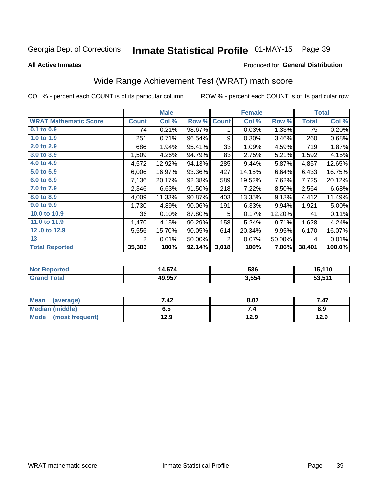# Inmate Statistical Profile 01-MAY-15 Page 39

**All Active Inmates** 

#### Produced for General Distribution

## Wide Range Achievement Test (WRAT) math score

COL % - percent each COUNT is of its particular column

|                              |              | <b>Male</b> |        |                | <b>Female</b> |        |              | <b>Total</b> |
|------------------------------|--------------|-------------|--------|----------------|---------------|--------|--------------|--------------|
| <b>WRAT Mathematic Score</b> | <b>Count</b> | Col %       | Row %  | <b>Count</b>   | Col %         | Row %  | <b>Total</b> | Col %        |
| 0.1 to 0.9                   | 74           | 0.21%       | 98.67% | 1              | 0.03%         | 1.33%  | 75           | 0.20%        |
| 1.0 to 1.9                   | 251          | 0.71%       | 96.54% | 9              | 0.30%         | 3.46%  | 260          | 0.68%        |
| 2.0 to 2.9                   | 686          | 1.94%       | 95.41% | 33             | 1.09%         | 4.59%  | 719          | 1.87%        |
| 3.0 to 3.9                   | 1,509        | 4.26%       | 94.79% | 83             | 2.75%         | 5.21%  | 1,592        | 4.15%        |
| 4.0 to 4.9                   | 4,572        | 12.92%      | 94.13% | 285            | 9.44%         | 5.87%  | 4,857        | 12.65%       |
| 5.0 to 5.9                   | 6,006        | 16.97%      | 93.36% | 427            | 14.15%        | 6.64%  | 6,433        | 16.75%       |
| 6.0 to 6.9                   | 7,136        | 20.17%      | 92.38% | 589            | 19.52%        | 7.62%  | 7,725        | 20.12%       |
| 7.0 to 7.9                   | 2,346        | 6.63%       | 91.50% | 218            | 7.22%         | 8.50%  | 2,564        | 6.68%        |
| 8.0 to 8.9                   | 4,009        | 11.33%      | 90.87% | 403            | 13.35%        | 9.13%  | 4,412        | 11.49%       |
| 9.0 to 9.9                   | 1,730        | 4.89%       | 90.06% | 191            | 6.33%         | 9.94%  | 1,921        | 5.00%        |
| 10.0 to 10.9                 | 36           | 0.10%       | 87.80% | 5              | 0.17%         | 12.20% | 41           | 0.11%        |
| 11.0 to 11.9                 | 1,470        | 4.15%       | 90.29% | 158            | 5.24%         | 9.71%  | 1,628        | 4.24%        |
| 12.0 to 12.9                 | 5,556        | 15.70%      | 90.05% | 614            | 20.34%        | 9.95%  | 6,170        | 16.07%       |
| 13                           | 2            | 0.01%       | 50.00% | $\overline{2}$ | 0.07%         | 50.00% | 4            | 0.01%        |
| <b>Total Reported</b>        | 35,383       | 100%        | 92.14% | 3,018          | 100%          | 7.86%  | 38,401       | 100.0%       |

| Reported<br>'NOT | -- 1<br>4.5/4<br>a. | coc<br>วงง | <b>E 440</b><br>. . u |
|------------------|---------------------|------------|-----------------------|
| <b>cotal</b>     | 49,957              | 3,554      | 53,511                |

| <b>Mean</b><br>(average)       | 7.42 | 8.07 | 47. / |
|--------------------------------|------|------|-------|
| Median (middle)                | כ.ס  |      | 6.9   |
| <b>Mode</b><br>(most frequent) | l2.9 | 12.9 | 12.9  |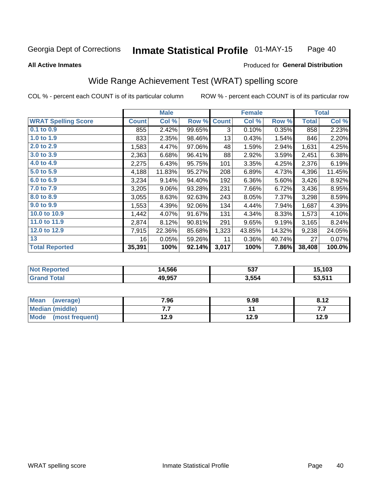#### **Inmate Statistical Profile 01-MAY-15** Page 40

Produced for General Distribution

#### **All Active Inmates**

# Wide Range Achievement Test (WRAT) spelling score

COL % - percent each COUNT is of its particular column

|                            |              | <b>Male</b> |        |              | <b>Female</b> |        |              | <b>Total</b> |
|----------------------------|--------------|-------------|--------|--------------|---------------|--------|--------------|--------------|
| <b>WRAT Spelling Score</b> | <b>Count</b> | Col %       | Row %  | <b>Count</b> | Col %         | Row %  | <b>Total</b> | Col %        |
| 0.1 to 0.9                 | 855          | 2.42%       | 99.65% | 3            | 0.10%         | 0.35%  | 858          | 2.23%        |
| 1.0 to 1.9                 | 833          | 2.35%       | 98.46% | 13           | 0.43%         | 1.54%  | 846          | 2.20%        |
| 2.0 to 2.9                 | 1,583        | 4.47%       | 97.06% | 48           | 1.59%         | 2.94%  | 1,631        | 4.25%        |
| 3.0 to 3.9                 | 2,363        | 6.68%       | 96.41% | 88           | 2.92%         | 3.59%  | 2,451        | 6.38%        |
| 4.0 to 4.9                 | 2,275        | 6.43%       | 95.75% | 101          | 3.35%         | 4.25%  | 2,376        | 6.19%        |
| 5.0 to 5.9                 | 4,188        | 11.83%      | 95.27% | 208          | 6.89%         | 4.73%  | 4,396        | 11.45%       |
| 6.0 to 6.9                 | 3,234        | 9.14%       | 94.40% | 192          | 6.36%         | 5.60%  | 3,426        | 8.92%        |
| 7.0 to 7.9                 | 3,205        | 9.06%       | 93.28% | 231          | 7.66%         | 6.72%  | 3,436        | 8.95%        |
| 8.0 to 8.9                 | 3,055        | 8.63%       | 92.63% | 243          | 8.05%         | 7.37%  | 3,298        | 8.59%        |
| 9.0 to 9.9                 | 1,553        | 4.39%       | 92.06% | 134          | 4.44%         | 7.94%  | 1,687        | 4.39%        |
| 10.0 to 10.9               | 1,442        | 4.07%       | 91.67% | 131          | 4.34%         | 8.33%  | 1,573        | 4.10%        |
| 11.0 to 11.9               | 2,874        | 8.12%       | 90.81% | 291          | 9.65%         | 9.19%  | 3,165        | 8.24%        |
| 12.0 to 12.9               | 7,915        | 22.36%      | 85.68% | 1,323        | 43.85%        | 14.32% | 9,238        | 24.05%       |
| 13                         | 16           | 0.05%       | 59.26% | 11           | 0.36%         | 40.74% | 27           | 0.07%        |
| <b>Total Reported</b>      | 35,391       | 100%        | 92.14% | 3,017        | 100%          | 7.86%  | 38,408       | 100.0%       |

| rtea<br>NO: | 14,566 | ヒヘフ<br>ວວ. | 15,103 |
|-------------|--------|------------|--------|
| int         | 49,957 | 3,554      | 53,511 |

| <b>Mean</b><br>(average) | 7.96 | 9.98 | 8.12 |
|--------------------------|------|------|------|
| Median (middle)          | .    |      | .    |
| Mode<br>(most frequent)  | 12.9 | 12.9 | 12.9 |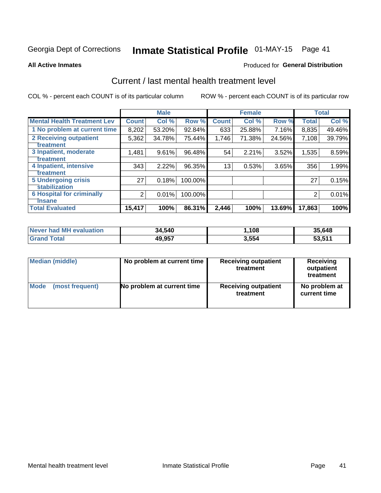# Inmate Statistical Profile 01-MAY-15 Page 41

#### **All Active Inmates**

### **Produced for General Distribution**

### Current / last mental health treatment level

COL % - percent each COUNT is of its particular column

|                                    |                | <b>Male</b> |         |              | <b>Female</b> |        |              | <b>Total</b> |
|------------------------------------|----------------|-------------|---------|--------------|---------------|--------|--------------|--------------|
| <b>Mental Health Treatment Lev</b> | <b>Count</b>   | Col %       | Row %   | <b>Count</b> | Col %         | Row %  | <b>Total</b> | Col %        |
| 1 No problem at current time       | 8,202          | 53.20%      | 92.84%  | 633          | 25.88%        | 7.16%  | 8,835        | 49.46%       |
| 2 Receiving outpatient             | 5,362          | 34.78%      | 75.44%  | 1,746        | 71.38%        | 24.56% | 7,108        | 39.79%       |
| <b>Treatment</b>                   |                |             |         |              |               |        |              |              |
| 3 Inpatient, moderate              | 1,481          | 9.61%       | 96.48%  | 54           | 2.21%         | 3.52%  | 1,535        | 8.59%        |
| Treatment                          |                |             |         |              |               |        |              |              |
| 4 Inpatient, intensive             | 343            | 2.22%       | 96.35%  | 13           | 0.53%         | 3.65%  | 356          | 1.99%        |
| <b>Treatment</b>                   |                |             |         |              |               |        |              |              |
| <b>5 Undergoing crisis</b>         | 27             | 0.18%       | 100.00% |              |               |        | 27           | 0.15%        |
| <b>stabilization</b>               |                |             |         |              |               |        |              |              |
| <b>6 Hospital for criminally</b>   | $\overline{2}$ | 0.01%       | 100.00% |              |               |        | 2            | 0.01%        |
| <b>Tinsane</b>                     |                |             |         |              |               |        |              |              |
| <b>Total Evaluated</b>             | 15,417         | 100%        | 86.31%  | 2,446        | 100%          | 13.69% | 17,863       | 100%         |

| Never had MH evaluation | 34,540 | .108  | 35,648 |
|-------------------------|--------|-------|--------|
| <b>Grand Total</b>      | 49,957 | 3,554 | 53,511 |

| Median (middle) | No problem at current time | <b>Receiving outpatient</b><br>treatment | <b>Receiving</b><br>outpatient<br>treatment |
|-----------------|----------------------------|------------------------------------------|---------------------------------------------|
| <b>Mode</b>     | No problem at current time | <b>Receiving outpatient</b>              | No problem at                               |
| (most frequent) |                            | treatment                                | current time                                |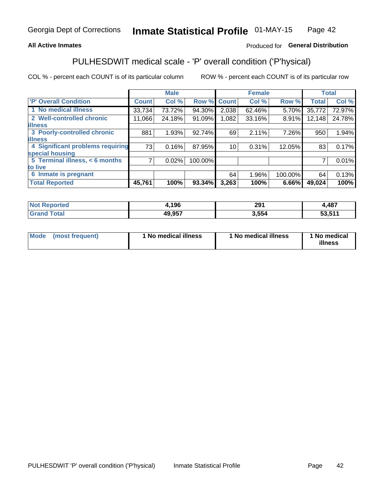### **All Active Inmates**

### Produced for General Distribution

## PULHESDWIT medical scale - 'P' overall condition ('P'hysical)

COL % - percent each COUNT is of its particular column

|                                  |              | <b>Male</b> |         |              | <b>Female</b> |         |              | <b>Total</b> |
|----------------------------------|--------------|-------------|---------|--------------|---------------|---------|--------------|--------------|
| 'P' Overall Condition            | <b>Count</b> | Col %       | Row %   | <b>Count</b> | Col %         | Row %   | <b>Total</b> | Col %        |
| 1 No medical illness             | 33,734       | 73.72%      | 94.30%  | 2,038        | 62.46%        | 5.70%   | 35,772       | 72.97%       |
| 2 Well-controlled chronic        | 11,066       | 24.18%      | 91.09%  | 1,082        | 33.16%        | 8.91%   | 12,148       | 24.78%       |
| <b>illness</b>                   |              |             |         |              |               |         |              |              |
| 3 Poorly-controlled chronic      | 881          | 1.93%       | 92.74%  | 69           | 2.11%         | 7.26%   | 950          | 1.94%        |
| <b>illness</b>                   |              |             |         |              |               |         |              |              |
| 4 Significant problems requiring | 73           | 0.16%       | 87.95%  | 10           | 0.31%         | 12.05%  | 83           | 0.17%        |
| special housing                  |              |             |         |              |               |         |              |              |
| 5 Terminal illness, < 6 months   | 7            | 0.02%       | 100.00% |              |               |         | 7            | 0.01%        |
| to live                          |              |             |         |              |               |         |              |              |
| 6 Inmate is pregnant             |              |             |         | 64           | 1.96%         | 100.00% | 64           | 0.13%        |
| <b>Total Reported</b>            | 45,761       | 100%        | 93.34%  | 3,263        | 100%          | 6.66%   | 49,024       | 100%         |

| тео | .196         | <b>004</b><br>2J I | <b>AR7</b><br>40 I |
|-----|--------------|--------------------|--------------------|
|     | 10.057<br>4ч | EE A<br>ാാമ        | E9 E44             |

| Mode | (most frequent) | 1 No medical illness | 1 No medical illness | 1 No medical<br>illness |
|------|-----------------|----------------------|----------------------|-------------------------|
|------|-----------------|----------------------|----------------------|-------------------------|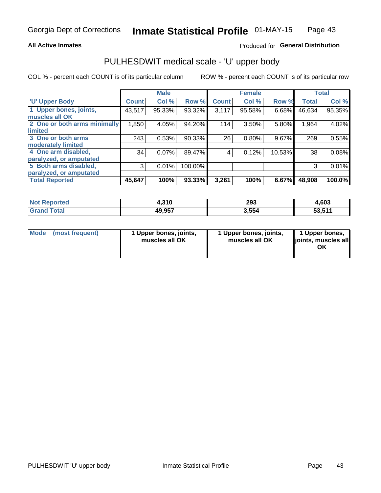#### **All Active Inmates**

### Produced for General Distribution

# PULHESDWIT medical scale - 'U' upper body

COL % - percent each COUNT is of its particular column

|                              |              | <b>Male</b> |         |              | <b>Female</b> |        |              | <b>Total</b> |
|------------------------------|--------------|-------------|---------|--------------|---------------|--------|--------------|--------------|
| <b>'U' Upper Body</b>        | <b>Count</b> | Col %       | Row %   | <b>Count</b> | Col %         | Row %  | <b>Total</b> | Col %        |
| 1 Upper bones, joints,       | 43,517       | 95.33%      | 93.32%  | 3,117        | 95.58%        | 6.68%  | 46,634       | 95.35%       |
| muscles all OK               |              |             |         |              |               |        |              |              |
| 2 One or both arms minimally | 1,850        | 4.05%       | 94.20%  | 114          | 3.50%         | 5.80%  | 1,964        | 4.02%        |
| limited                      |              |             |         |              |               |        |              |              |
| 3 One or both arms           | 243          | 0.53%       | 90.33%  | 26           | 0.80%         | 9.67%  | 269          | 0.55%        |
| <b>moderately limited</b>    |              |             |         |              |               |        |              |              |
| 4 One arm disabled,          | 34           | 0.07%       | 89.47%  | 4            | 0.12%         | 10.53% | 38           | 0.08%        |
| paralyzed, or amputated      |              |             |         |              |               |        |              |              |
| 5 Both arms disabled,        | 3            | 0.01%       | 100.00% |              |               |        | 3            | 0.01%        |
| paralyzed, or amputated      |              |             |         |              |               |        |              |              |
| <b>Total Reported</b>        | 45,647       | 100%        | 93.33%  | 3,261        | 100%          | 6.67%  | 48,908       | 100.0%       |

| <b>Not Reported</b> | 4,310  | 293   | 4,603  |
|---------------------|--------|-------|--------|
| <b>Total</b>        | 49,957 | 3,554 | 53,511 |

|  | Mode (most frequent) | 1 Upper bones, joints,<br>muscles all OK | 1 Upper bones, joints,<br>muscles all OK | 1 Upper bones,<br>ljoints, muscles all<br>ОK |
|--|----------------------|------------------------------------------|------------------------------------------|----------------------------------------------|
|--|----------------------|------------------------------------------|------------------------------------------|----------------------------------------------|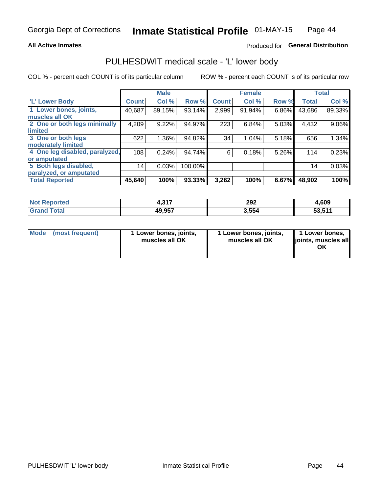#### **All Active Inmates**

### Produced for General Distribution

### PULHESDWIT medical scale - 'L' lower body

COL % - percent each COUNT is of its particular column

|                                |              | <b>Male</b> |         |              | <b>Female</b> |       |                 | <b>Total</b> |
|--------------------------------|--------------|-------------|---------|--------------|---------------|-------|-----------------|--------------|
| 'L' Lower Body                 | <b>Count</b> | Col %       | Row %   | <b>Count</b> | Col %         | Row % | <b>Total</b>    | Col %        |
| 1 Lower bones, joints,         | 40,687       | 89.15%      | 93.14%  | 2,999        | 91.94%        | 6.86% | 43,686          | 89.33%       |
| muscles all OK                 |              |             |         |              |               |       |                 |              |
| 2 One or both legs minimally   | 4,209        | 9.22%       | 94.97%  | 223          | 6.84%         | 5.03% | 4,432           | 9.06%        |
| limited                        |              |             |         |              |               |       |                 |              |
| 3 One or both legs             | 622          | 1.36%       | 94.82%  | 34           | 1.04%         | 5.18% | 656             | 1.34%        |
| moderately limited             |              |             |         |              |               |       |                 |              |
| 4 One leg disabled, paralyzed, | 108          | 0.24%       | 94.74%  | 6            | 0.18%         | 5.26% | 114             | 0.23%        |
| or amputated                   |              |             |         |              |               |       |                 |              |
| 5 Both legs disabled,          | 14           | 0.03%       | 100.00% |              |               |       | 14 <sub>1</sub> | 0.03%        |
| paralyzed, or amputated        |              |             |         |              |               |       |                 |              |
| <b>Total Reported</b>          | 45,640       | 100%        | 93.33%  | 3,262        | 100%          | 6.67% | 48,902          | 100%         |

| <b>Not Reported</b> | 247<br>- - - | 292   | 1,609  |
|---------------------|--------------|-------|--------|
| <b>Total</b>        | 49,957       | 3,554 | 53,511 |

| Mode (most frequent) | 1 Lower bones, joints,<br>muscles all OK | 1 Lower bones, joints,<br>muscles all OK | 1 Lower bones,<br>joints, muscles all<br>ОK |
|----------------------|------------------------------------------|------------------------------------------|---------------------------------------------|
|----------------------|------------------------------------------|------------------------------------------|---------------------------------------------|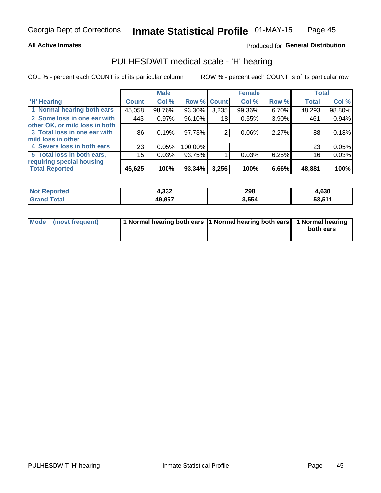#### **All Active Inmates**

### Produced for General Distribution

### PULHESDWIT medical scale - 'H' hearing

COL % - percent each COUNT is of its particular column

|                                |                 | <b>Male</b> |                    |       | <b>Female</b> |       | <b>Total</b> |        |
|--------------------------------|-----------------|-------------|--------------------|-------|---------------|-------|--------------|--------|
| <b>'H' Hearing</b>             | <b>Count</b>    | Col %       | <b>Row % Count</b> |       | Col %         | Row % | <b>Total</b> | Col %  |
| 1 Normal hearing both ears     | 45,058          | 98.76%      | 93.30%             | 3,235 | 99.36%        | 6.70% | 48,293       | 98.80% |
| 2 Some loss in one ear with    | 443             | 0.97%       | 96.10%             | 18    | 0.55%         | 3.90% | 461          | 0.94%  |
| other OK, or mild loss in both |                 |             |                    |       |               |       |              |        |
| 3 Total loss in one ear with   | 86              | 0.19%       | 97.73%             | 2     | $0.06\%$      | 2.27% | 88           | 0.18%  |
| mild loss in other             |                 |             |                    |       |               |       |              |        |
| 4 Severe loss in both ears     | 23 <sub>1</sub> | 0.05%       | 100.00%            |       |               |       | 23           | 0.05%  |
| 5 Total loss in both ears,     | 15              | 0.03%       | 93.75%             |       | 0.03%         | 6.25% | 16           | 0.03%  |
| requiring special housing      |                 |             |                    |       |               |       |              |        |
| <b>Total Reported</b>          | 45,625          | 100%        | 93.34%             | 3,256 | 100%          | 6.66% | 48,881       | 100%   |

| <b>Not Reno</b><br>ాorted | ാറ<br>4.JJ∠ | 298   | 1.630                      |
|---------------------------|-------------|-------|----------------------------|
| Total                     | 49,957      | 3,554 | <b>544</b><br>-^<br>ວວ.ວ ເ |

| Mode (most frequent) | 1 Normal hearing both ears 11 Normal hearing both ears 1 Normal hearing | both ears |
|----------------------|-------------------------------------------------------------------------|-----------|
|                      |                                                                         |           |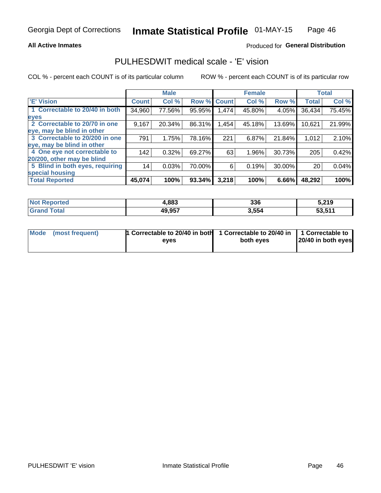#### **All Active Inmates**

### Produced for General Distribution

### PULHESDWIT medical scale - 'E' vision

COL % - percent each COUNT is of its particular column

|                                 |              | <b>Male</b> |        |              | <b>Female</b> |        |              | <b>Total</b> |
|---------------------------------|--------------|-------------|--------|--------------|---------------|--------|--------------|--------------|
| 'E' Vision                      | <b>Count</b> | Col %       | Row %  | <b>Count</b> | Col %         | Row %  | <b>Total</b> | Col %        |
| 1 Correctable to 20/40 in both  | 34,960       | 77.56%      | 95.95% | .474         | 45.80%        | 4.05%  | 36,434       | 75.45%       |
| eyes                            |              |             |        |              |               |        |              |              |
| 2 Correctable to 20/70 in one   | 9,167        | 20.34%      | 86.31% | .454         | 45.18%        | 13.69% | 10,621       | 21.99%       |
| eye, may be blind in other      |              |             |        |              |               |        |              |              |
| 3 Correctable to 20/200 in one  | 791          | 1.75%       | 78.16% | 221          | 6.87%         | 21.84% | 1,012        | 2.10%        |
| leye, may be blind in other     |              |             |        |              |               |        |              |              |
| 4 One eye not correctable to    | 142          | 0.32%       | 69.27% | 63           | 1.96%         | 30.73% | 205          | 0.42%        |
| 20/200, other may be blind      |              |             |        |              |               |        |              |              |
| 5 Blind in both eyes, requiring | 14           | 0.03%       | 70.00% | 6            | 0.19%         | 30.00% | 20           | 0.04%        |
| special housing                 |              |             |        |              |               |        |              |              |
| <b>Total Reported</b>           | 45,074       | 100%        | 93.34% | 3,218        | 100%          | 6.66%  | 48,292       | 100%         |

| <b>Not Reported</b> | 4,883  | 336   | 5,219  |
|---------------------|--------|-------|--------|
| <sup>-</sup> ota    | 49,957 | 3,554 | 53,511 |

| Mode (most frequent) | 1 Correctable to 20/40 in both<br>eves | 1 Correctable to 20/40 in   1 Correctable to  <br>both eves | 20/40 in both eyes |
|----------------------|----------------------------------------|-------------------------------------------------------------|--------------------|
|                      |                                        |                                                             |                    |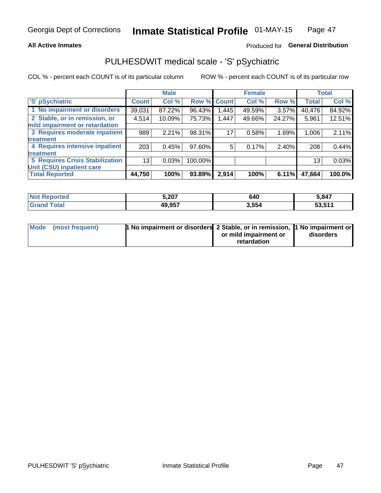#### **All Active Inmates**

### Produced for General Distribution

## PULHESDWIT medical scale - 'S' pSychiatric

COL % - percent each COUNT is of its particular column

|                                        |              | <b>Male</b> |         |             | <b>Female</b> |          |              | <b>Total</b> |
|----------------------------------------|--------------|-------------|---------|-------------|---------------|----------|--------------|--------------|
| 'S' pSychiatric                        | <b>Count</b> | Col %       |         | Row % Count | Col %         | Row %    | <b>Total</b> | Col %        |
| 1 No impairment or disorders           | 39,031       | 87.22%      | 96.43%  | 1,445       | 49.59%        | $3.57\%$ | 40,476       | 84.92%       |
| 2 Stable, or in remission, or          | 4,514        | 10.09%      | 75.73%  | 1,447       | 49.66%        | 24.27%   | 5,961        | 12.51%       |
| mild impairment or retardation         |              |             |         |             |               |          |              |              |
| 3 Requires moderate inpatient          | 989          | 2.21%       | 98.31%  | 17          | 0.58%         | 1.69%    | 1,006        | 2.11%        |
| treatment                              |              |             |         |             |               |          |              |              |
| 4 Requires intensive inpatient         | 203          | 0.45%       | 97.60%  | 5           | 0.17%         | 2.40%    | 208          | 0.44%        |
| treatment                              |              |             |         |             |               |          |              |              |
| <b>5 Requires Crisis Stabilization</b> | 13           | 0.03%       | 100.00% |             |               |          | 13           | 0.03%        |
| Unit (CSU) inpatient care              |              |             |         |             |               |          |              |              |
| <b>Total Reported</b>                  | 44,750       | 100%        | 93.89%  | 2,914       | 100%          | $6.11\%$ | 47,664       | 100.0%       |

| <b>Not Reported</b> | 5,207  | 640   | 5,847  |
|---------------------|--------|-------|--------|
| $\mathsf{Total}$    | 49,957 | 3,554 | 53,511 |

| Mode (most frequent) | <b>1 No impairment or disorders 2 Stable, or in remission, 1 No impairment or</b> |                       |           |
|----------------------|-----------------------------------------------------------------------------------|-----------------------|-----------|
|                      |                                                                                   | or mild impairment or | disorders |
|                      |                                                                                   | retardation           |           |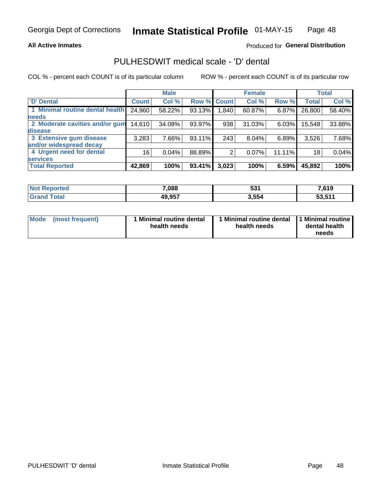#### **All Active Inmates**

### Produced for General Distribution

## PULHESDWIT medical scale - 'D' dental

COL % - percent each COUNT is of its particular column

|                                 |              | <b>Male</b> |        |              | <b>Female</b> |        |              | <b>Total</b> |
|---------------------------------|--------------|-------------|--------|--------------|---------------|--------|--------------|--------------|
| <b>D'</b> Dental                | <b>Count</b> | Col %       | Row %  | <b>Count</b> | Col %         | Row %  | <b>Total</b> | Col %        |
| 1 Minimal routine dental health | 24,960       | 58.22%      | 93.13% | .840         | 60.87%        | 6.87%  | 26,800       | 58.40%       |
| <b>needs</b>                    |              |             |        |              |               |        |              |              |
| 2 Moderate cavities and/or gum  | 14,610       | 34.08%      | 93.97% | 938          | 31.03%        | 6.03%  | 15,548       | 33.88%       |
| disease                         |              |             |        |              |               |        |              |              |
| 3 Extensive gum disease         | 3,283        | 7.66%       | 93.11% | 243          | 8.04%         | 6.89%  | 3,526        | 7.68%        |
| and/or widespread decay         |              |             |        |              |               |        |              |              |
| 4 Urgent need for dental        | 16           | 0.04%       | 88.89% |              | 0.07%         | 11.11% | 18           | 0.04%        |
| <b>services</b>                 |              |             |        |              |               |        |              |              |
| <b>Total Reported</b>           | 42,869       | 100%        | 93.41% | 3,023        | 100%          | 6.59%  | 45,892       | 100%         |

| <b>Not Renc</b><br><b>orted</b> | 7,088  | <b>E94</b><br>ാാ . | 7,619  |
|---------------------------------|--------|--------------------|--------|
| <b>Total</b>                    | 49,957 | 3,554              | 53,511 |

| <b>Mode</b> | (most frequent) | <b>Minimal routine dental</b><br>health needs | 1 Minimal routine dental   1 Minimal routine  <br>health needs | dental health<br>needs |
|-------------|-----------------|-----------------------------------------------|----------------------------------------------------------------|------------------------|
|-------------|-----------------|-----------------------------------------------|----------------------------------------------------------------|------------------------|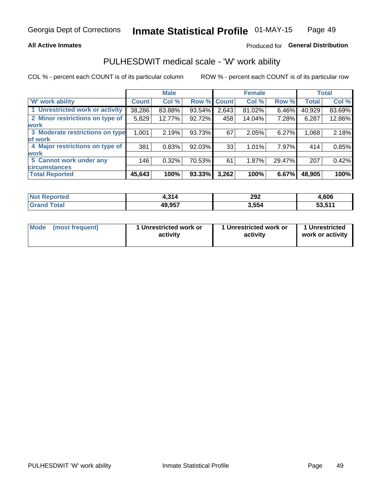#### **All Active Inmates**

### Produced for General Distribution

### PULHESDWIT medical scale - 'W' work ability

COL % - percent each COUNT is of its particular column

|                                 |              | <b>Male</b> |                    |       | <b>Female</b> |        |              | <b>Total</b> |
|---------------------------------|--------------|-------------|--------------------|-------|---------------|--------|--------------|--------------|
| <b>W' work ability</b>          | <b>Count</b> | Col %       | <b>Row % Count</b> |       | Col %         | Row %  | <b>Total</b> | Col %        |
| 1 Unrestricted work or activity | 38,286       | 83.88%      | 93.54%             | 2,643 | 81.02%        | 6.46%  | 40,929       | 83.69%       |
| 2 Minor restrictions on type of | 5,829        | 12.77%      | 92.72%             | 458   | 14.04%        | 7.28%  | 6,287        | 12.86%       |
| <b>work</b>                     |              |             |                    |       |               |        |              |              |
| 3 Moderate restrictions on type | 1,001        | 2.19%       | 93.73%             | 67    | 2.05%         | 6.27%  | 1,068        | 2.18%        |
| of work                         |              |             |                    |       |               |        |              |              |
| 4 Major restrictions on type of | 381          | 0.83%       | 92.03%             | 33    | 1.01%         | 7.97%  | 414          | 0.85%        |
| <b>work</b>                     |              |             |                    |       |               |        |              |              |
| 5 Cannot work under any         | 146          | 0.32%       | 70.53%             | 61    | 1.87%         | 29.47% | 207          | 0.42%        |
| <b>circumstances</b>            |              |             |                    |       |               |        |              |              |
| <b>Total Reported</b>           | 45,643       | 100%        | 93.33%             | 3,262 | 100%          | 6.67%  | 48,905       | 100%         |

| <b>Not Reported</b> | 1,314  | 292   | 4,606  |
|---------------------|--------|-------|--------|
| Total<br>Grand      | 49,957 | 3,554 | 53,511 |

| Mode            | 1 Unrestricted work or | 1 Unrestricted work or | 1 Unrestricted   |
|-----------------|------------------------|------------------------|------------------|
| (most frequent) | activity               | activity               | work or activity |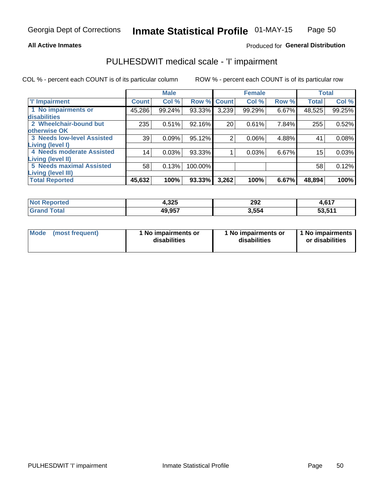#### **All Active Inmates**

### Produced for General Distribution

## PULHESDWIT medical scale - 'I' impairment

COL % - percent each COUNT is of its particular column

|                                                              |              | <b>Male</b> |         |             | <b>Female</b> |       |              | <b>Total</b> |
|--------------------------------------------------------------|--------------|-------------|---------|-------------|---------------|-------|--------------|--------------|
| <b>T' Impairment</b>                                         | <b>Count</b> | Col %       |         | Row % Count | Col %         | Row % | <b>Total</b> | Col %        |
| 1 No impairments or<br>disabilities                          | 45,286       | 99.24%      | 93.33%  | 3,239       | 99.29%        | 6.67% | 48,525       | 99.25%       |
| 2 Wheelchair-bound but<br>otherwise OK                       | 235          | 0.51%       | 92.16%  | 20          | 0.61%         | 7.84% | 255          | 0.52%        |
| <b>3 Needs low-level Assisted</b><br>Living (level I)        | 39           | 0.09%       | 95.12%  | 2           | 0.06%         | 4.88% | 41           | 0.08%        |
| 4 Needs moderate Assisted<br>Living (level II)               | 14           | 0.03%       | 93.33%  |             | 0.03%         | 6.67% | 15           | 0.03%        |
| <b>5 Needs maximal Assisted</b><br><b>Living (level III)</b> | 58           | 0.13%       | 100.00% |             |               |       | 58           | 0.12%        |
| <b>Total Reported</b>                                        | 45,632       | 100%        | 93.33%  | 3,262       | 100%          | 6.67% | 48,894       | 100%         |

| <b>Not</b>        | 4,325  | 292           | 1017             |
|-------------------|--------|---------------|------------------|
| Reported          |        | $\sim$ $\sim$ | 4,0 I .          |
| <sup>-</sup> otal | 49,957 | 3.554         | E9 E44<br>ວວ.ວ ເ |

| Mode | (most frequent) | 1 No impairments or<br>disabilities | 1 No impairments or<br>disabilities | 1 No impairments<br>or disabilities |
|------|-----------------|-------------------------------------|-------------------------------------|-------------------------------------|
|------|-----------------|-------------------------------------|-------------------------------------|-------------------------------------|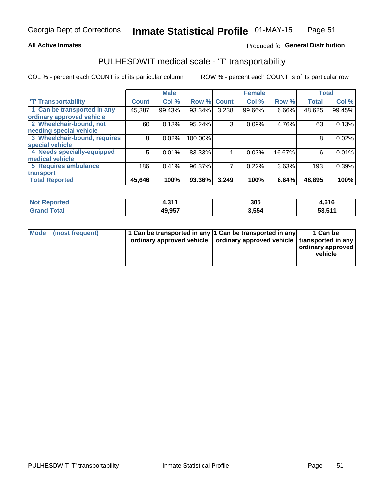#### **All Active Inmates**

### Produced fo General Distribution

### PULHESDWIT medical scale - 'T' transportability

COL % - percent each COUNT is of its particular column

|                              |              | <b>Male</b> |         |              | <b>Female</b> |        |              | <b>Total</b> |
|------------------------------|--------------|-------------|---------|--------------|---------------|--------|--------------|--------------|
| <b>T' Transportability</b>   | <b>Count</b> | Col %       | Row %   | <b>Count</b> | Col %         | Row %  | <b>Total</b> | Col %        |
| 1 Can be transported in any  | 45,387       | 99.43%      | 93.34%  | 3,238        | 99.66%        | 6.66%  | 48,625       | 99.45%       |
| ordinary approved vehicle    |              |             |         |              |               |        |              |              |
| 2 Wheelchair-bound, not      | 60           | 0.13%       | 95.24%  | 3            | 0.09%         | 4.76%  | 63           | 0.13%        |
| needing special vehicle      |              |             |         |              |               |        |              |              |
| 3 Wheelchair-bound, requires | 8            | 0.02%       | 100.00% |              |               |        | 8            | 0.02%        |
| special vehicle              |              |             |         |              |               |        |              |              |
| 4 Needs specially-equipped   | 5            | 0.01%       | 83.33%  |              | 0.03%         | 16.67% | 6            | 0.01%        |
| medical vehicle              |              |             |         |              |               |        |              |              |
| <b>5 Requires ambulance</b>  | 186          | 0.41%       | 96.37%  | 7            | 0.22%         | 3.63%  | 193          | 0.39%        |
| transport                    |              |             |         |              |               |        |              |              |
| <b>Total Reported</b>        | 45,646       | 100%        | 93.36%  | 3,249        | 100%          | 6.64%  | 48,895       | 100%         |

| <b>Not</b><br>Reported | .244<br>7.J | 305   | 4,616  |
|------------------------|-------------|-------|--------|
| Total                  | 49,957      | 3,554 | 53,511 |

|  | Mode (most frequent) | 1 Can be transported in any 1 Can be transported in any<br>ordinary approved vehicle   ordinary approved vehicle   transported in any |  | 1 Can be<br>  ordinary approved  <br>vehicle |
|--|----------------------|---------------------------------------------------------------------------------------------------------------------------------------|--|----------------------------------------------|
|--|----------------------|---------------------------------------------------------------------------------------------------------------------------------------|--|----------------------------------------------|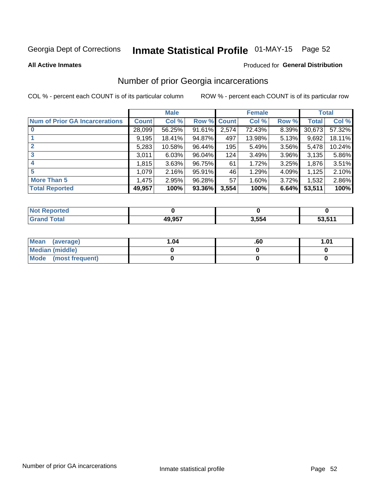# Inmate Statistical Profile 01-MAY-15 Page 52

#### **All Active Inmates**

#### Produced for General Distribution

### Number of prior Georgia incarcerations

COL % - percent each COUNT is of its particular column

|                                       |              | <b>Male</b> |             |       | <b>Female</b> |          |        | <b>Total</b> |
|---------------------------------------|--------------|-------------|-------------|-------|---------------|----------|--------|--------------|
| <b>Num of Prior GA Incarcerations</b> | <b>Count</b> | Col %       | Row % Count |       | Col %         | Row %    | Total  | Col %        |
|                                       | 28,099       | 56.25%      | 91.61%      | 2,574 | 72.43%        | 8.39%    | 30,673 | 57.32%       |
|                                       | 9,195        | 18.41%      | 94.87%      | 497   | 13.98%        | 5.13%    | 9,692  | 18.11%       |
| $\overline{2}$                        | 5,283        | 10.58%      | 96.44%      | 195   | 5.49%         | 3.56%    | 5,478  | 10.24%       |
| 3                                     | 3,011        | 6.03%       | 96.04%      | 124   | 3.49%         | $3.96\%$ | 3,135  | 5.86%        |
| $\boldsymbol{4}$                      | 1,815        | 3.63%       | 96.75%      | 61    | 1.72%         | 3.25%    | 1,876  | 3.51%        |
| 5                                     | 1,079        | 2.16%       | 95.91%      | 46    | 1.29%         | 4.09%    | 1,125  | 2.10%        |
| <b>More Than 5</b>                    | 1,475        | 2.95%       | 96.28%      | 57    | 1.60%         | 3.72%    | 1,532  | 2.86%        |
| <b>Total Reported</b>                 | 49,957       | 100%        | 93.36%      | 3,554 | 100%          | 6.64%    | 53,511 | 100%         |

| orted<br>NA |                |       |        |
|-------------|----------------|-------|--------|
| <b>ota</b>  | 10 QEZ<br>, JJ | 3.554 | 53 511 |

| Mean (average)       | l.04 | .60 | 1.01 |
|----------------------|------|-----|------|
| Median (middle)      |      |     |      |
| Mode (most frequent) |      |     |      |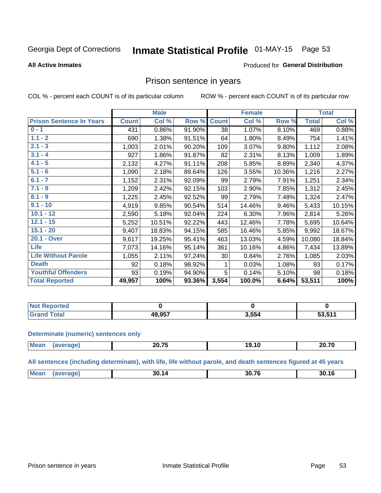#### Inmate Statistical Profile 01-MAY-15 Page 53

#### **All Active Inmates**

#### Produced for General Distribution

### Prison sentence in years

COL % - percent each COUNT is of its particular column

ROW % - percent each COUNT is of its particular row

|                                 |              | <b>Male</b> |        | <b>Female</b> |        |        | <b>Total</b> |        |  |
|---------------------------------|--------------|-------------|--------|---------------|--------|--------|--------------|--------|--|
| <b>Prison Sentence In Years</b> | <b>Count</b> | Col %       | Row %  | <b>Count</b>  | Col %  | Row %  | <b>Total</b> | Col %  |  |
| $0 - 1$                         | 431          | 0.86%       | 91.90% | 38            | 1.07%  | 8.10%  | 469          | 0.88%  |  |
| $1.1 - 2$                       | 690          | 1.38%       | 91.51% | 64            | 1.80%  | 8.49%  | 754          | 1.41%  |  |
| $2.1 - 3$                       | 1,003        | 2.01%       | 90.20% | 109           | 3.07%  | 9.80%  | 1,112        | 2.08%  |  |
| $3.1 - 4$                       | 927          | 1.86%       | 91.87% | 82            | 2.31%  | 8.13%  | 1,009        | 1.89%  |  |
| $4.1 - 5$                       | 2,132        | 4.27%       | 91.11% | 208           | 5.85%  | 8.89%  | 2,340        | 4.37%  |  |
| $5.1 - 6$                       | 1,090        | 2.18%       | 89.64% | 126           | 3.55%  | 10.36% | 1,216        | 2.27%  |  |
| $6.1 - 7$                       | 1,152        | 2.31%       | 92.09% | 99            | 2.79%  | 7.91%  | 1,251        | 2.34%  |  |
| $7.1 - 8$                       | 1,209        | 2.42%       | 92.15% | 103           | 2.90%  | 7.85%  | 1,312        | 2.45%  |  |
| $8.1 - 9$                       | 1,225        | 2.45%       | 92.52% | 99            | 2.79%  | 7.48%  | 1,324        | 2.47%  |  |
| $9.1 - 10$                      | 4,919        | 9.85%       | 90.54% | 514           | 14.46% | 9.46%  | 5,433        | 10.15% |  |
| $10.1 - 12$                     | 2,590        | 5.18%       | 92.04% | 224           | 6.30%  | 7.96%  | 2,814        | 5.26%  |  |
| $12.1 - 15$                     | 5,252        | 10.51%      | 92.22% | 443           | 12.46% | 7.78%  | 5,695        | 10.64% |  |
| $15.1 - 20$                     | 9,407        | 18.83%      | 94.15% | 585           | 16.46% | 5.85%  | 9,992        | 18.67% |  |
| 20.1 - Over                     | 9,617        | 19.25%      | 95.41% | 463           | 13.03% | 4.59%  | 10,080       | 18.84% |  |
| <b>Life</b>                     | 7,073        | 14.16%      | 95.14% | 361           | 10.16% | 4.86%  | 7,434        | 13.89% |  |
| <b>Life Without Parole</b>      | 1,055        | 2.11%       | 97.24% | 30            | 0.84%  | 2.76%  | 1,085        | 2.03%  |  |
| <b>Death</b>                    | 92           | 0.18%       | 98.92% |               | 0.03%  | 1.08%  | 93           | 0.17%  |  |
| <b>Youthful Offenders</b>       | 93           | 0.19%       | 94.90% | 5             | 0.14%  | 5.10%  | 98           | 0.18%  |  |
| <b>Total Reported</b>           | 49,957       | 100%        | 93.36% | 3,554         | 100.0% | 6.64%  | 53,511       | 100%   |  |

| <b>Not Reported</b> |        |       |       |
|---------------------|--------|-------|-------|
| <b>c</b> otal       | 10 OE7 | 3.554 | 53511 |

#### **Determinate (numeric) sentences only**

| <b>Mean</b> | 88 TE<br>— V.I V | - -<br>19. IU | 20.70 |
|-------------|------------------|---------------|-------|
|             |                  |               |       |

All sentences (including determinate), with life, life without parole, and death sentences figured at 45 years

| <b>Me</b> | 30<br>14<br>$ -$ | 30.76 | $\overline{ }$<br>3U. IO |
|-----------|------------------|-------|--------------------------|
|           |                  |       |                          |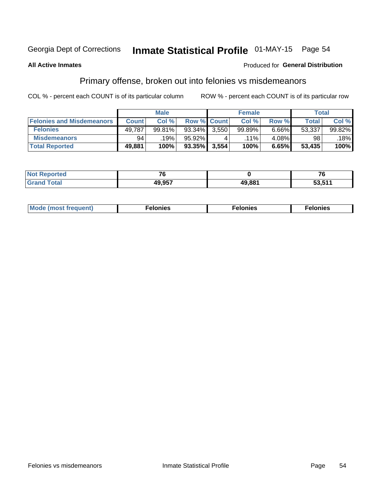# Inmate Statistical Profile 01-MAY-15 Page 54

#### **All Active Inmates**

#### Produced for General Distribution

### Primary offense, broken out into felonies vs misdemeanors

COL % - percent each COUNT is of its particular column

|                                  | <b>Male</b>  |        |           | <b>Female</b>      |         |       | Total  |        |
|----------------------------------|--------------|--------|-----------|--------------------|---------|-------|--------|--------|
| <b>Felonies and Misdemeanors</b> | <b>Count</b> | Col%   |           | <b>Row % Count</b> | Col%    | Row % | Total, | Col %  |
| <b>Felonies</b>                  | 49,787       | 99.81% | $93.34\%$ | 3.550              | 99.89%  | 6.66% | 53,337 | 99.82% |
| <b>Misdemeanors</b>              | 94           | 19%    | 95.92%    |                    | $.11\%$ | 4.08% | 98     | 18%    |
| <b>Total Reported</b>            | 49,881       | 100%   | 93.35%    | 3,554              | 100%    | 6.65% | 53,435 | 100%   |

| <b>Not</b><br><b>eported</b> | $\sim$ $\sim$ |        | $- \cdot$       |
|------------------------------|---------------|--------|-----------------|
| Grar<br>™otal                | <b>10 057</b> | 49.881 | - - - -<br>ວວ.ວ |

| Mo | ___ | 11 C.S<br>. | onies<br>. |
|----|-----|-------------|------------|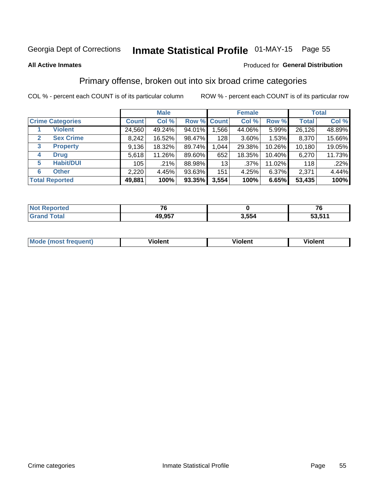# Inmate Statistical Profile 01-MAY-15 Page 55

#### **All Active Inmates**

#### Produced for General Distribution

### Primary offense, broken out into six broad crime categories

COL % - percent each COUNT is of its particular column

|                                 | <b>Male</b>  |        |           | <b>Female</b> |          |        | <b>Total</b> |        |
|---------------------------------|--------------|--------|-----------|---------------|----------|--------|--------------|--------|
| <b>Crime Categories</b>         | <b>Count</b> | Col %  |           | Row % Count   | Col %    | Row %  | <b>Total</b> | Col %  |
| <b>Violent</b>                  | 24,560       | 49.24% | 94.01%    | 1,566         | 44.06%   | 5.99%  | 26,126       | 48.89% |
| <b>Sex Crime</b><br>2           | 8,242        | 16.52% | 98.47%    | 128           | $3.60\%$ | 1.53%  | 8,370        | 15.66% |
| $\mathbf{3}$<br><b>Property</b> | 9,136        | 18.32% | 89.74%    | 1,044         | 29.38%   | 10.26% | 10,180       | 19.05% |
| <b>Drug</b><br>4                | 5,618        | 11.26% | 89.60%    | 652           | 18.35%   | 10.40% | 6,270        | 11.73% |
| <b>Habit/DUI</b><br>5           | 105          | .21%   | 88.98%    | 13            | .37%     | 11.02% | 118          | .22%   |
| <b>Other</b><br>6               | 2,220        | 4.45%  | 93.63%    | 151           | 4.25%    | 6.37%  | 2,371        | 4.44%  |
| <b>Total Reported</b>           | 49,881       | 100%   | $93.35\%$ | 3,554         | 100%     | 6.65%  | 53,435       | 100%   |

| rted<br>NO       | --     |       |           |
|------------------|--------|-------|-----------|
| $F_{\mathbf{A}}$ | 49,957 | 3,554 | 511<br>гΛ |

| Mo<br>uent)<br>nos | .<br>/iolent | <br>Violent | - --<br><b>Tiolent</b> |
|--------------------|--------------|-------------|------------------------|
|                    |              |             |                        |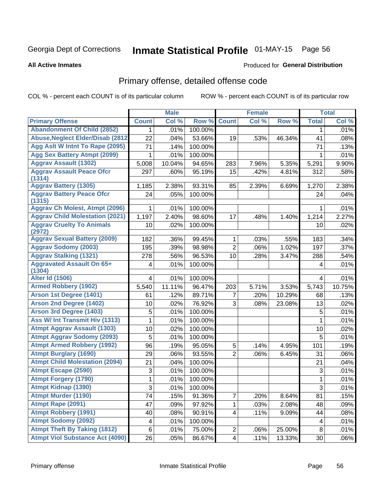# Inmate Statistical Profile 01-MAY-15 Page 56

#### **All Active Inmates**

#### Produced for General Distribution

## Primary offense, detailed offense code

COL % - percent each COUNT is of its particular column

|                                            |                         | <b>Male</b> |         |                | <b>Female</b> |        |                | <b>Total</b> |
|--------------------------------------------|-------------------------|-------------|---------|----------------|---------------|--------|----------------|--------------|
| <b>Primary Offense</b>                     | <b>Count</b>            | Col %       | Row %   | <b>Count</b>   | Col %         | Row %  | <b>Total</b>   | Col %        |
| <b>Abandonment Of Child (2852)</b>         | $\mathbf 1$             | .01%        | 100.00% |                |               |        | 1              | .01%         |
| <b>Abuse, Neglect Elder/Disab (2812)</b>   | 22                      | .04%        | 53.66%  | 19             | .53%          | 46.34% | 41             | .08%         |
| Agg Aslt W Intnt To Rape (2095)            | 71                      | .14%        | 100.00% |                |               |        | 71             | .13%         |
| <b>Agg Sex Battery Atmpt (2099)</b>        | 1                       | .01%        | 100.00% |                |               |        | 1              | .01%         |
| <b>Aggrav Assault (1302)</b>               | 5,008                   | 10.04%      | 94.65%  | 283            | 7.96%         | 5.35%  | 5,291          | 9.90%        |
| <b>Aggrav Assault Peace Ofcr</b><br>(1314) | 297                     | .60%        | 95.19%  | 15             | .42%          | 4.81%  | 312            | .58%         |
| <b>Aggrav Battery (1305)</b>               | 1,185                   | 2.38%       | 93.31%  | 85             | 2.39%         | 6.69%  | 1,270          | 2.38%        |
| <b>Aggrav Battery Peace Ofcr</b><br>(1315) | 24                      | .05%        | 100.00% |                |               |        | 24             | .04%         |
| <b>Aggrav Ch Molest, Atmpt (2096)</b>      | 1                       | .01%        | 100.00% |                |               |        | 1              | .01%         |
| <b>Aggrav Child Molestation (2021)</b>     | 1,197                   | 2.40%       | 98.60%  | 17             | .48%          | 1.40%  | 1,214          | 2.27%        |
| <b>Aggrav Cruelty To Animals</b><br>(2972) | 10                      | .02%        | 100.00% |                |               |        | 10             | .02%         |
| <b>Aggrav Sexual Battery (2009)</b>        | 182                     | .36%        | 99.45%  | 1              | .03%          | .55%   | 183            | .34%         |
| <b>Aggrav Sodomy (2003)</b>                | 195                     | .39%        | 98.98%  | $\overline{2}$ | .06%          | 1.02%  | 197            | .37%         |
| <b>Aggrav Stalking (1321)</b>              | 278                     | .56%        | 96.53%  | 10             | .28%          | 3.47%  | 288            | .54%         |
| <b>Aggravated Assault On 65+</b><br>(1304) | 4                       | .01%        | 100.00% |                |               |        | 4              | .01%         |
| <b>Alter Id (1506)</b>                     | 4                       | .01%        | 100.00% |                |               |        | 4              | .01%         |
| <b>Armed Robbery (1902)</b>                | 5,540                   | 11.11%      | 96.47%  | 203            | 5.71%         | 3.53%  | 5,743          | 10.75%       |
| Arson 1st Degree (1401)                    | 61                      | .12%        | 89.71%  | 7              | .20%          | 10.29% | 68             | .13%         |
| <b>Arson 2nd Degree (1402)</b>             | 10                      | .02%        | 76.92%  | 3              | .08%          | 23.08% | 13             | .02%         |
| Arson 3rd Degree (1403)                    | 5                       | .01%        | 100.00% |                |               |        | 5              | .01%         |
| Ass W/ Int Transmit Hiv (1313)             | 1                       | .01%        | 100.00% |                |               |        | $\mathbf{1}$   | .01%         |
| <b>Atmpt Aggrav Assault (1303)</b>         | 10                      | .02%        | 100.00% |                |               |        | 10             | .02%         |
| <b>Atmpt Aggrav Sodomy (2093)</b>          | 5                       | .01%        | 100.00% |                |               |        | 5              | .01%         |
| <b>Atmpt Armed Robbery (1992)</b>          | 96                      | .19%        | 95.05%  | 5              | .14%          | 4.95%  | 101            | .19%         |
| <b>Atmpt Burglary (1690)</b>               | 29                      | .06%        | 93.55%  | $\overline{2}$ | .06%          | 6.45%  | 31             | .06%         |
| <b>Atmpt Child Molestation (2094)</b>      | 21                      | .04%        | 100.00% |                |               |        | 21             | .04%         |
| <b>Atmpt Escape (2590)</b>                 | $\sqrt{3}$              | .01%        | 100.00% |                |               |        | $\sqrt{3}$     | .01%         |
| <b>Atmpt Forgery (1790)</b>                | 1                       | .01%        | 100.00% |                |               |        | 1              | .01%         |
| <b>Atmpt Kidnap (1390)</b>                 | $\overline{3}$          | .01%        | 100.00% |                |               |        | $\overline{3}$ | .01%         |
| <b>Atmpt Murder (1190)</b>                 | $\overline{7}$ 4        | .15%        | 91.36%  | $\overline{7}$ | .20%          | 8.64%  | 81             | .15%         |
| Atmpt Rape (2091)                          | 47                      | .09%        | 97.92%  | 1              | .03%          | 2.08%  | 48             | .09%         |
| <b>Atmpt Robbery (1991)</b>                | 40                      | .08%        | 90.91%  | $\overline{4}$ | .11%          | 9.09%  | 44             | .08%         |
| <b>Atmpt Sodomy (2092)</b>                 | $\overline{\mathbf{4}}$ | .01%        | 100.00% |                |               |        | 4              | .01%         |
| <b>Atmpt Theft By Taking (1812)</b>        | 6                       | .01%        | 75.00%  | $\overline{c}$ | .06%          | 25.00% | $\, 8$         | .01%         |
| <b>Atmpt Viol Substance Act (4090)</b>     | 26                      | .05%        | 86.67%  | $\overline{4}$ | .11%          | 13.33% | 30             | .06%         |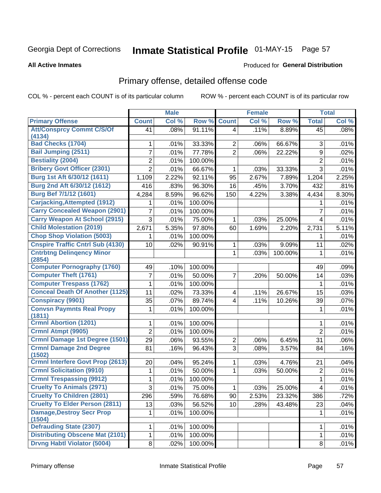# Inmate Statistical Profile 01-MAY-15 Page 57

#### **All Active Inmates**

#### Produced for General Distribution

## Primary offense, detailed offense code

COL % - percent each COUNT is of its particular column

|                                                            |                | <b>Male</b> |         |                                  | <b>Female</b> |                  |                         | <b>Total</b> |
|------------------------------------------------------------|----------------|-------------|---------|----------------------------------|---------------|------------------|-------------------------|--------------|
| <b>Primary Offense</b>                                     | <b>Count</b>   | Col %       | Row %   | <b>Count</b>                     | Col %         | Row %            | <b>Total</b>            | Col %        |
| <b>Att/Consprcy Commt C/S/Of</b>                           | 41             | .08%        | 91.11%  | $\vert 4 \vert$                  | .11%          | 8.89%            | 45                      | .08%         |
| (4134)<br><b>Bad Checks (1704)</b>                         |                |             | 33.33%  |                                  |               |                  | 3                       |              |
| <b>Bail Jumping (2511)</b>                                 | 1              | .01%        |         | $\overline{2}$<br>$\overline{2}$ | .06%          | 66.67%<br>22.22% |                         | .01%         |
| <b>Bestiality (2004)</b>                                   | 7              | .01%        | 77.78%  |                                  | .06%          |                  | 9                       | .02%         |
|                                                            | $\overline{2}$ | .01%        | 100.00% |                                  |               |                  | $\overline{2}$          | .01%         |
| <b>Bribery Govt Officer (2301)</b>                         | $\overline{2}$ | .01%        | 66.67%  | 1                                | .03%          | 33.33%           | $\overline{3}$          | .01%         |
| Burg 1st Aft 6/30/12 (1611)<br>Burg 2nd Aft 6/30/12 (1612) | 1,109          | 2.22%       | 92.11%  | 95                               | 2.67%         | 7.89%            | 1,204                   | 2.25%        |
|                                                            | 416            | .83%        | 96.30%  | 16                               | .45%          | 3.70%            | 432                     | .81%         |
| <b>Burg Bef 7/1/12 (1601)</b>                              | 4,284          | 8.59%       | 96.62%  | 150                              | 4.22%         | 3.38%            | 4,434                   | 8.30%        |
| <b>Carjacking, Attempted (1912)</b>                        |                | .01%        | 100.00% |                                  |               |                  |                         | .01%         |
| <b>Carry Concealed Weapon (2901)</b>                       | 7              | .01%        | 100.00% |                                  |               |                  | 7                       | .01%         |
| <b>Carry Weapon At School (2915)</b>                       | 3              | .01%        | 75.00%  | 1                                | .03%          | 25.00%           | 4                       | .01%         |
| <b>Child Molestation (2019)</b>                            | 2,671          | 5.35%       | 97.80%  | 60                               | 1.69%         | 2.20%            | 2,731                   | 5.11%        |
| <b>Chop Shop Violation (5003)</b>                          | 1              | .01%        | 100.00% |                                  |               |                  | 1                       | .01%         |
| <b>Cnspire Traffic Cntrl Sub (4130)</b>                    | 10             | .02%        | 90.91%  | 1                                | .03%          | 9.09%            | 11                      | .02%         |
| <b>Cntrbtng Delingency Minor</b><br>(2854)                 |                |             |         | 1                                | .03%          | 100.00%          | $\mathbf{1}$            | .01%         |
| <b>Computer Pornography (1760)</b>                         | 49             | .10%        | 100.00% |                                  |               |                  | 49                      | .09%         |
| <b>Computer Theft (1761)</b>                               | 7              | .01%        | 50.00%  | $\overline{7}$                   | .20%          | 50.00%           | 14                      | .03%         |
| <b>Computer Trespass (1762)</b>                            | 1              | .01%        | 100.00% |                                  |               |                  | $\mathbf{1}$            | .01%         |
| <b>Conceal Death Of Another (1125)</b>                     | 11             | .02%        | 73.33%  | 4                                | .11%          | 26.67%           | 15                      | .03%         |
| <b>Conspiracy (9901)</b>                                   | 35             | .07%        | 89.74%  | $\overline{\mathbf{4}}$          | .11%          | 10.26%           | 39                      | .07%         |
| <b>Convsn Paymnts Real Propy</b><br>(1811)                 | 1              | .01%        | 100.00% |                                  |               |                  | 1                       | .01%         |
| <b>Crmnl Abortion (1201)</b>                               | 1              | .01%        | 100.00% |                                  |               |                  | 1                       | .01%         |
| Crmnl Atmpt (9905)                                         | $\overline{2}$ | .01%        | 100.00% |                                  |               |                  | $\overline{2}$          | .01%         |
| Crmnl Damage 1st Degree (1501)                             | 29             | .06%        | 93.55%  | $\overline{2}$                   | .06%          | 6.45%            | 31                      | .06%         |
| <b>Crmnl Damage 2nd Degree</b><br>(1502)                   | 81             | .16%        | 96.43%  | 3                                | .08%          | 3.57%            | 84                      | .16%         |
| <b>Crmnl Interfere Govt Prop (2613)</b>                    | 20             | .04%        | 95.24%  | $\mathbf{1}$                     | .03%          | 4.76%            | 21                      | .04%         |
| <b>Crmnl Solicitation (9910)</b>                           | 1              | .01%        | 50.00%  | 1                                | .03%          | 50.00%           | $\overline{2}$          | .01%         |
| <b>Crmnl Trespassing (9912)</b>                            | 1              | .01%        | 100.00% |                                  |               |                  | 1                       | .01%         |
| <b>Cruelty To Animals (2971)</b>                           | $\overline{3}$ | .01%        | 75.00%  | $\mathbf 1$                      | .03%          | 25.00%           | $\overline{\mathbf{4}}$ | .01%         |
| <b>Cruelty To Children (2801)</b>                          | 296            | .59%        | 76.68%  | 90                               | 2.53%         | 23.32%           | 386                     | .72%         |
| <b>Cruelty To Elder Person (2811)</b>                      | 13             | .03%        | 56.52%  | 10                               | .28%          | 43.48%           | 23                      | .04%         |
| <b>Damage, Destroy Secr Prop</b><br>(1504)                 | $\mathbf{1}$   | .01%        | 100.00% |                                  |               |                  | 1                       | .01%         |
| <b>Defrauding State (2307)</b>                             | $\mathbf 1$    | .01%        | 100.00% |                                  |               |                  | 1                       | .01%         |
| <b>Distributing Obscene Mat (2101)</b>                     | $\mathbf 1$    | $.01\%$     | 100.00% |                                  |               |                  | 1                       | .01%         |
| <b>Drvng Habtl Violator (5004)</b>                         | 8 <sup>1</sup> | .02%        | 100.00% |                                  |               |                  | 8                       | $.01\%$      |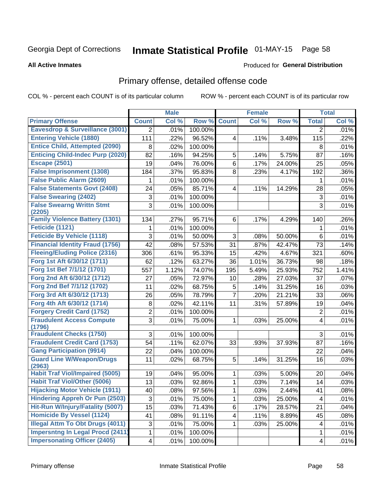# Inmate Statistical Profile 01-MAY-15 Page 58

#### **All Active Inmates**

#### Produced for General Distribution

## Primary offense, detailed offense code

COL % - percent each COUNT is of its particular column

|                                                                          |                | <b>Male</b> |         |                         | <b>Female</b> |        |                | <b>Total</b> |
|--------------------------------------------------------------------------|----------------|-------------|---------|-------------------------|---------------|--------|----------------|--------------|
| <b>Primary Offense</b>                                                   | <b>Count</b>   | Col %       | Row %   | <b>Count</b>            | Col %         | Row %  | <b>Total</b>   | Col %        |
| <b>Eavesdrop &amp; Surveillance (3001)</b>                               | $\overline{2}$ | .01%        | 100.00% |                         |               |        | $\overline{2}$ | .01%         |
| <b>Entering Vehicle (1880)</b>                                           | 111            | .22%        | 96.52%  | $\overline{\mathbf{4}}$ | .11%          | 3.48%  | 115            | .22%         |
| <b>Entice Child, Attempted (2090)</b>                                    | 8              | .02%        | 100.00% |                         |               |        | 8              | .01%         |
| <b>Enticing Child-Indec Purp (2020)</b>                                  | 82             | .16%        | 94.25%  | 5                       | .14%          | 5.75%  | 87             | .16%         |
| <b>Escape (2501)</b>                                                     | 19             | .04%        | 76.00%  | 6                       | .17%          | 24.00% | 25             | .05%         |
| <b>False Imprisonment (1308)</b>                                         | 184            | .37%        | 95.83%  | 8                       | .23%          | 4.17%  | 192            | .36%         |
| <b>False Public Alarm (2609)</b>                                         | 1              | .01%        | 100.00% |                         |               |        | 1              | .01%         |
| <b>False Statements Govt (2408)</b>                                      | 24             | .05%        | 85.71%  | $\overline{\mathbf{4}}$ | .11%          | 14.29% | 28             | .05%         |
| <b>False Swearing (2402)</b>                                             | 3              | .01%        | 100.00% |                         |               |        | 3              | .01%         |
| <b>False Swearng Writtn Stmt</b><br>(2205)                               | 3              | .01%        | 100.00% |                         |               |        | 3              | .01%         |
| <b>Family Violence Battery (1301)</b>                                    | 134            | .27%        | 95.71%  | 6                       | .17%          | 4.29%  | 140            | .26%         |
| Feticide (1121)                                                          | 1              | .01%        | 100.00% |                         |               |        | 1              | .01%         |
| <b>Feticide By Vehicle (1118)</b>                                        | 3              | .01%        | 50.00%  | 3                       | .08%          | 50.00% | 6              | .01%         |
| <b>Financial Identity Fraud (1756)</b>                                   | 42             | .08%        | 57.53%  | 31                      | .87%          | 42.47% | 73             | .14%         |
| <b>Fleeing/Eluding Police (2316)</b>                                     | 306            | .61%        | 95.33%  | 15                      | .42%          | 4.67%  | 321            | .60%         |
| Forg 1st Aft 6/30/12 (1711)                                              | 62             | .12%        | 63.27%  | 36                      | 1.01%         | 36.73% | 98             | .18%         |
| Forg 1st Bef 7/1/12 (1701)                                               | 557            | 1.12%       | 74.07%  | 195                     | 5.49%         | 25.93% | 752            | 1.41%        |
| Forg 2nd Aft 6/30/12 (1712)                                              | 27             | .05%        | 72.97%  | 10                      | .28%          | 27.03% | 37             | .07%         |
| Forg 2nd Bef 7/1/12 (1702)                                               | 11             | .02%        | 68.75%  | 5                       | .14%          | 31.25% | 16             | .03%         |
| Forg 3rd Aft 6/30/12 (1713)                                              | 26             | .05%        | 78.79%  | $\overline{7}$          | .20%          | 21.21% | 33             | .06%         |
| Forg 4th Aft 6/30/12 (1714)                                              | 8              | .02%        | 42.11%  | 11                      | .31%          | 57.89% | 19             | .04%         |
| <b>Forgery Credit Card (1752)</b>                                        | $\overline{c}$ | .01%        | 100.00% |                         |               |        | $\overline{2}$ | .01%         |
| <b>Fraudulent Access Compute</b>                                         | 3              | .01%        | 75.00%  | 1                       | .03%          | 25.00% | 4              | .01%         |
| (1796)                                                                   |                |             |         |                         |               |        |                |              |
| <b>Fraudulent Checks (1750)</b>                                          | 3              | .01%        | 100.00% |                         |               |        | $\mathfrak{S}$ | .01%         |
| <b>Fraudulent Credit Card (1753)</b><br><b>Gang Participation (9914)</b> | 54             | .11%        | 62.07%  | 33                      | .93%          | 37.93% | 87             | .16%         |
|                                                                          | 22             | .04%        | 100.00% |                         |               |        | 22             | .04%         |
| <b>Guard Line W/Weapon/Drugs</b><br>(2963)                               | 11             | .02%        | 68.75%  | 5                       | .14%          | 31.25% | 16             | .03%         |
| <b>Habit Traf Viol/Impaired (5005)</b>                                   | 19             | .04%        | 95.00%  | 1                       | .03%          | 5.00%  | 20             | .04%         |
| <b>Habit Traf Viol/Other (5006)</b>                                      | 13             | .03%        | 92.86%  | 1                       | .03%          | 7.14%  | 14             | .03%         |
| <b>Hijacking Motor Vehicle (1911)</b>                                    | 40             | .08%        | 97.56%  | $\mathbf{1}$            | .03%          | 2.44%  | 41             | .08%         |
| <b>Hindering Appreh Or Pun (2503)</b>                                    | 3              | .01%        | 75.00%  | $\mathbf{1}$            | .03%          | 25.00% | 4              | .01%         |
| Hit-Run W/Injury/Fatality (5007)                                         | 15             | .03%        | 71.43%  | 6                       | .17%          | 28.57% | 21             | .04%         |
| <b>Homicide By Vessel (1124)</b>                                         | 41             | .08%        | 91.11%  | 4                       | .11%          | 8.89%  | 45             | .08%         |
| <b>Illegal Attm To Obt Drugs (4011)</b>                                  | 3              | .01%        | 75.00%  | $\mathbf 1$             | .03%          | 25.00% | $\overline{4}$ | .01%         |
| <b>Impersntng In Legal Procd (2411)</b>                                  | 1              | .01%        | 100.00% |                         |               |        | $\mathbf 1$    | .01%         |
| <b>Impersonating Officer (2405)</b>                                      | 4              | .01%        | 100.00% |                         |               |        | 4              | .01%         |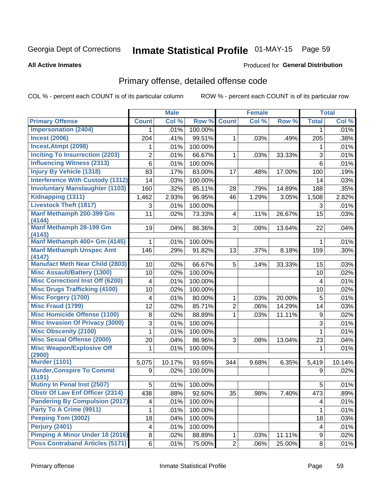# Inmate Statistical Profile 01-MAY-15 Page 59

#### **All Active Inmates**

#### Produced for General Distribution

## Primary offense, detailed offense code

COL % - percent each COUNT is of its particular column

|                                         |                         | <b>Male</b> |         |                         | <b>Female</b> |        |              | <b>Total</b> |
|-----------------------------------------|-------------------------|-------------|---------|-------------------------|---------------|--------|--------------|--------------|
| <b>Primary Offense</b>                  | <b>Count</b>            | Col %       | Row %   | <b>Count</b>            | Col %         | Row %  | <b>Total</b> | Col %        |
| <b>Impersonation (2404)</b>             | $\mathbf 1$             | .01%        | 100.00% |                         |               |        | 1            | .01%         |
| <b>Incest (2006)</b>                    | 204                     | .41%        | 99.51%  | 1                       | .03%          | .49%   | 205          | .38%         |
| Incest, Atmpt (2098)                    | 1                       | .01%        | 100.00% |                         |               |        | 1            | .01%         |
| <b>Inciting To Insurrection (2203)</b>  | 2                       | .01%        | 66.67%  | 1                       | .03%          | 33.33% | 3            | .01%         |
| <b>Influencing Witness (2313)</b>       | $6\phantom{a}$          | .01%        | 100.00% |                         |               |        | 6            | .01%         |
| <b>Injury By Vehicle (1318)</b>         | 83                      | .17%        | 83.00%  | 17                      | .48%          | 17.00% | 100          | .19%         |
| <b>Interference With Custody (1312)</b> | 14                      | .03%        | 100.00% |                         |               |        | 14           | .03%         |
| <b>Involuntary Manslaughter (1103)</b>  | 160                     | .32%        | 85.11%  | 28                      | .79%          | 14.89% | 188          | .35%         |
| Kidnapping (1311)                       | 1,462                   | 2.93%       | 96.95%  | 46                      | 1.29%         | 3.05%  | 1,508        | 2.82%        |
| <b>Livestock Theft (1817)</b>           | 3                       | .01%        | 100.00% |                         |               |        | 3            | .01%         |
| Manf Methamph 200-399 Gm                | 11                      | .02%        | 73.33%  | $\overline{\mathbf{4}}$ | .11%          | 26.67% | 15           | .03%         |
| (4144)                                  |                         |             |         |                         |               |        |              |              |
| Manf Methamph 28-199 Gm<br>(4143)       | 19                      | .04%        | 86.36%  | 3 <sup>1</sup>          | .08%          | 13.64% | 22           | .04%         |
| Manf Methamph 400+ Gm (4145)            | 1                       | .01%        | 100.00% |                         |               |        | 1            | .01%         |
| <b>Manf Methamph Unspec Amt</b>         | 146                     | .29%        | 91.82%  | 13                      | .37%          | 8.18%  | 159          | .30%         |
| (4147)                                  |                         |             |         |                         |               |        |              |              |
| <b>Manufact Meth Near Child (2803)</b>  | 10                      | .02%        | 66.67%  | 5                       | .14%          | 33.33% | 15           | .03%         |
| <b>Misc Assault/Battery (1300)</b>      | 10                      | .02%        | 100.00% |                         |               |        | 10           | .02%         |
| <b>Misc Correctionl Inst Off (6200)</b> | $\overline{4}$          | .01%        | 100.00% |                         |               |        | 4            | .01%         |
| <b>Misc Drugs Trafficking (4100)</b>    | 10                      | .02%        | 100.00% |                         |               |        | 10           | .02%         |
| <b>Misc Forgery (1700)</b>              | $\overline{\mathbf{4}}$ | .01%        | 80.00%  | 1                       | .03%          | 20.00% | 5            | .01%         |
| <b>Misc Fraud (1799)</b>                | 12                      | .02%        | 85.71%  | $\overline{c}$          | .06%          | 14.29% | 14           | .03%         |
| <b>Misc Homicide Offense (1100)</b>     | 8                       | .02%        | 88.89%  | 1                       | .03%          | 11.11% | $9\,$        | .02%         |
| <b>Misc Invasion Of Privacy (3000)</b>  | 3                       | .01%        | 100.00% |                         |               |        | 3            | .01%         |
| <b>Misc Obscenity (2100)</b>            | 1                       | .01%        | 100.00% |                         |               |        | 1            | .01%         |
| <b>Misc Sexual Offense (2000)</b>       | 20                      | .04%        | 86.96%  | 3                       | .08%          | 13.04% | 23           | .04%         |
| <b>Misc Weapon/Explosive Off</b>        | 1                       | .01%        | 100.00% |                         |               |        | 1            | .01%         |
| (2900)<br><b>Murder (1101)</b>          |                         |             |         |                         |               |        |              |              |
| <b>Murder, Conspire To Commit</b>       | 5,075                   | 10.17%      | 93.65%  | 344                     | 9.68%         | 6.35%  | 5,419        | 10.14%       |
| (1191)                                  | 9                       | .02%        | 100.00% |                         |               |        | 9            | .02%         |
| <b>Mutiny In Penal Inst (2507)</b>      | 5 <sup>1</sup>          | $.01\%$     | 100.00% |                         |               |        | 5            | .01%         |
| <b>Obstr Of Law Enf Officer (2314)</b>  | 438                     | .88%        | 92.60%  | 35                      | .98%          | 7.40%  | 473          | .89%         |
| <b>Pandering By Compulsion (2017)</b>   | 4                       | .01%        | 100.00% |                         |               |        | 4            | .01%         |
| Party To A Crime (9911)                 | 1                       | .01%        | 100.00% |                         |               |        | 1            | .01%         |
| Peeping Tom (3002)                      | 18                      | .04%        | 100.00% |                         |               |        | 18           | .03%         |
| Perjury (2401)                          | $\overline{\mathbf{4}}$ | .01%        | 100.00% |                         |               |        | 4            | .01%         |
| <b>Pimping A Minor Under 18 (2016)</b>  | 8                       | .02%        | 88.89%  | $\mathbf{1}$            | .03%          | 11.11% | 9            | .02%         |
| <b>Poss Contraband Articles (5171)</b>  | 6                       | .01%        | 75.00%  | $\overline{2}$          | .06%          | 25.00% | $\bf 8$      | .01%         |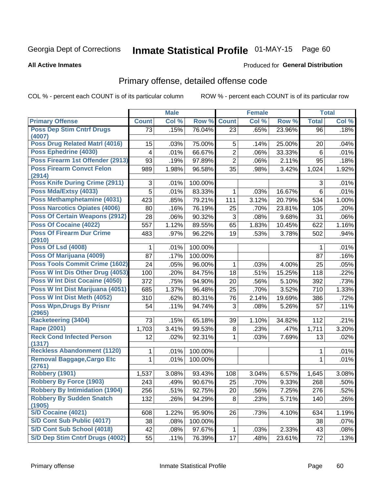# Inmate Statistical Profile 01-MAY-15 Page 60

#### **All Active Inmates**

#### **Produced for General Distribution**

### Primary offense, detailed offense code

COL % - percent each COUNT is of its particular column

|                                             |                 | <b>Male</b> |         |                | <b>Female</b> |        |                | <b>Total</b> |
|---------------------------------------------|-----------------|-------------|---------|----------------|---------------|--------|----------------|--------------|
| <b>Primary Offense</b>                      | <b>Count</b>    | Col %       | Row %   | <b>Count</b>   | Col %         | Row %  | <b>Total</b>   | Col %        |
| <b>Poss Dep Stim Cntrf Drugs</b><br>(4007)  | $\overline{73}$ | .15%        | 76.04%  | 23             | .65%          | 23.96% | 96             | .18%         |
| Poss Drug Related Matrl (4016)              | 15              | .03%        | 75.00%  | 5              | .14%          | 25.00% | 20             | .04%         |
| Poss Ephedrine (4030)                       | 4               | .01%        | 66.67%  | $\overline{2}$ | .06%          | 33.33% | 6              | .01%         |
| Poss Firearm 1st Offender (2913)            | 93              | .19%        | 97.89%  | $\overline{2}$ | .06%          | 2.11%  | 95             | .18%         |
| <b>Poss Firearm Convct Felon</b><br>(2914)  | 989             | 1.98%       | 96.58%  | 35             | .98%          | 3.42%  | 1,024          | 1.92%        |
| <b>Poss Knife During Crime (2911)</b>       | 3               | .01%        | 100.00% |                |               |        | 3              | .01%         |
| Poss Mda/Extsy (4033)                       | 5               | .01%        | 83.33%  | 1              | .03%          | 16.67% | $6\phantom{1}$ | .01%         |
| Poss Methamphetamine (4031)                 | 423             | .85%        | 79.21%  | 111            | 3.12%         | 20.79% | 534            | 1.00%        |
| <b>Poss Narcotics Opiates (4006)</b>        | 80              | .16%        | 76.19%  | 25             | .70%          | 23.81% | 105            | .20%         |
| <b>Poss Of Certain Weapons (2912)</b>       | 28              | .06%        | 90.32%  | 3              | .08%          | 9.68%  | 31             | .06%         |
| <b>Poss Of Cocaine (4022)</b>               | 557             | 1.12%       | 89.55%  | 65             | 1.83%         | 10.45% | 622            | 1.16%        |
| <b>Poss Of Firearm Dur Crime</b><br>(2910)  | 483             | .97%        | 96.22%  | 19             | .53%          | 3.78%  | 502            | .94%         |
| <b>Poss Of Lsd (4008)</b>                   | 1               | .01%        | 100.00% |                |               |        | 1              | .01%         |
| Poss Of Marijuana (4009)                    | 87              | .17%        | 100.00% |                |               |        | 87             | .16%         |
| Poss Tools Commit Crime (1602)              | 24              | .05%        | 96.00%  | $\mathbf{1}$   | .03%          | 4.00%  | 25             | .05%         |
| Poss W Int Dis Other Drug (4053)            | 100             | .20%        | 84.75%  | 18             | .51%          | 15.25% | 118            | .22%         |
| Poss W Int Dist Cocaine (4050)              | 372             | .75%        | 94.90%  | 20             | .56%          | 5.10%  | 392            | .73%         |
| Poss W Int Dist Marijuana (4051)            | 685             | 1.37%       | 96.48%  | 25             | .70%          | 3.52%  | 710            | 1.33%        |
| Poss W Int Dist Meth (4052)                 | 310             | .62%        | 80.31%  | 76             | 2.14%         | 19.69% | 386            | .72%         |
| <b>Poss Wpn, Drugs By Prisnr</b><br>(2965)  | 54              | .11%        | 94.74%  | 3              | .08%          | 5.26%  | 57             | .11%         |
| <b>Racketeering (3404)</b>                  | 73              | .15%        | 65.18%  | 39             | 1.10%         | 34.82% | 112            | .21%         |
| <b>Rape (2001)</b>                          | 1,703           | 3.41%       | 99.53%  | 8              | .23%          | .47%   | 1,711          | 3.20%        |
| <b>Reck Cond Infected Person</b><br>(1317)  | 12              | .02%        | 92.31%  | $\mathbf{1}$   | .03%          | 7.69%  | 13             | .02%         |
| <b>Reckless Abandonment (1120)</b>          | 1               | .01%        | 100.00% |                |               |        | 1              | .01%         |
| <b>Removal Baggage, Cargo Etc</b><br>(2761) | $\mathbf{1}$    | .01%        | 100.00% |                |               |        | $\mathbf{1}$   | .01%         |
| Robbery (1901)                              | 1,537           | 3.08%       | 93.43%  | 108            | 3.04%         | 6.57%  | 1,645          | 3.08%        |
| <b>Robbery By Force (1903)</b>              | 243             | .49%        | 90.67%  | 25             | .70%          | 9.33%  | 268            | .50%         |
| <b>Robbery By Intimidation (1904)</b>       | 256             | .51%        | 92.75%  | 20             | .56%          | 7.25%  | 276            | .52%         |
| <b>Robbery By Sudden Snatch</b><br>(1905)   | 132             | .26%        | 94.29%  | 8              | .23%          | 5.71%  | 140            | .26%         |
| S/D Cocaine (4021)                          | 608             | 1.22%       | 95.90%  | 26             | .73%          | 4.10%  | 634            | 1.19%        |
| S/D Cont Sub Public (4017)                  | 38              | .08%        | 100.00% |                |               |        | 38             | .07%         |
| S/D Cont Sub School (4018)                  | 42              | .08%        | 97.67%  | 1              | .03%          | 2.33%  | 43             | .08%         |
| S/D Dep Stim Cntrf Drugs (4002)             | 55              | .11%        | 76.39%  | 17             | .48%          | 23.61% | 72             | .13%         |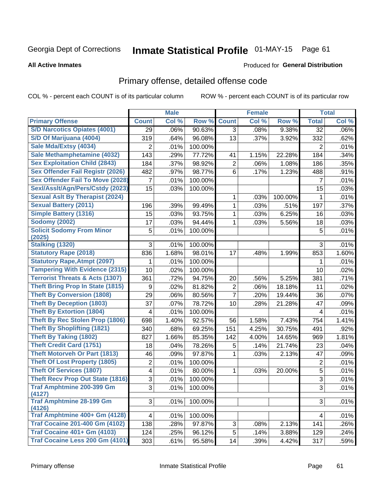# Inmate Statistical Profile 01-MAY-15 Page 61

#### **All Active Inmates**

#### Produced for General Distribution

## Primary offense, detailed offense code

COL % - percent each COUNT is of its particular column

|                                            |                | <b>Male</b> |         |                  | <b>Female</b> |         |                | <b>Total</b> |
|--------------------------------------------|----------------|-------------|---------|------------------|---------------|---------|----------------|--------------|
| <b>Primary Offense</b>                     | <b>Count</b>   | Col %       | Row %   | <b>Count</b>     | Col %         | Row %   | <b>Total</b>   | Col %        |
| <b>S/D Narcotics Opiates (4001)</b>        | 29             | .06%        | 90.63%  | 3                | .08%          | 9.38%   | 32             | .06%         |
| S/D Of Marijuana (4004)                    | 319            | .64%        | 96.08%  | 13               | .37%          | 3.92%   | 332            | .62%         |
| Sale Mda/Extsy (4034)                      | 2              | .01%        | 100.00% |                  |               |         | 2              | .01%         |
| Sale Methamphetamine (4032)                | 143            | .29%        | 77.72%  | 41               | 1.15%         | 22.28%  | 184            | .34%         |
| <b>Sex Exploitation Child (2843)</b>       | 184            | .37%        | 98.92%  | $\overline{2}$   | .06%          | 1.08%   | 186            | .35%         |
| <b>Sex Offender Fail Registr (2026)</b>    | 482            | .97%        | 98.77%  | $6\phantom{1}$   | .17%          | 1.23%   | 488            | .91%         |
| <b>Sex Offender Fail To Move (2028)</b>    | 7              | .01%        | 100.00% |                  |               |         | 7              | .01%         |
| Sexl/Asslt/Agn/Pers/Cstdy (2023)           | 15             | .03%        | 100.00% |                  |               |         | 15             | .03%         |
| <b>Sexual Aslt By Therapist (2024)</b>     |                |             |         | 1                | .03%          | 100.00% | 1              | .01%         |
| <b>Sexual Battery (2011)</b>               | 196            | .39%        | 99.49%  | 1                | .03%          | .51%    | 197            | .37%         |
| <b>Simple Battery (1316)</b>               | 15             | .03%        | 93.75%  | 1                | .03%          | 6.25%   | 16             | .03%         |
| <b>Sodomy (2002)</b>                       | 17             | .03%        | 94.44%  | 1                | .03%          | 5.56%   | 18             | .03%         |
| <b>Solicit Sodomy From Minor</b><br>(2025) | 5              | .01%        | 100.00% |                  |               |         | 5              | .01%         |
| Stalking (1320)                            | 3              | .01%        | 100.00% |                  |               |         | 3              | .01%         |
| <b>Statutory Rape (2018)</b>               | 836            | 1.68%       | 98.01%  | 17               | .48%          | 1.99%   | 853            | 1.60%        |
| <b>Statutory Rape, Atmpt (2097)</b>        | 1              | .01%        | 100.00% |                  |               |         | 1              | .01%         |
| <b>Tampering With Evidence (2315)</b>      | 10             | .02%        | 100.00% |                  |               |         | 10             | .02%         |
| <b>Terrorist Threats &amp; Acts (1307)</b> | 361            | .72%        | 94.75%  | 20               | .56%          | 5.25%   | 381            | .71%         |
| <b>Theft Bring Prop In State (1815)</b>    | 9              | .02%        | 81.82%  | $\boldsymbol{2}$ | .06%          | 18.18%  | 11             | .02%         |
| <b>Theft By Conversion (1808)</b>          | 29             | .06%        | 80.56%  | 7                | .20%          | 19.44%  | 36             | .07%         |
| <b>Theft By Deception (1803)</b>           | 37             | .07%        | 78.72%  | 10               | .28%          | 21.28%  | 47             | .09%         |
| <b>Theft By Extortion (1804)</b>           | 4              | .01%        | 100.00% |                  |               |         | $\overline{4}$ | .01%         |
| <b>Theft By Rec Stolen Prop (1806)</b>     | 698            | 1.40%       | 92.57%  | 56               | 1.58%         | 7.43%   | 754            | 1.41%        |
| <b>Theft By Shoplifting (1821)</b>         | 340            | .68%        | 69.25%  | 151              | 4.25%         | 30.75%  | 491            | .92%         |
| Theft By Taking (1802)                     | 827            | 1.66%       | 85.35%  | 142              | 4.00%         | 14.65%  | 969            | 1.81%        |
| <b>Theft Credit Card (1751)</b>            | 18             | .04%        | 78.26%  | 5                | .14%          | 21.74%  | 23             | .04%         |
| <b>Theft Motorveh Or Part (1813)</b>       | 46             | .09%        | 97.87%  | 1                | .03%          | 2.13%   | 47             | .09%         |
| <b>Theft Of Lost Property (1805)</b>       | $\overline{2}$ | .01%        | 100.00% |                  |               |         | $\overline{c}$ | .01%         |
| <b>Theft Of Services (1807)</b>            | 4              | .01%        | 80.00%  | 1                | .03%          | 20.00%  | $\overline{5}$ | .01%         |
| <b>Theft Recv Prop Out State (1816)</b>    | 3              | .01%        | 100.00% |                  |               |         | 3              | .01%         |
| <b>Traf Amphtmine 200-399 Gm</b><br>(4127) | $\overline{3}$ | .01%        | 100.00% |                  |               |         | $\overline{3}$ | .01%         |
| <b>Traf Amphtmine 28-199 Gm</b><br>(4126)  | 3              | .01%        | 100.00% |                  |               |         | 3              | .01%         |
| Traf Amphtmine 400+ Gm (4128)              | 4              | .01%        | 100.00% |                  |               |         | $\overline{4}$ | .01%         |
| <b>Traf Cocaine 201-400 Gm (4102)</b>      | 138            | .28%        | 97.87%  | 3                | .08%          | 2.13%   | 141            | .26%         |
| <b>Traf Cocaine 401+ Gm (4103)</b>         | 124            | .25%        | 96.12%  | 5                | .14%          | 3.88%   | 129            | .24%         |
| Traf Cocaine Less 200 Gm (4101)            | 303            | .61%        | 95.58%  | 14               | .39%          | 4.42%   | 317            | .59%         |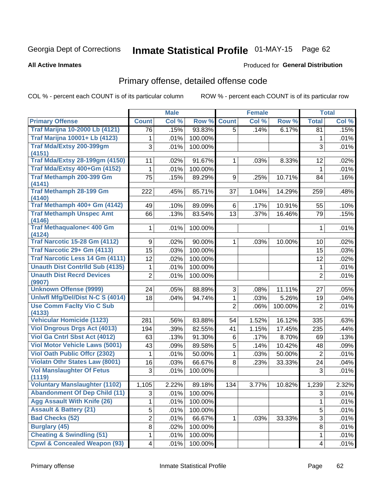# Inmate Statistical Profile 01-MAY-15 Page 62

#### **All Active Inmates**

#### Produced for General Distribution

## Primary offense, detailed offense code

COL % - percent each COUNT is of its particular column

|                                               |              | <b>Male</b> |         |                | <b>Female</b> |         |                | <b>Total</b> |
|-----------------------------------------------|--------------|-------------|---------|----------------|---------------|---------|----------------|--------------|
| <b>Primary Offense</b>                        | <b>Count</b> | Col %       | Row %   | <b>Count</b>   | Col %         | Row %   | <b>Total</b>   | Col %        |
| <b>Traf Marijna 10-2000 Lb (4121)</b>         | 76           | .15%        | 93.83%  | 5              | .14%          | 6.17%   | 81             | .15%         |
| <b>Traf Marijna 10001+ Lb (4123)</b>          | 1            | .01%        | 100.00% |                |               |         | 1              | .01%         |
| Traf Mda/Extsy 200-399gm<br>(4151)            | 3            | .01%        | 100.00% |                |               |         | 3              | .01%         |
| <b>Traf Mda/Extsy 28-199gm (4150)</b>         | 11           | .02%        | 91.67%  | $\mathbf{1}$   | .03%          | 8.33%   | 12             | .02%         |
| Traf Mda/Extsy 400+Gm (4152)                  | 1            | .01%        | 100.00% |                |               |         | 1              | .01%         |
| Traf Methamph 200-399 Gm<br>(4141)            | 75           | .15%        | 89.29%  | 9              | .25%          | 10.71%  | 84             | .16%         |
| <b>Traf Methamph 28-199 Gm</b><br>(4140)      | 222          | .45%        | 85.71%  | 37             | 1.04%         | 14.29%  | 259            | .48%         |
| Traf Methamph 400+ Gm (4142)                  | 49           | .10%        | 89.09%  | 6              | .17%          | 10.91%  | 55             | .10%         |
| <b>Traf Methamph Unspec Amt</b><br>(4146)     | 66           | .13%        | 83.54%  | 13             | .37%          | 16.46%  | 79             | .15%         |
| <b>Traf Methaqualone&lt; 400 Gm</b><br>(4124) | 1            | .01%        | 100.00% |                |               |         | $\mathbf 1$    | .01%         |
| <b>Traf Narcotic 15-28 Gm (4112)</b>          | 9            | .02%        | 90.00%  | $\mathbf{1}$   | .03%          | 10.00%  | 10             | .02%         |
| Traf Narcotic 29+ Gm (4113)                   | 15           | .03%        | 100.00% |                |               |         | 15             | .03%         |
| Traf Narcotic Less 14 Gm (4111)               | 12           | .02%        | 100.00% |                |               |         | 12             | .02%         |
| <b>Unauth Dist Contrild Sub (4135)</b>        | 1            | .01%        | 100.00% |                |               |         | $\mathbf{1}$   | .01%         |
| <b>Unauth Dist Recrd Devices</b><br>(9907)    | 2            | .01%        | 100.00% |                |               |         | $\overline{2}$ | .01%         |
| <b>Unknown Offense (9999)</b>                 | 24           | .05%        | 88.89%  | 3              | .08%          | 11.11%  | 27             | .05%         |
| Uniwfl Mfg/Del/Dist N-C S (4014)              | 18           | .04%        | 94.74%  | $\mathbf{1}$   | .03%          | 5.26%   | 19             | .04%         |
| <b>Use Comm Facity Vio C Sub</b><br>(4133)    |              |             |         | $\overline{2}$ | .06%          | 100.00% | $\overline{2}$ | .01%         |
| <b>Vehicular Homicide (1123)</b>              | 281          | .56%        | 83.88%  | 54             | 1.52%         | 16.12%  | 335            | .63%         |
| <b>Viol Dngrous Drgs Act (4013)</b>           | 194          | .39%        | 82.55%  | 41             | 1.15%         | 17.45%  | 235            | .44%         |
| Viol Ga Cntrl Sbst Act (4012)                 | 63           | .13%        | 91.30%  | 6              | .17%          | 8.70%   | 69             | .13%         |
| <b>Viol Motor Vehicle Laws (5001)</b>         | 43           | .09%        | 89.58%  | 5              | .14%          | 10.42%  | 48             | .09%         |
| <b>Viol Oath Public Offer (2302)</b>          | 1            | .01%        | 50.00%  | $\mathbf{1}$   | .03%          | 50.00%  | $\overline{2}$ | .01%         |
| <b>Violatn Othr States Law (8001)</b>         | 16           | .03%        | 66.67%  | 8              | .23%          | 33.33%  | 24             | .04%         |
| <b>Vol Manslaughter Of Fetus</b>              | 3            | .01%        | 100.00% |                |               |         | 3              | .01%         |
| (1119)                                        |              |             |         |                |               |         |                |              |
| <b>Voluntary Manslaughter (1102)</b>          | 1,105        | 2.22%       | 89.18%  | 134            | 3.77%         | 10.82%  | 1,239          | 2.32%        |
| <b>Abandonment Of Dep Child (11)</b>          | 3            | .01%        | 100.00% |                |               |         | 3              | .01%         |
| <b>Agg Assault With Knife (26)</b>            | 1            | .01%        | 100.00% |                |               |         | 1              | .01%         |
| <b>Assault &amp; Battery (21)</b>             | 5            | .01%        | 100.00% |                |               |         | 5              | .01%         |
| <b>Bad Checks (52)</b>                        | 2            | .01%        | 66.67%  | $\mathbf{1}$   | .03%          | 33.33%  | 3              | .01%         |
| <b>Burglary (45)</b>                          | 8            | .02%        | 100.00% |                |               |         | 8              | .01%         |
| <b>Cheating &amp; Swindling (51)</b>          | 1            | .01%        | 100.00% |                |               |         | 1              | .01%         |
| <b>Cpwl &amp; Concealed Weapon (93)</b>       | 4            | .01%        | 100.00% |                |               |         | 4              | .01%         |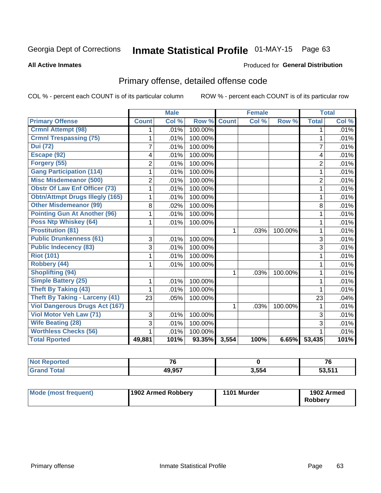# Inmate Statistical Profile 01-MAY-15 Page 63

#### **All Active Inmates**

#### Produced for General Distribution

## Primary offense, detailed offense code

COL % - percent each COUNT is of its particular column

|                                        |                | <b>Male</b> |         |              | <b>Female</b> |         |                | <b>Total</b> |
|----------------------------------------|----------------|-------------|---------|--------------|---------------|---------|----------------|--------------|
| <b>Primary Offense</b>                 | <b>Count</b>   | Col %       | Row %   | <b>Count</b> | Col%          | Row %   | <b>Total</b>   | Col %        |
| <b>Crmnl Attempt (98)</b>              | 1 <sub>1</sub> | .01%        | 100.00% |              |               |         | 1              | .01%         |
| <b>Crmnl Trespassing (75)</b>          | 1              | .01%        | 100.00% |              |               |         | 1              | .01%         |
| <b>Dui</b> (72)                        | $\overline{7}$ | .01%        | 100.00% |              |               |         | $\overline{7}$ | .01%         |
| Escape (92)                            | 4              | .01%        | 100.00% |              |               |         | 4              | .01%         |
| Forgery (55)                           | $\overline{2}$ | .01%        | 100.00% |              |               |         | $\overline{2}$ | .01%         |
| <b>Gang Participation (114)</b>        | 1              | .01%        | 100.00% |              |               |         | 1              | .01%         |
| <b>Misc Misdemeanor (500)</b>          | 2              | .01%        | 100.00% |              |               |         | $\overline{2}$ | .01%         |
| <b>Obstr Of Law Enf Officer (73)</b>   | 1              | .01%        | 100.00% |              |               |         | 1              | .01%         |
| <b>Obtn/Attmpt Drugs Illegly (165)</b> | 1              | .01%        | 100.00% |              |               |         | 1              | .01%         |
| <b>Other Misdemeanor (99)</b>          | 8              | .02%        | 100.00% |              |               |         | 8              | .01%         |
| <b>Pointing Gun At Another (96)</b>    |                | .01%        | 100.00% |              |               |         | 1              | .01%         |
| <b>Poss Ntp Whiskey (64)</b>           | 1              | .01%        | 100.00% |              |               |         | 1              | .01%         |
| <b>Prostitution (81)</b>               |                |             |         | 1            | .03%          | 100.00% | 1              | .01%         |
| <b>Public Drunkenness (61)</b>         | 3              | .01%        | 100.00% |              |               |         | 3              | .01%         |
| <b>Public Indecency (83)</b>           | 3              | .01%        | 100.00% |              |               |         | 3              | .01%         |
| <b>Riot (101)</b>                      | 1              | .01%        | 100.00% |              |               |         | 1              | .01%         |
| Robbery (44)                           |                | .01%        | 100.00% |              |               |         | 1              | .01%         |
| <b>Shoplifting (94)</b>                |                |             |         | 1            | .03%          | 100.00% | 1              | .01%         |
| <b>Simple Battery (25)</b>             | 1              | .01%        | 100.00% |              |               |         | 1              | .01%         |
| <b>Theft By Taking (43)</b>            |                | .01%        | 100.00% |              |               |         | 1              | .01%         |
| <b>Theft By Taking - Larceny (41)</b>  | 23             | .05%        | 100.00% |              |               |         | 23             | .04%         |
| <b>Viol Dangerous Drugs Act (167)</b>  |                |             |         | 1            | .03%          | 100.00% | 1              | .01%         |
| Viol Motor Veh Law (71)                | 3              | .01%        | 100.00% |              |               |         | 3              | .01%         |
| <b>Wife Beating (28)</b>               | 3              | .01%        | 100.00% |              |               |         | 3              | .01%         |
| <b>Worthless Checks (56)</b>           | 1              | .01%        | 100.00% |              |               |         | 1              | .01%         |
| <b>Total Rported</b>                   | 49,881         | 101%        | 93.35%  | 3,554        | 100%          | 6.65%   | 53,435         | 101%         |

| <b>eported</b><br>. | $\rightarrow$ |       | 76            |
|---------------------|---------------|-------|---------------|
|                     | 49.957        | 3.554 | <b>EO E44</b> |

| Mode (most frequent) | 1902 Armed Robbery | 1101 Murder | 1902 Armed     |
|----------------------|--------------------|-------------|----------------|
|                      |                    |             | <b>Robbery</b> |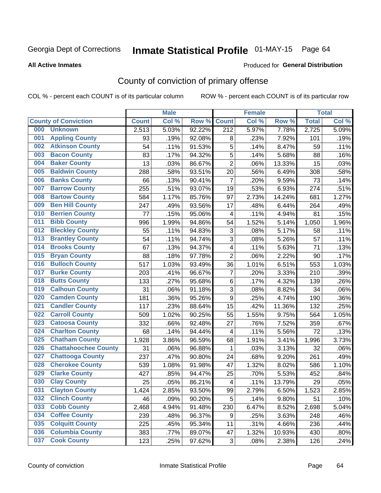# Inmate Statistical Profile 01-MAY-15 Page 64

#### **All Active Inmates**

#### **Produced for General Distribution**

## County of conviction of primary offense

COL % - percent each COUNT is of its particular column

|     |                             |              | <b>Male</b> |        |                          | <b>Female</b> |                     |              | <b>Total</b> |
|-----|-----------------------------|--------------|-------------|--------|--------------------------|---------------|---------------------|--------------|--------------|
|     | <b>County of Conviction</b> | <b>Count</b> | Col %       | Row %  | <b>Count</b>             | Col %         | Row %               | <b>Total</b> | Col %        |
| 000 | <b>Unknown</b>              | 2,513        | 5.03%       | 92.22% | $\overline{212}$         | 5.97%         | 7.78%               | 2,725        | 5.09%        |
| 001 | <b>Appling County</b>       | 93           | .19%        | 92.08% | 8                        | .23%          | 7.92%               | 101          | .19%         |
| 002 | <b>Atkinson County</b>      | 54           | .11%        | 91.53% | 5                        | .14%          | 8.47%               | 59           | .11%         |
| 003 | <b>Bacon County</b>         | 83           | .17%        | 94.32% | 5                        | .14%          | 5.68%               | 88           | .16%         |
| 004 | <b>Baker County</b>         | 13           | .03%        | 86.67% | $\overline{2}$           | .06%          | 13.33%              | 15           | .03%         |
| 005 | <b>Baldwin County</b>       | 288          | .58%        | 93.51% | 20                       | .56%          | 6.49%               | 308          | .58%         |
| 006 | <b>Banks County</b>         | 66           | .13%        | 90.41% | $\overline{7}$           | .20%          | 9.59%               | 73           | .14%         |
| 007 | <b>Barrow County</b>        | 255          | .51%        | 93.07% | 19                       | .53%          | 6.93%               | 274          | .51%         |
| 008 | <b>Bartow County</b>        | 584          | 1.17%       | 85.76% | 97                       | 2.73%         | 14.24%              | 681          | 1.27%        |
| 009 | <b>Ben Hill County</b>      | 247          | .49%        | 93.56% | 17                       | .48%          | 6.44%               | 264          | .49%         |
| 010 | <b>Berrien County</b>       | 77           | .15%        | 95.06% | 4                        | .11%          | 4.94%               | 81           | .15%         |
| 011 | <b>Bibb County</b>          | 996          | 1.99%       | 94.86% | 54                       | 1.52%         | 5.14%               | 1,050        | 1.96%        |
| 012 | <b>Bleckley County</b>      | 55           | .11%        | 94.83% | 3                        | .08%          | $\overline{5.17\%}$ | 58           | .11%         |
| 013 | <b>Brantley County</b>      | 54           | .11%        | 94.74% | 3                        | .08%          | 5.26%               | 57           | .11%         |
| 014 | <b>Brooks County</b>        | 67           | .13%        | 94.37% | 4                        | .11%          | 5.63%               | 71           | .13%         |
| 015 | <b>Bryan County</b>         | 88           | .18%        | 97.78% | $\overline{2}$           | .06%          | 2.22%               | 90           | .17%         |
| 016 | <b>Bulloch County</b>       | 517          | 1.03%       | 93.49% | 36                       | 1.01%         | 6.51%               | 553          | 1.03%        |
| 017 | <b>Burke County</b>         | 203          | .41%        | 96.67% | 7                        | .20%          | 3.33%               | 210          | .39%         |
| 018 | <b>Butts County</b>         | 133          | .27%        | 95.68% | 6                        | .17%          | 4.32%               | 139          | .26%         |
| 019 | <b>Calhoun County</b>       | 31           | .06%        | 91.18% | 3                        | .08%          | 8.82%               | 34           | .06%         |
| 020 | <b>Camden County</b>        | 181          | .36%        | 95.26% | $\boldsymbol{9}$         | .25%          | 4.74%               | 190          | .36%         |
| 021 | <b>Candler County</b>       | 117          | .23%        | 88.64% | 15                       | .42%          | 11.36%              | 132          | .25%         |
| 022 | <b>Carroll County</b>       | 509          | 1.02%       | 90.25% | 55                       | 1.55%         | 9.75%               | 564          | 1.05%        |
| 023 | <b>Catoosa County</b>       | 332          | .66%        | 92.48% | 27                       | .76%          | 7.52%               | 359          | .67%         |
| 024 | <b>Charlton County</b>      | 68           | .14%        | 94.44% | 4                        | .11%          | 5.56%               | 72           | .13%         |
| 025 | <b>Chatham County</b>       | 1,928        | 3.86%       | 96.59% | 68                       | 1.91%         | 3.41%               | 1,996        | 3.73%        |
| 026 | <b>Chattahoochee County</b> | 31           | .06%        | 96.88% | 1                        | .03%          | 3.13%               | 32           | .06%         |
| 027 | <b>Chattooga County</b>     | 237          | .47%        | 90.80% | 24                       | .68%          | 9.20%               | 261          | .49%         |
| 028 | <b>Cherokee County</b>      | 539          | 1.08%       | 91.98% | 47                       | 1.32%         | 8.02%               | 586          | 1.10%        |
| 029 | <b>Clarke County</b>        | 427          | .85%        | 94.47% | 25                       | .70%          | 5.53%               | 452          | .84%         |
| 030 | <b>Clay County</b>          | 25           | .05%        | 86.21% | $\overline{\mathcal{A}}$ | .11%          | 13.79%              | 29           | .05%         |
| 031 | <b>Clayton County</b>       | 1,424        | 2.85%       | 93.50% | 99                       | 2.79%         | 6.50%               | 1,523        | 2.85%        |
| 032 | <b>Clinch County</b>        | 46           | .09%        | 90.20% | 5                        | .14%          | 9.80%               | 51           | .10%         |
| 033 | <b>Cobb County</b>          | 2,468        | 4.94%       | 91.48% | 230                      | 6.47%         | 8.52%               | 2,698        | 5.04%        |
| 034 | <b>Coffee County</b>        | 239          | .48%        | 96.37% | 9                        | .25%          | 3.63%               | 248          | .46%         |
| 035 | <b>Colquitt County</b>      | 225          | .45%        | 95.34% | 11                       | .31%          | 4.66%               | 236          | .44%         |
| 036 | <b>Columbia County</b>      | 383          | .77%        | 89.07% | 47                       | 1.32%         | 10.93%              | 430          | .80%         |
| 037 | <b>Cook County</b>          | 123          | .25%        | 97.62% | 3                        | .08%          | 2.38%               | 126          | .24%         |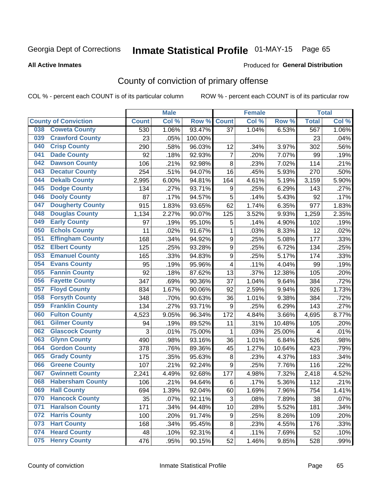# Inmate Statistical Profile 01-MAY-15 Page 65

#### **All Active Inmates**

#### Produced for General Distribution

## County of conviction of primary offense

COL % - percent each COUNT is of its particular column

|     |                             |              | <b>Male</b> |         |                  | <b>Female</b> |        |              | <b>Total</b> |
|-----|-----------------------------|--------------|-------------|---------|------------------|---------------|--------|--------------|--------------|
|     | <b>County of Conviction</b> | <b>Count</b> | Col %       | Row %   | <b>Count</b>     | Col %         | Row %  | <b>Total</b> | Col %        |
| 038 | <b>Coweta County</b>        | 530          | 1.06%       | 93.47%  | 37               | 1.04%         | 6.53%  | 567          | 1.06%        |
| 039 | <b>Crawford County</b>      | 23           | .05%        | 100.00% |                  |               |        | 23           | .04%         |
| 040 | <b>Crisp County</b>         | 290          | .58%        | 96.03%  | 12               | .34%          | 3.97%  | 302          | .56%         |
| 041 | <b>Dade County</b>          | 92           | .18%        | 92.93%  | $\overline{7}$   | .20%          | 7.07%  | 99           | .19%         |
| 042 | <b>Dawson County</b>        | 106          | .21%        | 92.98%  | 8                | .23%          | 7.02%  | 114          | .21%         |
| 043 | <b>Decatur County</b>       | 254          | .51%        | 94.07%  | 16               | .45%          | 5.93%  | 270          | .50%         |
| 044 | <b>Dekalb County</b>        | 2,995        | 6.00%       | 94.81%  | 164              | 4.61%         | 5.19%  | 3,159        | 5.90%        |
| 045 | <b>Dodge County</b>         | 134          | .27%        | 93.71%  | 9                | .25%          | 6.29%  | 143          | .27%         |
| 046 | <b>Dooly County</b>         | 87           | .17%        | 94.57%  | 5                | .14%          | 5.43%  | 92           | .17%         |
| 047 | <b>Dougherty County</b>     | 915          | 1.83%       | 93.65%  | 62               | 1.74%         | 6.35%  | 977          | 1.83%        |
| 048 | <b>Douglas County</b>       | 1,134        | 2.27%       | 90.07%  | 125              | 3.52%         | 9.93%  | 1,259        | 2.35%        |
| 049 | <b>Early County</b>         | 97           | .19%        | 95.10%  | $\mathbf 5$      | .14%          | 4.90%  | 102          | .19%         |
| 050 | <b>Echols County</b>        | 11           | .02%        | 91.67%  | $\mathbf{1}$     | .03%          | 8.33%  | 12           | .02%         |
| 051 | <b>Effingham County</b>     | 168          | .34%        | 94.92%  | 9                | .25%          | 5.08%  | 177          | .33%         |
| 052 | <b>Elbert County</b>        | 125          | .25%        | 93.28%  | 9                | .25%          | 6.72%  | 134          | .25%         |
| 053 | <b>Emanuel County</b>       | 165          | .33%        | 94.83%  | $\boldsymbol{9}$ | .25%          | 5.17%  | 174          | .33%         |
| 054 | <b>Evans County</b>         | 95           | .19%        | 95.96%  | 4                | .11%          | 4.04%  | 99           | .19%         |
| 055 | <b>Fannin County</b>        | 92           | .18%        | 87.62%  | 13               | .37%          | 12.38% | 105          | .20%         |
| 056 | <b>Fayette County</b>       | 347          | .69%        | 90.36%  | 37               | 1.04%         | 9.64%  | 384          | .72%         |
| 057 | <b>Floyd County</b>         | 834          | 1.67%       | 90.06%  | 92               | 2.59%         | 9.94%  | 926          | 1.73%        |
| 058 | <b>Forsyth County</b>       | 348          | .70%        | 90.63%  | 36               | 1.01%         | 9.38%  | 384          | .72%         |
| 059 | <b>Franklin County</b>      | 134          | .27%        | 93.71%  | 9                | .25%          | 6.29%  | 143          | .27%         |
| 060 | <b>Fulton County</b>        | 4,523        | 9.05%       | 96.34%  | 172              | 4.84%         | 3.66%  | 4,695        | 8.77%        |
| 061 | <b>Gilmer County</b>        | 94           | .19%        | 89.52%  | 11               | .31%          | 10.48% | 105          | .20%         |
| 062 | <b>Glascock County</b>      | 3            | .01%        | 75.00%  | 1                | .03%          | 25.00% | 4            | .01%         |
| 063 | <b>Glynn County</b>         | 490          | .98%        | 93.16%  | 36               | 1.01%         | 6.84%  | 526          | .98%         |
| 064 | <b>Gordon County</b>        | 378          | .76%        | 89.36%  | 45               | 1.27%         | 10.64% | 423          | .79%         |
| 065 | <b>Grady County</b>         | 175          | .35%        | 95.63%  | 8                | .23%          | 4.37%  | 183          | .34%         |
| 066 | <b>Greene County</b>        | 107          | .21%        | 92.24%  | 9                | .25%          | 7.76%  | 116          | .22%         |
| 067 | <b>Gwinnett County</b>      | 2,241        | 4.49%       | 92.68%  | 177              | 4.98%         | 7.32%  | 2,418        | 4.52%        |
| 068 | <b>Habersham County</b>     | 106          | .21%        | 94.64%  | $\,6$            | .17%          | 5.36%  | 112          | .21%         |
| 069 | <b>Hall County</b>          | 694          | 1.39%       | 92.04%  | 60               | 1.69%         | 7.96%  | 754          | 1.41%        |
| 070 | <b>Hancock County</b>       | 35           | .07%        | 92.11%  | 3                | .08%          | 7.89%  | 38           | .07%         |
| 071 | <b>Haralson County</b>      | 171          | .34%        | 94.48%  | 10               | .28%          | 5.52%  | 181          | .34%         |
| 072 | <b>Harris County</b>        | 100          | .20%        | 91.74%  | 9                | .25%          | 8.26%  | 109          | .20%         |
| 073 | <b>Hart County</b>          | 168          | .34%        | 95.45%  | 8                | .23%          | 4.55%  | 176          | .33%         |
| 074 | <b>Heard County</b>         | 48           | .10%        | 92.31%  | 4                | .11%          | 7.69%  | 52           | .10%         |
| 075 | <b>Henry County</b>         | 476          | .95%        | 90.15%  | 52               | 1.46%         | 9.85%  | 528          | .99%         |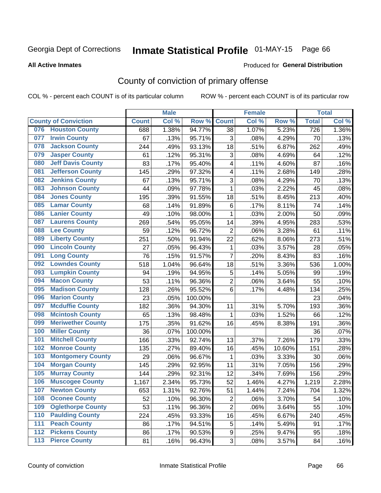# Inmate Statistical Profile 01-MAY-15 Page 66

#### **All Active Inmates**

#### Produced for General Distribution

## County of conviction of primary offense

COL % - percent each COUNT is of its particular column

|       |                             |              | <b>Male</b> |         |                | <b>Female</b> |        |              | <b>Total</b> |
|-------|-----------------------------|--------------|-------------|---------|----------------|---------------|--------|--------------|--------------|
|       | <b>County of Conviction</b> | <b>Count</b> | Col %       | Row %   | <b>Count</b>   | Col %         | Row %  | <b>Total</b> | Col %        |
| 076   | <b>Houston County</b>       | 688          | 1.38%       | 94.77%  | 38             | 1.07%         | 5.23%  | 726          | 1.36%        |
| 077   | <b>Irwin County</b>         | 67           | .13%        | 95.71%  | 3              | .08%          | 4.29%  | 70           | .13%         |
| 078   | <b>Jackson County</b>       | 244          | .49%        | 93.13%  | 18             | .51%          | 6.87%  | 262          | .49%         |
| 079   | <b>Jasper County</b>        | 61           | .12%        | 95.31%  | 3              | .08%          | 4.69%  | 64           | .12%         |
| 080   | <b>Jeff Davis County</b>    | 83           | .17%        | 95.40%  | 4              | .11%          | 4.60%  | 87           | .16%         |
| 081   | <b>Jefferson County</b>     | 145          | .29%        | 97.32%  | 4              | .11%          | 2.68%  | 149          | .28%         |
| 082   | <b>Jenkins County</b>       | 67           | .13%        | 95.71%  | 3              | .08%          | 4.29%  | 70           | .13%         |
| 083   | <b>Johnson County</b>       | 44           | .09%        | 97.78%  | $\mathbf{1}$   | .03%          | 2.22%  | 45           | .08%         |
| 084   | <b>Jones County</b>         | 195          | .39%        | 91.55%  | 18             | .51%          | 8.45%  | 213          | .40%         |
| 085   | <b>Lamar County</b>         | 68           | .14%        | 91.89%  | 6              | .17%          | 8.11%  | 74           | .14%         |
| 086   | <b>Lanier County</b>        | 49           | .10%        | 98.00%  | $\mathbf{1}$   | .03%          | 2.00%  | 50           | .09%         |
| 087   | <b>Laurens County</b>       | 269          | .54%        | 95.05%  | 14             | .39%          | 4.95%  | 283          | .53%         |
| 088   | <b>Lee County</b>           | 59           | .12%        | 96.72%  | $\overline{2}$ | .06%          | 3.28%  | 61           | .11%         |
| 089   | <b>Liberty County</b>       | 251          | .50%        | 91.94%  | 22             | .62%          | 8.06%  | 273          | .51%         |
| 090   | <b>Lincoln County</b>       | 27           | .05%        | 96.43%  | $\mathbf 1$    | .03%          | 3.57%  | 28           | .05%         |
| 091   | <b>Long County</b>          | 76           | .15%        | 91.57%  | $\overline{7}$ | .20%          | 8.43%  | 83           | .16%         |
| 092   | <b>Lowndes County</b>       | 518          | 1.04%       | 96.64%  | 18             | .51%          | 3.36%  | 536          | 1.00%        |
| 093   | <b>Lumpkin County</b>       | 94           | .19%        | 94.95%  | $\mathbf 5$    | .14%          | 5.05%  | 99           | .19%         |
| 094   | <b>Macon County</b>         | 53           | .11%        | 96.36%  | $\overline{2}$ | .06%          | 3.64%  | 55           | .10%         |
| 095   | <b>Madison County</b>       | 128          | .26%        | 95.52%  | 6              | .17%          | 4.48%  | 134          | .25%         |
| 096   | <b>Marion County</b>        | 23           | .05%        | 100.00% |                |               |        | 23           | .04%         |
| 097   | <b>Mcduffie County</b>      | 182          | .36%        | 94.30%  | 11             | .31%          | 5.70%  | 193          | .36%         |
| 098   | <b>Mcintosh County</b>      | 65           | .13%        | 98.48%  | $\mathbf{1}$   | .03%          | 1.52%  | 66           | .12%         |
| 099   | <b>Meriwether County</b>    | 175          | .35%        | 91.62%  | 16             | .45%          | 8.38%  | 191          | .36%         |
| 100   | <b>Miller County</b>        | 36           | .07%        | 100.00% |                |               |        | 36           | .07%         |
| 101   | <b>Mitchell County</b>      | 166          | .33%        | 92.74%  | 13             | .37%          | 7.26%  | 179          | .33%         |
| 102   | <b>Monroe County</b>        | 135          | .27%        | 89.40%  | 16             | .45%          | 10.60% | 151          | .28%         |
| 103   | <b>Montgomery County</b>    | 29           | .06%        | 96.67%  | $\mathbf{1}$   | .03%          | 3.33%  | 30           | .06%         |
| 104   | <b>Morgan County</b>        | 145          | .29%        | 92.95%  | 11             | .31%          | 7.05%  | 156          | .29%         |
| 105   | <b>Murray County</b>        | 144          | .29%        | 92.31%  | 12             | .34%          | 7.69%  | 156          | .29%         |
| 106   | <b>Muscogee County</b>      | 1,167        | 2.34%       | 95.73%  | 52             | 1.46%         | 4.27%  | 1,219        | 2.28%        |
| 107   | <b>Newton County</b>        | 653          | 1.31%       | 92.76%  | 51             | 1.44%         | 7.24%  | 704          | 1.32%        |
| 108   | <b>Oconee County</b>        | 52           | .10%        | 96.30%  | $\overline{2}$ | .06%          | 3.70%  | 54           | .10%         |
| 109   | <b>Oglethorpe County</b>    | 53           | .11%        | 96.36%  | $\overline{2}$ | .06%          | 3.64%  | 55           | .10%         |
| 110   | <b>Paulding County</b>      | 224          | .45%        | 93.33%  | 16             | .45%          | 6.67%  | 240          | .45%         |
| 111   | <b>Peach County</b>         | 86           | .17%        | 94.51%  | 5              | .14%          | 5.49%  | 91           | .17%         |
| 112   | <b>Pickens County</b>       | 86           | .17%        | 90.53%  | 9              | .25%          | 9.47%  | 95           | .18%         |
| $113$ | <b>Pierce County</b>        | 81           | .16%        | 96.43%  | 3              | .08%          | 3.57%  | 84           | .16%         |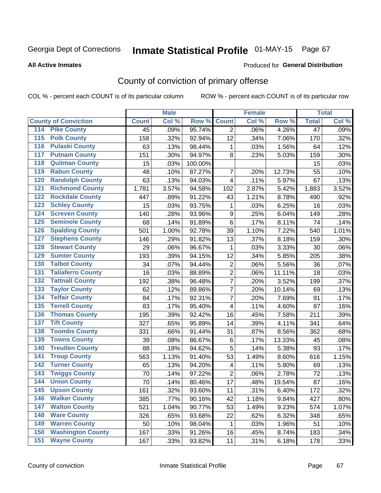# Inmate Statistical Profile 01-MAY-15 Page 67

#### **All Active Inmates**

#### Produced for General Distribution

## County of conviction of primary offense

COL % - percent each COUNT is of its particular column

|                                          |              | <b>Male</b> |         |                  | <b>Female</b> |        |                 | <b>Total</b> |
|------------------------------------------|--------------|-------------|---------|------------------|---------------|--------|-----------------|--------------|
| <b>County of Conviction</b>              | <b>Count</b> | Col %       | Row %   | <b>Count</b>     | Col %         | Row %  | <b>Total</b>    | Col %        |
| <b>Pike County</b><br>114                | 45           | .09%        | 95.74%  | $\overline{2}$   | .06%          | 4.26%  | $\overline{47}$ | .09%         |
| <b>Polk County</b><br>$\overline{115}$   | 158          | .32%        | 92.94%  | 12               | .34%          | 7.06%  | 170             | .32%         |
| <b>Pulaski County</b><br>116             | 63           | .13%        | 98.44%  | 1                | .03%          | 1.56%  | 64              | .12%         |
| <b>Putnam County</b><br>117              | 151          | .30%        | 94.97%  | 8                | .23%          | 5.03%  | 159             | .30%         |
| <b>Quitman County</b><br>118             | 15           | .03%        | 100.00% |                  |               |        | 15              | .03%         |
| <b>Rabun County</b><br>119               | 48           | .10%        | 87.27%  | $\overline{7}$   | .20%          | 12.73% | 55              | .10%         |
| <b>Randolph County</b><br>120            | 63           | .13%        | 94.03%  | 4                | .11%          | 5.97%  | 67              | .13%         |
| <b>Richmond County</b><br>121            | 1,781        | 3.57%       | 94.58%  | 102              | 2.87%         | 5.42%  | 1,883           | 3.52%        |
| <b>Rockdale County</b><br>122            | 447          | .89%        | 91.22%  | 43               | 1.21%         | 8.78%  | 490             | .92%         |
| <b>Schley County</b><br>123              | 15           | .03%        | 93.75%  | 1                | .03%          | 6.25%  | 16              | .03%         |
| <b>Screven County</b><br>124             | 140          | .28%        | 93.96%  | $\boldsymbol{9}$ | .25%          | 6.04%  | 149             | .28%         |
| <b>Seminole County</b><br>125            | 68           | .14%        | 91.89%  | 6                | .17%          | 8.11%  | 74              | .14%         |
| <b>Spalding County</b><br>126            | 501          | 1.00%       | 92.78%  | 39               | 1.10%         | 7.22%  | 540             | 1.01%        |
| <b>Stephens County</b><br>127            | 146          | .29%        | 91.82%  | 13               | .37%          | 8.18%  | 159             | .30%         |
| <b>Stewart County</b><br>128             | 29           | .06%        | 96.67%  | 1                | .03%          | 3.33%  | 30              | .06%         |
| <b>Sumter County</b><br>129              | 193          | .39%        | 94.15%  | 12               | .34%          | 5.85%  | 205             | .38%         |
| <b>Talbot County</b><br>130              | 34           | .07%        | 94.44%  | $\overline{2}$   | .06%          | 5.56%  | 36              | .07%         |
| <b>Taliaferro County</b><br>131          | 16           | .03%        | 88.89%  | $\overline{c}$   | .06%          | 11.11% | 18              | .03%         |
| <b>Tattnall County</b><br>132            | 192          | .38%        | 96.48%  | $\overline{7}$   | .20%          | 3.52%  | 199             | .37%         |
| <b>Taylor County</b><br>133              | 62           | .12%        | 89.86%  | $\overline{7}$   | .20%          | 10.14% | 69              | .13%         |
| <b>Telfair County</b><br>134             | 84           | .17%        | 92.31%  | $\overline{7}$   | .20%          | 7.69%  | 91              | .17%         |
| <b>Terrell County</b><br>135             | 83           | .17%        | 95.40%  | 4                | .11%          | 4.60%  | 87              | .16%         |
| <b>Thomas County</b><br>136              | 195          | .39%        | 92.42%  | 16               | .45%          | 7.58%  | 211             | .39%         |
| <b>Tift County</b><br>137                | 327          | .65%        | 95.89%  | 14               | .39%          | 4.11%  | 341             | .64%         |
| <b>Toombs County</b><br>138              | 331          | .66%        | 91.44%  | 31               | .87%          | 8.56%  | 362             | .68%         |
| <b>Towns County</b><br>139               | 39           | .08%        | 86.67%  | 6                | .17%          | 13.33% | 45              | .08%         |
| <b>Treutlen County</b><br>140            | 88           | .18%        | 94.62%  | 5                | .14%          | 5.38%  | 93              | .17%         |
| <b>Troup County</b><br>141               | 563          | 1.13%       | 91.40%  | 53               | 1.49%         | 8.60%  | 616             | 1.15%        |
| <b>Turner County</b><br>142              | 65           | .13%        | 94.20%  | 4                | .11%          | 5.80%  | 69              | .13%         |
| <b>Twiggs County</b><br>$\overline{143}$ | 70           | .14%        | 97.22%  | $\overline{2}$   | .06%          | 2.78%  | 72              | .13%         |
| <b>Union County</b><br>144               | 70           | .14%        | 80.46%  | 17               | .48%          | 19.54% | 87              | .16%         |
| 145<br><b>Upson County</b>               | 161          | .32%        | 93.60%  | 11               | .31%          | 6.40%  | 172             | .32%         |
| <b>Walker County</b><br>146              | 385          | .77%        | 90.16%  | 42               | 1.18%         | 9.84%  | 427             | .80%         |
| <b>Walton County</b><br>147              | 521          | 1.04%       | 90.77%  | 53               | 1.49%         | 9.23%  | 574             | 1.07%        |
| <b>Ware County</b><br>148                | 326          | .65%        | 93.68%  | 22               | .62%          | 6.32%  | 348             | .65%         |
| <b>Warren County</b><br>149              | 50           | .10%        | 98.04%  | 1                | .03%          | 1.96%  | 51              | .10%         |
| <b>Washington County</b><br>150          | 167          | .33%        | 91.26%  | 16               | .45%          | 8.74%  | 183             | .34%         |
| <b>Wayne County</b><br>151               | 167          | .33%        | 93.82%  | 11               | .31%          | 6.18%  | 178             | .33%         |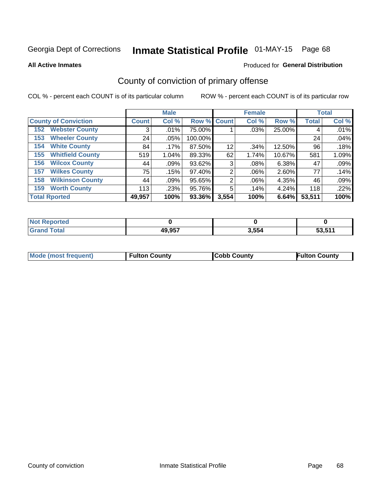# Inmate Statistical Profile 01-MAY-15 Page 68

**All Active Inmates** 

### **Produced for General Distribution**

### County of conviction of primary offense

COL % - percent each COUNT is of its particular column

|                                |                    | <b>Male</b> |             |       | <b>Female</b> |        |              | <b>Total</b> |
|--------------------------------|--------------------|-------------|-------------|-------|---------------|--------|--------------|--------------|
| <b>County of Conviction</b>    | Count <sup>1</sup> | Col %       | Row % Count |       | Col %         | Row %  | <b>Total</b> | Col %        |
| <b>Webster County</b><br>152   | 3                  | .01%        | 75.00%      |       | $.03\%$       | 25.00% | 4            | .01%         |
| <b>Wheeler County</b><br>153   | 24                 | $.05\%$     | 100.00%     |       |               |        | 24           | .04%         |
| <b>White County</b><br>154     | 84                 | .17%        | 87.50%      | 12    | .34%          | 12.50% | 96           | .18%         |
| <b>Whitfield County</b><br>155 | 519                | $1.04\%$    | 89.33%      | 62    | 1.74%         | 10.67% | 581          | 1.09%        |
| <b>Wilcox County</b><br>156    | 44                 | .09%        | 93.62%      | 3     | .08%          | 6.38%  | 47           | .09%         |
| <b>Wilkes County</b><br>157    | 75                 | .15%        | 97.40%      | 2     | $.06\%$       | 2.60%  | 77           | .14%         |
| <b>Wilkinson County</b><br>158 | 44                 | .09%        | 95.65%      | 2     | .06%          | 4.35%  | 46           | .09%         |
| <b>Worth County</b><br>159     | 113                | .23%        | 95.76%      | 5     | .14%          | 4.24%  | 118          | .22%         |
| <b>Total Rported</b>           | 49,957             | 100%        | 93.36%      | 3,554 | 100%          | 6.64%  | 53,511       | 100%         |

| <b>Not</b><br>Reported |        |       |                   |
|------------------------|--------|-------|-------------------|
| ⊺otai                  | 49,957 | 3,554 | ES EAA<br>່ວວ.ວ⊺∴ |

| <b>Mode (most frequent)</b> | <b>Fulton County</b> | <b>ICobb County</b> | <b>Fulton County</b> |
|-----------------------------|----------------------|---------------------|----------------------|
|                             |                      |                     |                      |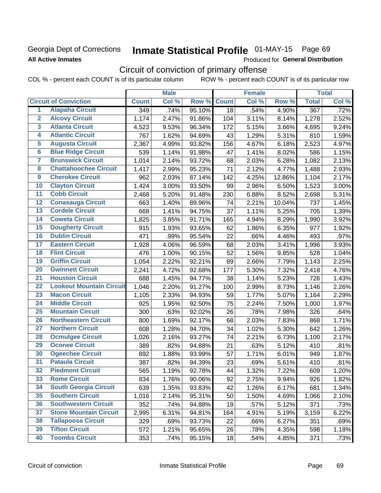### **Georgia Dept of Corrections All Active Inmates**

# Inmate Statistical Profile 01-MAY-15 Page 69

Produced for General Distribution

# Circuit of conviction of primary offense

COL % - percent each COUNT is of its particular column ROW % - percent each COUNT is of its particular row

|                         |                                 |                  | <b>Male</b> |        |              | <b>Female</b> |        |              | <b>Total</b> |
|-------------------------|---------------------------------|------------------|-------------|--------|--------------|---------------|--------|--------------|--------------|
|                         | <b>Circuit of Conviction</b>    | <b>Count</b>     | Col %       | Row %  | <b>Count</b> | Col %         | Row %  | <b>Total</b> | Col %        |
| 1                       | <b>Alapaha Circuit</b>          | $\overline{349}$ | .74%        | 95.10% | 18           | .54%          | 4.90%  | 367          | .72%         |
| $\overline{2}$          | <b>Alcovy Circuit</b>           | 1,174            | 2.47%       | 91.86% | 104          | 3.11%         | 8.14%  | 1,278        | 2.52%        |
| $\overline{\mathbf{3}}$ | <b>Atlanta Circuit</b>          | 4,523            | 9.53%       | 96.34% | 172          | 5.15%         | 3.66%  | 4,695        | 9.24%        |
| 4                       | <b>Atlantic Circuit</b>         | 767              | 1.62%       | 94.69% | 43           | 1.29%         | 5.31%  | 810          | 1.59%        |
| 5                       | <b>Augusta Circuit</b>          | 2,367            | 4.99%       | 93.82% | 156          | 4.67%         | 6.18%  | 2,523        | 4.97%        |
| $\overline{\mathbf{6}}$ | <b>Blue Ridge Circuit</b>       | 539              | 1.14%       | 91.98% | 47           | 1.41%         | 8.02%  | 586          | 1.15%        |
| $\overline{\mathbf{7}}$ | <b>Brunswick Circuit</b>        | 1,014            | 2.14%       | 93.72% | 68           | 2.03%         | 6.28%  | 1,082        | 2.13%        |
| 8                       | <b>Chattahoochee Circuit</b>    | 1,417            | 2.99%       | 95.23% | 71           | 2.12%         | 4.77%  | 1,488        | 2.93%        |
| $\overline{9}$          | <b>Cherokee Circuit</b>         | 962              | 2.03%       | 87.14% | 142          | 4.25%         | 12.86% | 1,104        | 2.17%        |
| 10                      | <b>Clayton Circuit</b>          | 1,424            | 3.00%       | 93.50% | 99           | 2.96%         | 6.50%  | 1,523        | 3.00%        |
| $\overline{11}$         | <b>Cobb Circuit</b>             | 2,468            | 5.20%       | 91.48% | 230          | 6.88%         | 8.52%  | 2,698        | 5.31%        |
| 12                      | <b>Conasauga Circuit</b>        | 663              | 1.40%       | 89.96% | 74           | 2.21%         | 10.04% | 737          | 1.45%        |
| $\overline{13}$         | <b>Cordele Circuit</b>          | 668              | 1.41%       | 94.75% | 37           | 1.11%         | 5.25%  | 705          | 1.39%        |
| $\overline{14}$         | <b>Coweta Circuit</b>           | 1,825            | 3.85%       | 91.71% | 165          | 4.94%         | 8.29%  | 1,990        | 3.92%        |
| 15                      | <b>Dougherty Circuit</b>        | 915              | 1.93%       | 93.65% | 62           | 1.86%         | 6.35%  | 977          | 1.92%        |
| 16                      | <b>Dublin Circuit</b>           | 471              | .99%        | 95.54% | 22           | .66%          | 4.46%  | 493          | .97%         |
| $\overline{17}$         | <b>Eastern Circuit</b>          | 1,928            | 4.06%       | 96.59% | 68           | 2.03%         | 3.41%  | 1,996        | 3.93%        |
| 18                      | <b>Flint Circuit</b>            | 476              | 1.00%       | 90.15% | 52           | 1.56%         | 9.85%  | 528          | 1.04%        |
| 19                      | <b>Griffin Circuit</b>          | 1,054            | 2.22%       | 92.21% | 89           | 2.66%         | 7.79%  | 1,143        | 2.25%        |
| 20                      | <b>Gwinnett Circuit</b>         | 2,241            | 4.72%       | 92.68% | 177          | 5.30%         | 7.32%  | 2,418        | 4.76%        |
| $\overline{21}$         | <b>Houston Circuit</b>          | 688              | 1.45%       | 94.77% | 38           | 1.14%         | 5.23%  | 726          | 1.43%        |
| $\overline{22}$         | <b>Lookout Mountain Circuit</b> | 1,046            | 2.20%       | 91.27% | 100          | 2.99%         | 8.73%  | 1,146        | 2.26%        |
| 23                      | <b>Macon Circuit</b>            | 1,105            | 2.33%       | 94.93% | 59           | 1.77%         | 5.07%  | 1,164        | 2.29%        |
| 24                      | <b>Middle Circuit</b>           | 925              | 1.95%       | 92.50% | 75           | 2.24%         | 7.50%  | 1,000        | 1.97%        |
| $\overline{25}$         | <b>Mountain Circuit</b>         | 300              | .63%        | 92.02% | 26           | .78%          | 7.98%  | 326          | .64%         |
| 26                      | <b>Northeastern Circuit</b>     | 800              | 1.69%       | 92.17% | 68           | 2.03%         | 7.83%  | 868          | 1.71%        |
| 27                      | <b>Northern Circuit</b>         | 608              | 1.28%       | 94.70% | 34           | 1.02%         | 5.30%  | 642          | 1.26%        |
| 28                      | <b>Ocmulgee Circuit</b>         | 1,026            | 2.16%       | 93.27% | 74           | 2.21%         | 6.73%  | 1,100        | 2.17%        |
| 29                      | <b>Oconee Circuit</b>           | 389              | .82%        | 94.88% | 21           | .63%          | 5.12%  | 410          | .81%         |
| 30                      | <b>Ogeechee Circuit</b>         | 892              | 1.88%       | 93.99% | 57           | 1.71%         | 6.01%  | 949          | 1.87%        |
| $\overline{31}$         | <b>Pataula Circuit</b>          | 387              | .82%        | 94.39% | 23           | .69%          | 5.61%  | 410          | .81%         |
| 32                      | <b>Piedmont Circuit</b>         | 565              | 1.19%       | 92.78% | 44           | 1.32%         | 7.22%  | 609          | 1.20%        |
| 33                      | <b>Rome Circuit</b>             | 834              | 1.76%       | 90.06% | 92           | 2.75%         | 9.94%  | 926          | 1.82%        |
| 34                      | <b>South Georgia Circuit</b>    | 639              | 1.35%       | 93.83% | 42           | 1.26%         | 6.17%  | 681          | 1.34%        |
| 35                      | <b>Southern Circuit</b>         | 1,016            | 2.14%       | 95.31% | 50           | 1.50%         | 4.69%  | 1,066        | 2.10%        |
| 36                      | <b>Southwestern Circuit</b>     | 352              | .74%        | 94.88% | 19           | .57%          | 5.12%  | 371          | .73%         |
| 37                      | <b>Stone Mountain Circuit</b>   | 2,995            | 6.31%       | 94.81% | 164          | 4.91%         | 5.19%  | 3,159        | 6.22%        |
| 38                      | <b>Tallapoosa Circuit</b>       | 329              | .69%        | 93.73% | 22           | .66%          | 6.27%  | 351          | .69%         |
| 39                      | <b>Tifton Circuit</b>           | 572              | 1.21%       | 95.65% | 26           | .78%          | 4.35%  | 598          | 1.18%        |
| 40                      | <b>Toombs Circuit</b>           | 353              | .74%        | 95.15% | 18           | .54%          | 4.85%  | 371          | .73%         |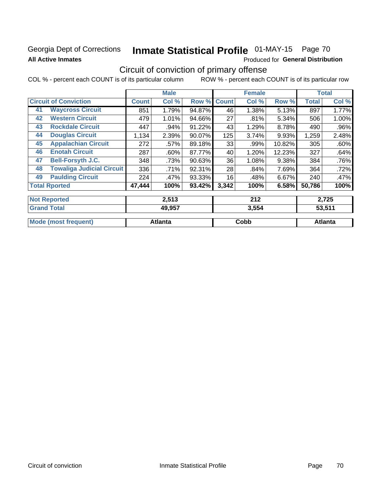### **Georgia Dept of Corrections All Active Inmates**

# Inmate Statistical Profile 01-MAY-15 Page 70

Produced for General Distribution

## Circuit of conviction of primary offense

COL % - percent each COUNT is of its particular column ROW % - percent each COUNT is of its particular row

|    |                                  |              | <b>Male</b>    |        |              | <b>Female</b> |        |              | <b>Total</b>   |
|----|----------------------------------|--------------|----------------|--------|--------------|---------------|--------|--------------|----------------|
|    | <b>Circuit of Conviction</b>     | <b>Count</b> | Col %          | Row %  | <b>Count</b> | Col %         | Row %  | <b>Total</b> | Col %          |
| 41 | <b>Waycross Circuit</b>          | 851          | 1.79%          | 94.87% | 46           | 1.38%         | 5.13%  | 897          | 1.77%          |
| 42 | <b>Western Circuit</b>           | 479          | 1.01%          | 94.66% | 27           | .81%          | 5.34%  | 506          | 1.00%          |
| 43 | <b>Rockdale Circuit</b>          | 447          | .94%           | 91.22% | 43           | 1.29%         | 8.78%  | 490          | .96%           |
| 44 | <b>Douglas Circuit</b>           | 1,134        | 2.39%          | 90.07% | 125          | 3.74%         | 9.93%  | 1,259        | 2.48%          |
| 45 | <b>Appalachian Circuit</b>       | 272          | .57%           | 89.18% | 33           | .99%          | 10.82% | 305          | .60%           |
| 46 | <b>Enotah Circuit</b>            | 287          | .60%           | 87.77% | 40           | 1.20%         | 12.23% | 327          | .64%           |
| 47 | <b>Bell-Forsyth J.C.</b>         | 348          | .73%           | 90.63% | 36           | 1.08%         | 9.38%  | 384          | .76%           |
| 48 | <b>Towaliga Judicial Circuit</b> | 336          | .71%           | 92.31% | 28           | .84%          | 7.69%  | 364          | .72%           |
| 49 | <b>Paulding Circuit</b>          | 224          | .47%           | 93.33% | 16           | .48%          | 6.67%  | 240          | .47%           |
|    | <b>Total Rported</b>             | 47,444       | 100%           | 93.42% | 3,342        | 100%          | 6.58%  | 50,786       | 100%           |
|    | <b>Not Reported</b>              |              | 2,513          |        |              | 212           |        |              | 2,725          |
|    | <b>Grand Total</b>               |              | 49,957         |        |              | 3,554         |        |              | 53,511         |
|    | <b>Mode (most frequent)</b>      |              | <b>Atlanta</b> |        |              | Cobb          |        |              | <b>Atlanta</b> |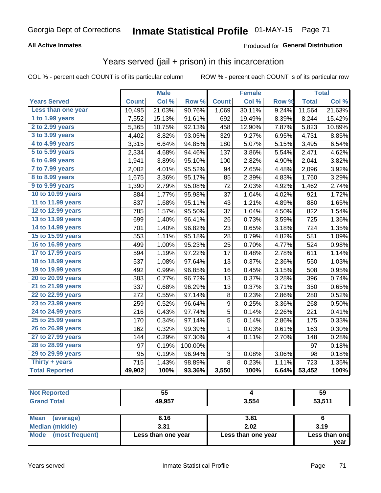### **All Active Inmates**

### Produced for General Distribution

### Years served (jail + prison) in this incarceration

COL % - percent each COUNT is of its particular column

|                              |              | <b>Male</b> |         |                | <b>Female</b> |       |              | <b>Total</b> |
|------------------------------|--------------|-------------|---------|----------------|---------------|-------|--------------|--------------|
| <b>Years Served</b>          | <b>Count</b> | Col %       | Row %   | <b>Count</b>   | Col %         | Row % | <b>Total</b> | Col %        |
| Less than one year           | 10,495       | 21.03%      | 90.76%  | 1,069          | 30.11%        | 9.24% | 11,564       | 21.63%       |
| 1 to 1.99 years              | 7,552        | 15.13%      | 91.61%  | 692            | 19.49%        | 8.39% | 8,244        | 15.42%       |
| 2 to 2.99 years              | 5,365        | 10.75%      | 92.13%  | 458            | 12.90%        | 7.87% | 5,823        | 10.89%       |
| $3$ to $3.99$ years          | 4,402        | 8.82%       | 93.05%  | 329            | 9.27%         | 6.95% | 4,731        | 8.85%        |
| $\overline{4}$ to 4.99 years | 3,315        | 6.64%       | 94.85%  | 180            | 5.07%         | 5.15% | 3,495        | 6.54%        |
| $\overline{5}$ to 5.99 years | 2,334        | 4.68%       | 94.46%  | 137            | 3.86%         | 5.54% | 2,471        | 4.62%        |
| $6$ to $6.99$ years          | 1,941        | 3.89%       | 95.10%  | 100            | 2.82%         | 4.90% | 2,041        | 3.82%        |
| 7 to 7.99 years              | 2,002        | 4.01%       | 95.52%  | 94             | 2.65%         | 4.48% | 2,096        | 3.92%        |
| 8 to 8.99 years              | 1,675        | 3.36%       | 95.17%  | 85             | 2.39%         | 4.83% | 1,760        | 3.29%        |
| 9 to 9.99 years              | 1,390        | 2.79%       | 95.08%  | 72             | 2.03%         | 4.92% | 1,462        | 2.74%        |
| 10 to 10.99 years            | 884          | 1.77%       | 95.98%  | 37             | 1.04%         | 4.02% | 921          | 1.72%        |
| 11 to 11.99 years            | 837          | 1.68%       | 95.11%  | 43             | 1.21%         | 4.89% | 880          | 1.65%        |
| 12 to 12.99 years            | 785          | 1.57%       | 95.50%  | 37             | 1.04%         | 4.50% | 822          | 1.54%        |
| 13 to 13.99 years            | 699          | 1.40%       | 96.41%  | 26             | 0.73%         | 3.59% | 725          | 1.36%        |
| 14 to 14.99 years            | 701          | 1.40%       | 96.82%  | 23             | 0.65%         | 3.18% | 724          | 1.35%        |
| 15 to 15.99 years            | 553          | 1.11%       | 95.18%  | 28             | 0.79%         | 4.82% | 581          | 1.09%        |
| 16 to 16.99 years            | 499          | 1.00%       | 95.23%  | 25             | 0.70%         | 4.77% | 524          | 0.98%        |
| 17 to 17.99 years            | 594          | 1.19%       | 97.22%  | 17             | 0.48%         | 2.78% | 611          | 1.14%        |
| 18 to 18.99 years            | 537          | 1.08%       | 97.64%  | 13             | 0.37%         | 2.36% | 550          | 1.03%        |
| 19 to 19.99 years            | 492          | 0.99%       | 96.85%  | 16             | 0.45%         | 3.15% | 508          | 0.95%        |
| 20 to 20.99 years            | 383          | 0.77%       | 96.72%  | 13             | 0.37%         | 3.28% | 396          | 0.74%        |
| 21 to 21.99 years            | 337          | 0.68%       | 96.29%  | 13             | 0.37%         | 3.71% | 350          | 0.65%        |
| 22 to 22.99 years            | 272          | 0.55%       | 97.14%  | 8              | 0.23%         | 2.86% | 280          | 0.52%        |
| 23 to 23.99 years            | 259          | 0.52%       | 96.64%  | 9              | 0.25%         | 3.36% | 268          | 0.50%        |
| 24 to 24.99 years            | 216          | 0.43%       | 97.74%  | 5              | 0.14%         | 2.26% | 221          | 0.41%        |
| 25 to 25.99 years            | 170          | 0.34%       | 97.14%  | $\overline{5}$ | 0.14%         | 2.86% | 175          | 0.33%        |
| 26 to 26.99 years            | 162          | 0.32%       | 99.39%  | $\mathbf 1$    | 0.03%         | 0.61% | 163          | 0.30%        |
| 27 to 27.99 years            | 144          | 0.29%       | 97.30%  | 4              | 0.11%         | 2.70% | 148          | 0.28%        |
| 28 to 28.99 years            | 97           | 0.19%       | 100.00% |                |               |       | 97           | 0.18%        |
| 29 to 29.99 years            | 95           | 0.19%       | 96.94%  | 3              | 0.08%         | 3.06% | 98           | 0.18%        |
| Thirty + years               | 715          | 1.43%       | 98.89%  | 8              | 0.23%         | 1.11% | 723          | 1.35%        |
| <b>Total Reported</b>        | 49,902       | 100%        | 93.36%  | 3,550          | 100%          | 6.64% | 53,452       | 100%         |

| N <sub>c</sub><br>prted | 55     |       | 59            |
|-------------------------|--------|-------|---------------|
| <b>Total</b>            | 49,957 | 3,554 | <b>EQ E44</b> |
|                         |        |       |               |

| Mean<br>(average)    | 6.16               | 3.81               |               |
|----------------------|--------------------|--------------------|---------------|
| Median (middle)      | 3.31               | 2.02               | 3.19          |
| Mode (most frequent) | Less than one year | Less than one year | Less than one |
|                      |                    |                    | vear          |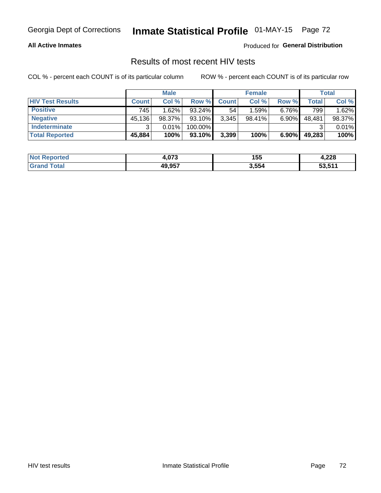## Georgia Dept of Corrections **Inmate Statistical Profile** 01-MAY-15 Page 72

#### **All Active Inmates**

Produced for **General Distribution**

### Results of most recent HIV tests

COL % - percent each COUNT is of its particular column ROW % - percent each COUNT is of its particular row

|                         |              | <b>Male</b> |           |              | <b>Female</b> |          |        | Total  |
|-------------------------|--------------|-------------|-----------|--------------|---------------|----------|--------|--------|
| <b>HIV Test Results</b> | <b>Count</b> | Col %       | Row %I    | <b>Count</b> | Col %         | Row %    | Total  | Col %  |
| <b>Positive</b>         | 745          | 1.62%       | $93.24\%$ | 54           | 1.59%         | $6.76\%$ | 799    | 1.62%  |
| <b>Negative</b>         | 45,136       | 98.37%      | 93.10%    | 3,345        | $98.41\%$     | 6.90%    | 48,481 | 98.37% |
| <b>Indeterminate</b>    | ີ            | 0.01%       | 100.00%   |              |               |          |        | 0.01%  |
| <b>Total Reported</b>   | 45,884       | 100%        | 93.10%    | 3,399        | 100%          | $6.90\%$ | 49,283 | 100%   |

| <b>Not Reported</b>   | $\sim$<br>4.U/ა | 155   | ററ<br>4.ZZO |
|-----------------------|-----------------|-------|-------------|
| <b>Total</b><br>Grand | 49,957          | 3,554 | 53,511      |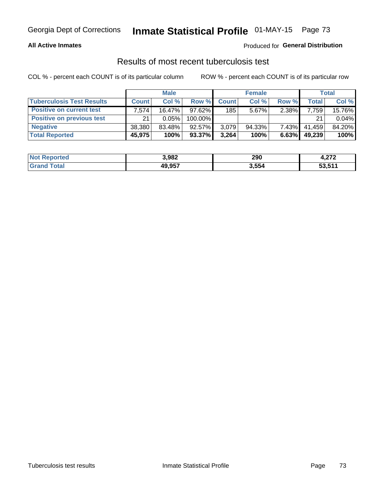# Georgia Dept of Corrections **Inmate Statistical Profile** 01-MAY-15 Page 73

#### **All Active Inmates**

#### Produced for **General Distribution**

### Results of most recent tuberculosis test

COL % - percent each COUNT is of its particular column ROW % - percent each COUNT is of its particular row

|                                  | <b>Male</b>        |          |           | <b>Female</b> |           |          | Total        |        |
|----------------------------------|--------------------|----------|-----------|---------------|-----------|----------|--------------|--------|
| <b>Tuberculosis Test Results</b> | <b>Count</b>       | Col%     | Row %     | <b>Count</b>  | Col %     | Row %    | <b>Total</b> | Col %  |
| <b>Positive on current test</b>  | 7.574 <sub>1</sub> | 16.47%   | 97.62%    | 185           | $5.67\%$  | $2.38\%$ | 7,759        | 15.76% |
| <b>Positive on previous test</b> | 21                 | $0.05\%$ | 100.00%   |               |           |          | 21           | 0.04%  |
| <b>Negative</b>                  | 38,380             | 83.48%   | 92.57%    | 3,079         | $94.33\%$ | $7.43\%$ | 41,459       | 84.20% |
| <b>Total Reported</b>            | 45,975             | 100%     | $93.37\%$ | 3,264         | 100%      | 6.63%    | 49,239       | 100%   |

| <b>Not Reported</b> | 3,982  | 290   | - 270<br>4.ZI L |
|---------------------|--------|-------|-----------------|
| <sup>-</sup> otal   | 49,957 | 3,554 | 53,511          |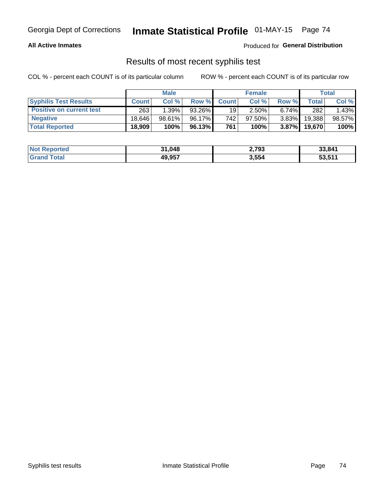# Georgia Dept of Corrections **Inmate Statistical Profile** 01-MAY-15 Page 74

#### **All Active Inmates**

Produced for **General Distribution**

### Results of most recent syphilis test

COL % - percent each COUNT is of its particular column ROW % - percent each COUNT is of its particular row

|                                 | <b>Male</b>  |           |        | <b>Female</b> |           |          | Total   |        |
|---------------------------------|--------------|-----------|--------|---------------|-----------|----------|---------|--------|
| <b>Syphilis Test Results</b>    | <b>Count</b> | Col%      | Row %  | <b>Count</b>  | Col %     | Row %    | Total I | Col %  |
| <b>Positive on current test</b> | 263          | 1.39%     | 93.26% | 19            | 2.50%     | $6.74\%$ | 282     | 1.43%  |
| <b>Negative</b>                 | 18.646       | $98.61\%$ | 96.17% | 742           | $97.50\%$ | $3.83\%$ | 19,388  | 98.57% |
| <b>Total Reported</b>           | 18,909       | 100%      | 96.13% | 761           | 100%      | $3.87\%$ | 19,670  | 100%   |

| <b>Not Reported</b> | 31,048 | 2,793 | 33,841 |
|---------------------|--------|-------|--------|
| <b>Grand Total</b>  | 49,957 | 3,554 | 53,511 |